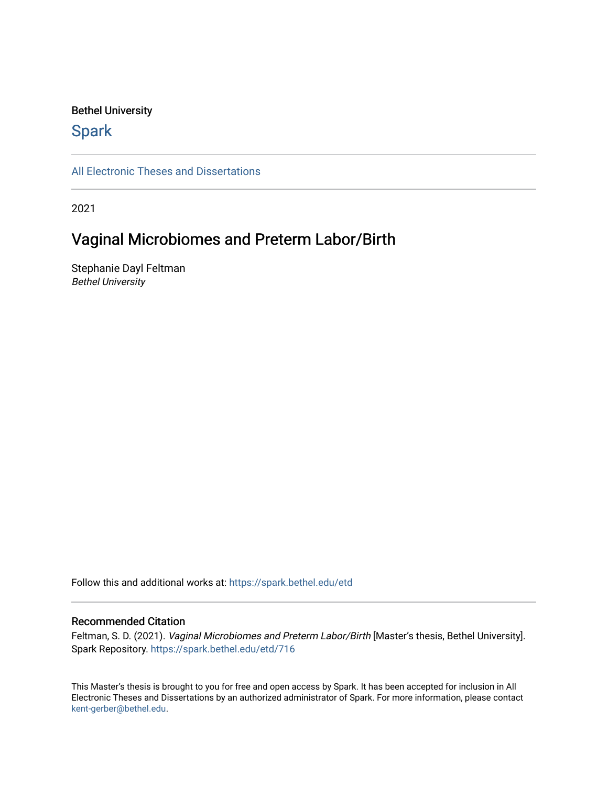# Bethel University

# **Spark**

[All Electronic Theses and Dissertations](https://spark.bethel.edu/etd) 

2021

# Vaginal Microbiomes and Preterm Labor/Birth

Stephanie Dayl Feltman Bethel University

Follow this and additional works at: [https://spark.bethel.edu/etd](https://spark.bethel.edu/etd?utm_source=spark.bethel.edu%2Fetd%2F716&utm_medium=PDF&utm_campaign=PDFCoverPages)

# Recommended Citation

Feltman, S. D. (2021). Vaginal Microbiomes and Preterm Labor/Birth [Master's thesis, Bethel University]. Spark Repository. [https://spark.bethel.edu/etd/716](https://spark.bethel.edu/etd/716?utm_source=spark.bethel.edu%2Fetd%2F716&utm_medium=PDF&utm_campaign=PDFCoverPages)

This Master's thesis is brought to you for free and open access by Spark. It has been accepted for inclusion in All Electronic Theses and Dissertations by an authorized administrator of Spark. For more information, please contact [kent-gerber@bethel.edu](mailto:kent-gerber@bethel.edu).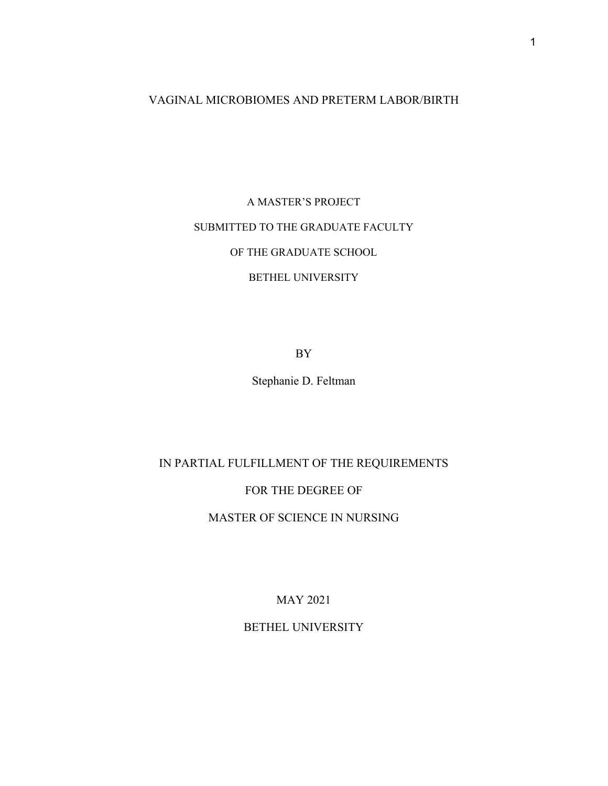# VAGINAL MICROBIOMES AND PRETERM LABOR/BIRTH

A MASTER'S PROJECT SUBMITTED TO THE GRADUATE FACULTY OF THE GRADUATE SCHOOL BETHEL UNIVERSITY

BY

Stephanie D. Feltman

IN PARTIAL FULFILLMENT OF THE REQUIREMENTS

FOR THE DEGREE OF

MASTER OF SCIENCE IN NURSING

MAY 2021

BETHEL UNIVERSITY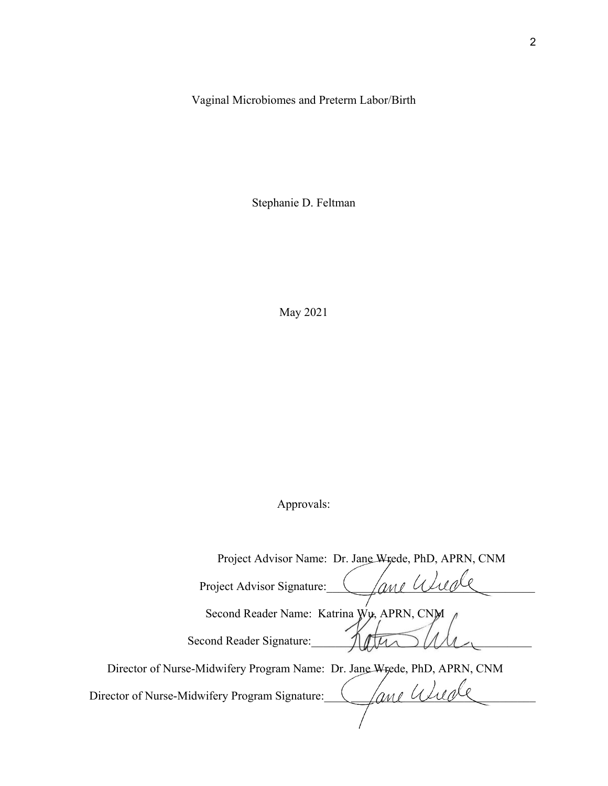Vaginal Microbiomes and Preterm Labor/Birth

Stephanie D. Feltman

May 2021

Approvals:

| Project Advisor Name: Dr. Jane Wrede, PhD, APRN, CNM                      |
|---------------------------------------------------------------------------|
| 'ane Ux<br>Project Advisor Signature:                                     |
| Second Reader Name: Katrina Wu, APRN, CNM                                 |
| Second Reader Signature:                                                  |
| Director of Nurse-Midwifery Program Name: Dr. Jane Wigede, PhD, APRN, CNM |
| 'ane U<br>Director of Nurse-Midwifery Program Signature:                  |
|                                                                           |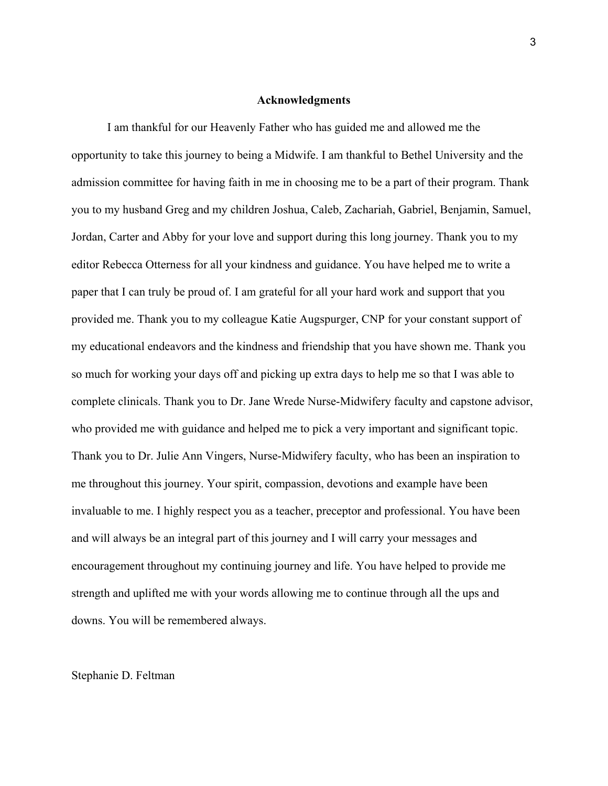# **Acknowledgments**

 I am thankful for our Heavenly Father who has guided me and allowed me the opportunity to take this journey to being a Midwife. I am thankful to Bethel University and the admission committee for having faith in me in choosing me to be a part of their program. Thank you to my husband Greg and my children Joshua, Caleb, Zachariah, Gabriel, Benjamin, Samuel, Jordan, Carter and Abby for your love and support during this long journey. Thank you to my editor Rebecca Otterness for all your kindness and guidance. You have helped me to write a paper that I can truly be proud of. I am grateful for all your hard work and support that you provided me. Thank you to my colleague Katie Augspurger, CNP for your constant support of my educational endeavors and the kindness and friendship that you have shown me. Thank you so much for working your days off and picking up extra days to help me so that I was able to complete clinicals. Thank you to Dr. Jane Wrede Nurse-Midwifery faculty and capstone advisor, who provided me with guidance and helped me to pick a very important and significant topic. Thank you to Dr. Julie Ann Vingers, Nurse-Midwifery faculty, who has been an inspiration to me throughout this journey. Your spirit, compassion, devotions and example have been invaluable to me. I highly respect you as a teacher, preceptor and professional. You have been and will always be an integral part of this journey and I will carry your messages and encouragement throughout my continuing journey and life. You have helped to provide me strength and uplifted me with your words allowing me to continue through all the ups and downs. You will be remembered always.

# Stephanie D. Feltman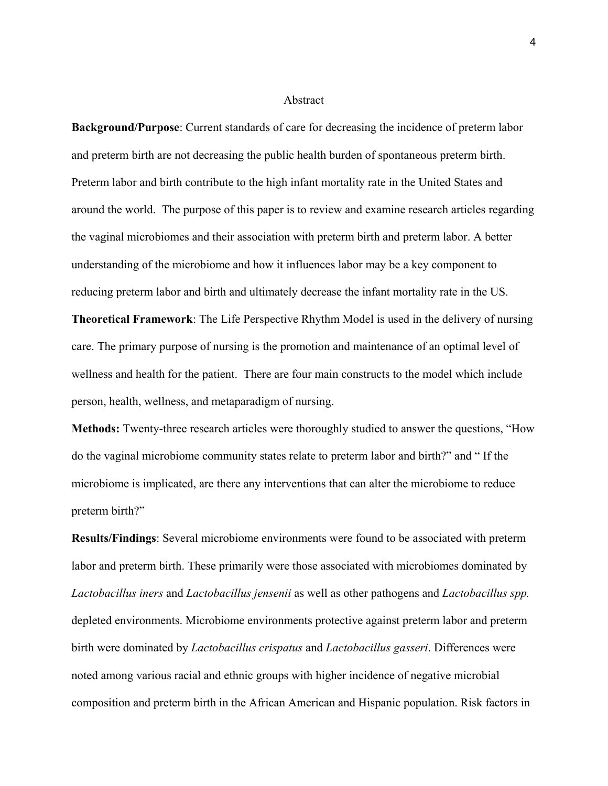# Abstract

**Background/Purpose**: Current standards of care for decreasing the incidence of preterm labor and preterm birth are not decreasing the public health burden of spontaneous preterm birth. Preterm labor and birth contribute to the high infant mortality rate in the United States and around the world. The purpose of this paper is to review and examine research articles regarding the vaginal microbiomes and their association with preterm birth and preterm labor. A better understanding of the microbiome and how it influences labor may be a key component to reducing preterm labor and birth and ultimately decrease the infant mortality rate in the US. **Theoretical Framework**: The Life Perspective Rhythm Model is used in the delivery of nursing care. The primary purpose of nursing is the promotion and maintenance of an optimal level of wellness and health for the patient. There are four main constructs to the model which include person, health, wellness, and metaparadigm of nursing.

**Methods:** Twenty-three research articles were thoroughly studied to answer the questions, "How do the vaginal microbiome community states relate to preterm labor and birth?" and " If the microbiome is implicated, are there any interventions that can alter the microbiome to reduce preterm birth?"

**Results/Findings**: Several microbiome environments were found to be associated with preterm labor and preterm birth. These primarily were those associated with microbiomes dominated by *Lactobacillus iners* and *Lactobacillus jensenii* as well as other pathogens and *Lactobacillus spp.* depleted environments. Microbiome environments protective against preterm labor and preterm birth were dominated by *Lactobacillus crispatus* and *Lactobacillus gasseri*. Differences were noted among various racial and ethnic groups with higher incidence of negative microbial composition and preterm birth in the African American and Hispanic population. Risk factors in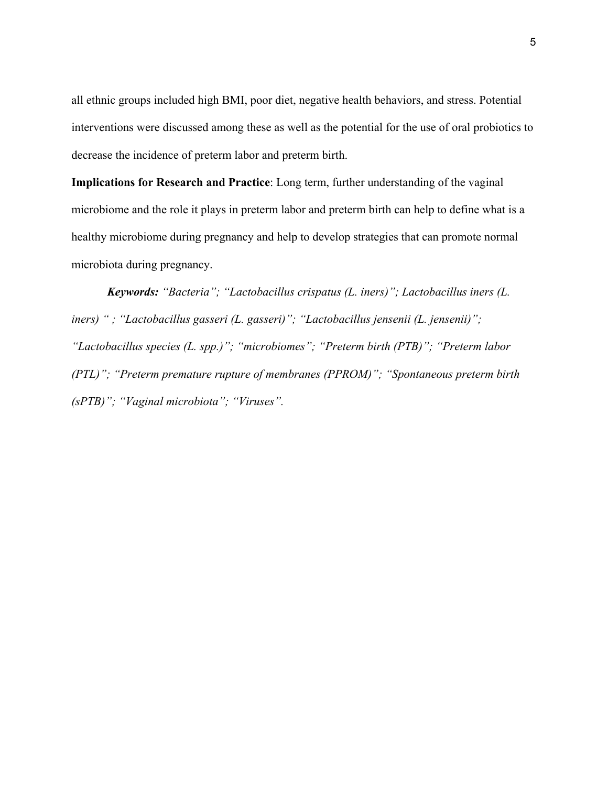all ethnic groups included high BMI, poor diet, negative health behaviors, and stress. Potential interventions were discussed among these as well as the potential for the use of oral probiotics to decrease the incidence of preterm labor and preterm birth.

**Implications for Research and Practice**: Long term, further understanding of the vaginal microbiome and the role it plays in preterm labor and preterm birth can help to define what is a healthy microbiome during pregnancy and help to develop strategies that can promote normal microbiota during pregnancy.

*Keywords: "Bacteria"; "Lactobacillus crispatus (L. iners)"; Lactobacillus iners (L. iners) " ; "Lactobacillus gasseri (L. gasseri)"; "Lactobacillus jensenii (L. jensenii)"; "Lactobacillus species (L. spp.)"; "microbiomes"; "Preterm birth (PTB)"; "Preterm labor (PTL)"; "Preterm premature rupture of membranes (PPROM)"; "Spontaneous preterm birth (sPTB)"; "Vaginal microbiota"; "Viruses".*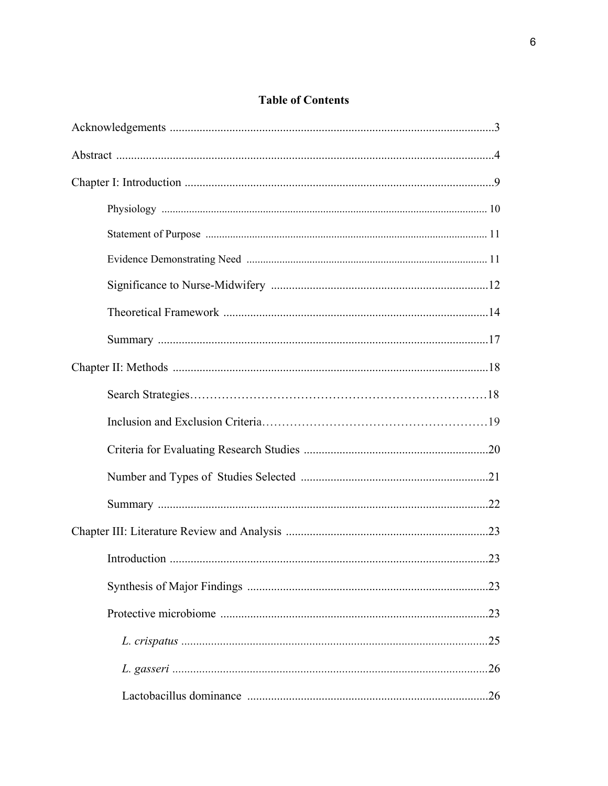# **Table of Contents**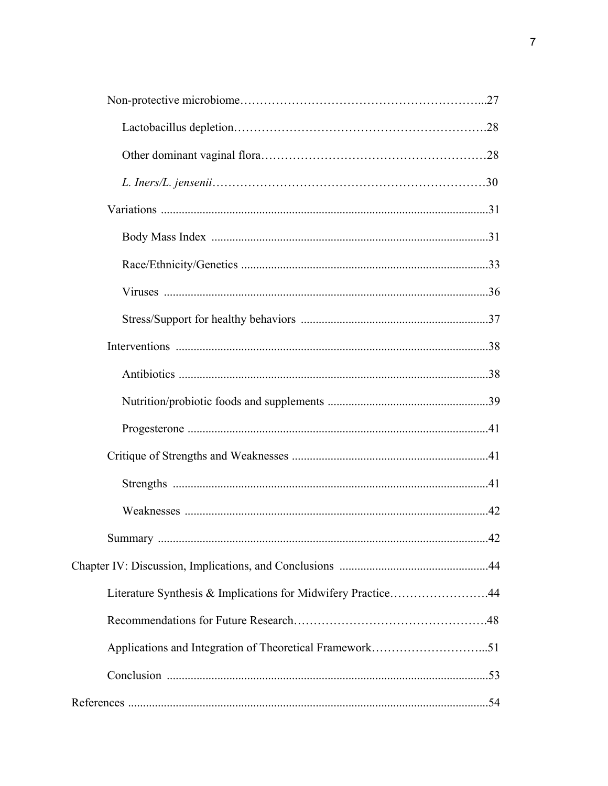| Literature Synthesis & Implications for Midwifery Practice44 |  |
|--------------------------------------------------------------|--|
|                                                              |  |
|                                                              |  |
|                                                              |  |
|                                                              |  |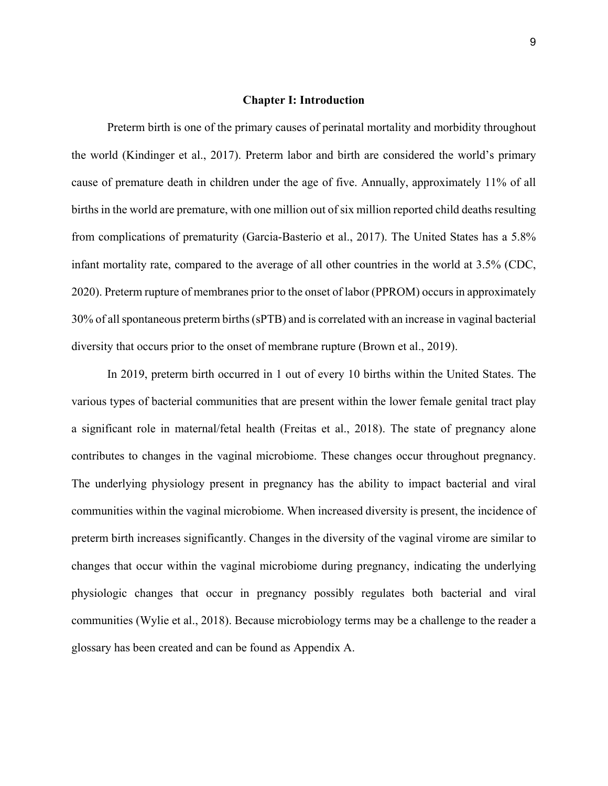# **Chapter I: Introduction**

 Preterm birth is one of the primary causes of perinatal mortality and morbidity throughout the world (Kindinger et al., 2017). Preterm labor and birth are considered the world's primary cause of premature death in children under the age of five. Annually, approximately 11% of all births in the world are premature, with one million out of six million reported child deaths resulting from complications of prematurity (Garcia-Basterio et al., 2017). The United States has a 5.8% infant mortality rate, compared to the average of all other countries in the world at 3.5% (CDC, 2020). Preterm rupture of membranes prior to the onset of labor (PPROM) occurs in approximately 30% of all spontaneous preterm births (sPTB) and is correlated with an increase in vaginal bacterial diversity that occurs prior to the onset of membrane rupture (Brown et al., 2019).

In 2019, preterm birth occurred in 1 out of every 10 births within the United States. The various types of bacterial communities that are present within the lower female genital tract play a significant role in maternal/fetal health (Freitas et al., 2018). The state of pregnancy alone contributes to changes in the vaginal microbiome. These changes occur throughout pregnancy. The underlying physiology present in pregnancy has the ability to impact bacterial and viral communities within the vaginal microbiome. When increased diversity is present, the incidence of preterm birth increases significantly. Changes in the diversity of the vaginal virome are similar to changes that occur within the vaginal microbiome during pregnancy, indicating the underlying physiologic changes that occur in pregnancy possibly regulates both bacterial and viral communities (Wylie et al., 2018). Because microbiology terms may be a challenge to the reader a glossary has been created and can be found as Appendix A.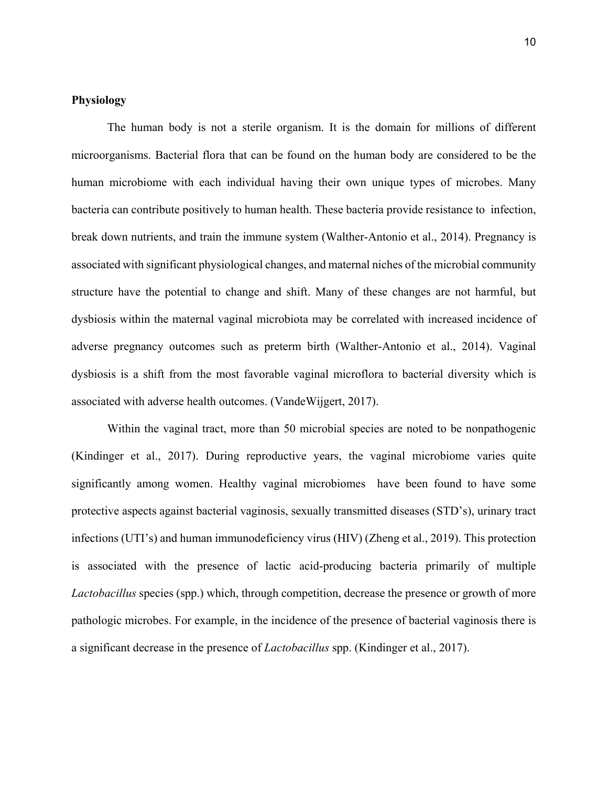# **Physiology**

The human body is not a sterile organism. It is the domain for millions of different microorganisms. Bacterial flora that can be found on the human body are considered to be the human microbiome with each individual having their own unique types of microbes. Many bacteria can contribute positively to human health. These bacteria provide resistance to infection, break down nutrients, and train the immune system (Walther-Antonio et al., 2014). Pregnancy is associated with significant physiological changes, and maternal niches of the microbial community structure have the potential to change and shift. Many of these changes are not harmful, but dysbiosis within the maternal vaginal microbiota may be correlated with increased incidence of adverse pregnancy outcomes such as preterm birth (Walther-Antonio et al., 2014). Vaginal dysbiosis is a shift from the most favorable vaginal microflora to bacterial diversity which is associated with adverse health outcomes. (VandeWijgert, 2017).

Within the vaginal tract, more than 50 microbial species are noted to be nonpathogenic (Kindinger et al., 2017). During reproductive years, the vaginal microbiome varies quite significantly among women. Healthy vaginal microbiomes have been found to have some protective aspects against bacterial vaginosis, sexually transmitted diseases (STD's), urinary tract infections (UTI's) and human immunodeficiency virus (HIV) (Zheng et al., 2019). This protection is associated with the presence of lactic acid-producing bacteria primarily of multiple *Lactobacillus* species (spp.) which, through competition, decrease the presence or growth of more pathologic microbes. For example, in the incidence of the presence of bacterial vaginosis there is a significant decrease in the presence of *Lactobacillus* spp. (Kindinger et al., 2017).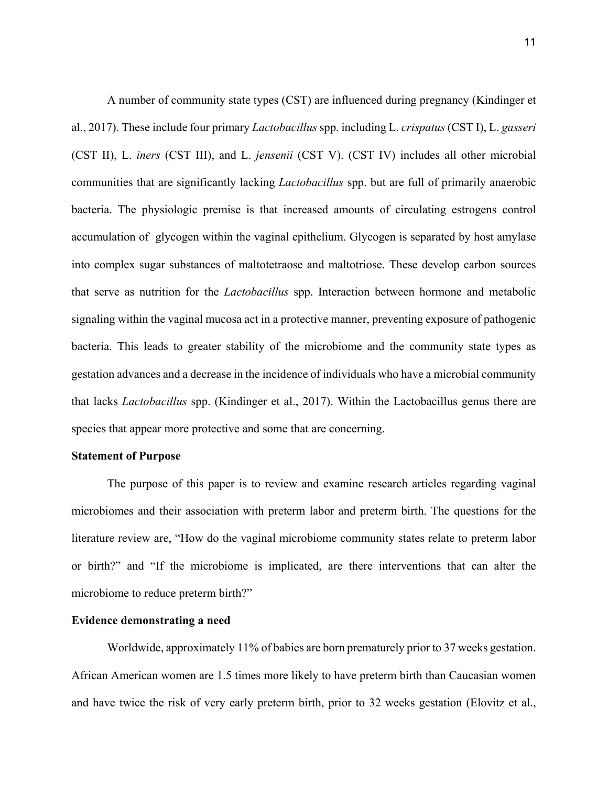A number of community state types (CST) are influenced during pregnancy (Kindinger et al., 2017). These include four primary *Lactobacillus* spp. including L. *crispatus* (CST I), L. *gasseri* (CST II), L. *iners* (CST III), and L. *jensenii* (CST V). (CST IV) includes all other microbial communities that are significantly lacking *Lactobacillus* spp. but are full of primarily anaerobic bacteria. The physiologic premise is that increased amounts of circulating estrogens control accumulation of glycogen within the vaginal epithelium. Glycogen is separated by host amylase into complex sugar substances of maltotetraose and maltotriose. These develop carbon sources that serve as nutrition for the *Lactobacillus* spp. Interaction between hormone and metabolic signaling within the vaginal mucosa act in a protective manner, preventing exposure of pathogenic bacteria. This leads to greater stability of the microbiome and the community state types as gestation advances and a decrease in the incidence of individuals who have a microbial community that lacks *Lactobacillus* spp. (Kindinger et al., 2017). Within the Lactobacillus genus there are species that appear more protective and some that are concerning.

#### **Statement of Purpose**

The purpose of this paper is to review and examine research articles regarding vaginal microbiomes and their association with preterm labor and preterm birth. The questions for the literature review are, "How do the vaginal microbiome community states relate to preterm labor or birth?" and "If the microbiome is implicated, are there interventions that can alter the microbiome to reduce preterm birth?"

### **Evidence demonstrating a need**

 Worldwide, approximately 11% of babies are born prematurely prior to 37 weeks gestation. African American women are 1.5 times more likely to have preterm birth than Caucasian women and have twice the risk of very early preterm birth, prior to 32 weeks gestation (Elovitz et al.,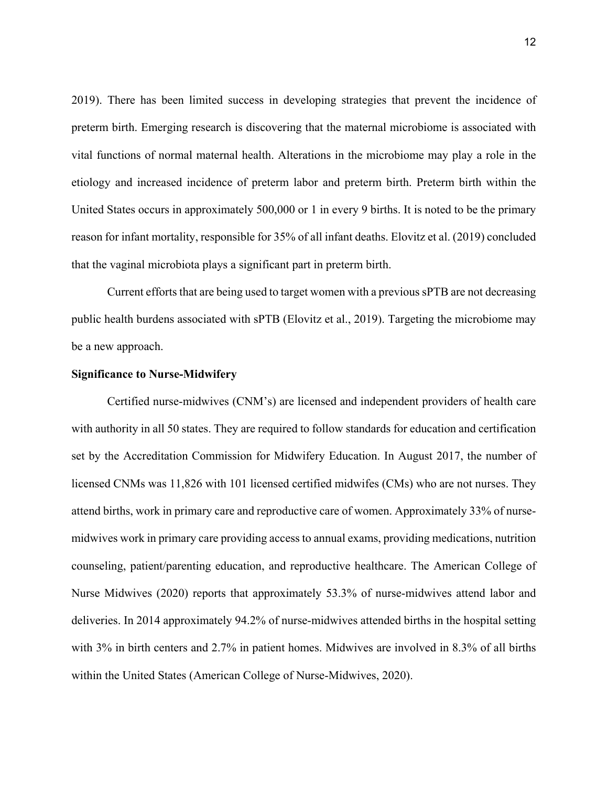2019). There has been limited success in developing strategies that prevent the incidence of preterm birth. Emerging research is discovering that the maternal microbiome is associated with vital functions of normal maternal health. Alterations in the microbiome may play a role in the etiology and increased incidence of preterm labor and preterm birth. Preterm birth within the United States occurs in approximately 500,000 or 1 in every 9 births. It is noted to be the primary reason for infant mortality, responsible for 35% of all infant deaths. Elovitz et al. (2019) concluded that the vaginal microbiota plays a significant part in preterm birth.

Current efforts that are being used to target women with a previous sPTB are not decreasing public health burdens associated with sPTB (Elovitz et al., 2019). Targeting the microbiome may be a new approach.

# **Significance to Nurse-Midwifery**

Certified nurse-midwives (CNM's) are licensed and independent providers of health care with authority in all 50 states. They are required to follow standards for education and certification set by the Accreditation Commission for Midwifery Education. In August 2017, the number of licensed CNMs was 11,826 with 101 licensed certified midwifes (CMs) who are not nurses. They attend births, work in primary care and reproductive care of women. Approximately 33% of nursemidwives work in primary care providing access to annual exams, providing medications, nutrition counseling, patient/parenting education, and reproductive healthcare. The American College of Nurse Midwives (2020) reports that approximately 53.3% of nurse-midwives attend labor and deliveries. In 2014 approximately 94.2% of nurse-midwives attended births in the hospital setting with 3% in birth centers and 2.7% in patient homes. Midwives are involved in 8.3% of all births within the United States (American College of Nurse-Midwives, 2020).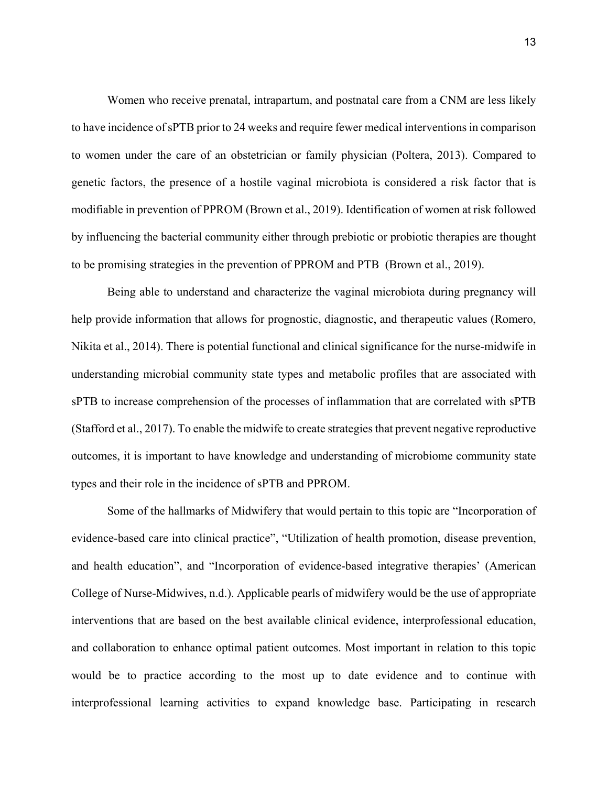Women who receive prenatal, intrapartum, and postnatal care from a CNM are less likely to have incidence of sPTB prior to 24 weeks and require fewer medical interventions in comparison to women under the care of an obstetrician or family physician (Poltera, 2013). Compared to genetic factors, the presence of a hostile vaginal microbiota is considered a risk factor that is modifiable in prevention of PPROM (Brown et al., 2019). Identification of women at risk followed by influencing the bacterial community either through prebiotic or probiotic therapies are thought to be promising strategies in the prevention of PPROM and PTB (Brown et al., 2019).

Being able to understand and characterize the vaginal microbiota during pregnancy will help provide information that allows for prognostic, diagnostic, and therapeutic values (Romero, Nikita et al., 2014). There is potential functional and clinical significance for the nurse-midwife in understanding microbial community state types and metabolic profiles that are associated with sPTB to increase comprehension of the processes of inflammation that are correlated with sPTB (Stafford et al., 2017). To enable the midwife to create strategies that prevent negative reproductive outcomes, it is important to have knowledge and understanding of microbiome community state types and their role in the incidence of sPTB and PPROM.

Some of the hallmarks of Midwifery that would pertain to this topic are "Incorporation of evidence-based care into clinical practice", "Utilization of health promotion, disease prevention, and health education", and "Incorporation of evidence-based integrative therapies' (American College of Nurse-Midwives, n.d.). Applicable pearls of midwifery would be the use of appropriate interventions that are based on the best available clinical evidence, interprofessional education, and collaboration to enhance optimal patient outcomes. Most important in relation to this topic would be to practice according to the most up to date evidence and to continue with interprofessional learning activities to expand knowledge base. Participating in research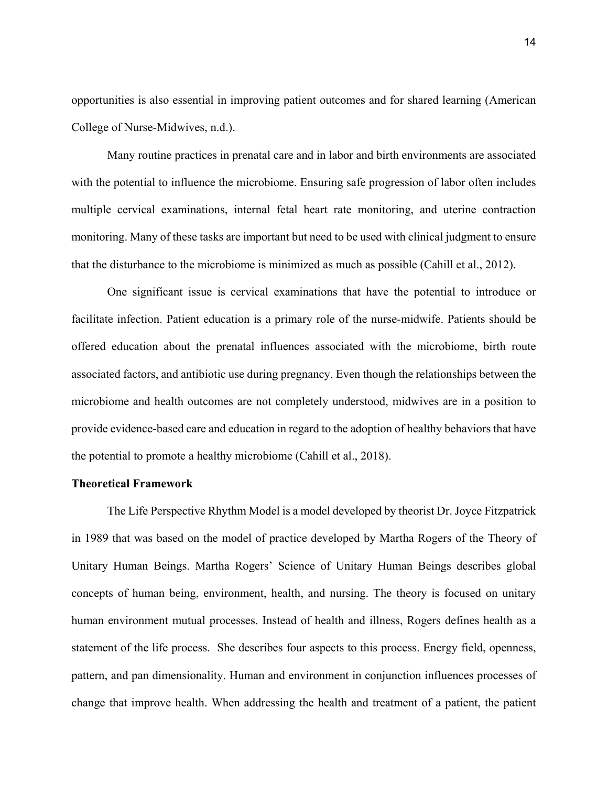opportunities is also essential in improving patient outcomes and for shared learning (American College of Nurse-Midwives, n.d.).

Many routine practices in prenatal care and in labor and birth environments are associated with the potential to influence the microbiome. Ensuring safe progression of labor often includes multiple cervical examinations, internal fetal heart rate monitoring, and uterine contraction monitoring. Many of these tasks are important but need to be used with clinical judgment to ensure that the disturbance to the microbiome is minimized as much as possible (Cahill et al., 2012).

One significant issue is cervical examinations that have the potential to introduce or facilitate infection. Patient education is a primary role of the nurse-midwife. Patients should be offered education about the prenatal influences associated with the microbiome, birth route associated factors, and antibiotic use during pregnancy. Even though the relationships between the microbiome and health outcomes are not completely understood, midwives are in a position to provide evidence-based care and education in regard to the adoption of healthy behaviors that have the potential to promote a healthy microbiome (Cahill et al., 2018).

#### **Theoretical Framework**

The Life Perspective Rhythm Model is a model developed by theorist Dr. Joyce Fitzpatrick in 1989 that was based on the model of practice developed by Martha Rogers of the Theory of Unitary Human Beings. Martha Rogers' Science of Unitary Human Beings describes global concepts of human being, environment, health, and nursing. The theory is focused on unitary human environment mutual processes. Instead of health and illness, Rogers defines health as a statement of the life process. She describes four aspects to this process. Energy field, openness, pattern, and pan dimensionality. Human and environment in conjunction influences processes of change that improve health. When addressing the health and treatment of a patient, the patient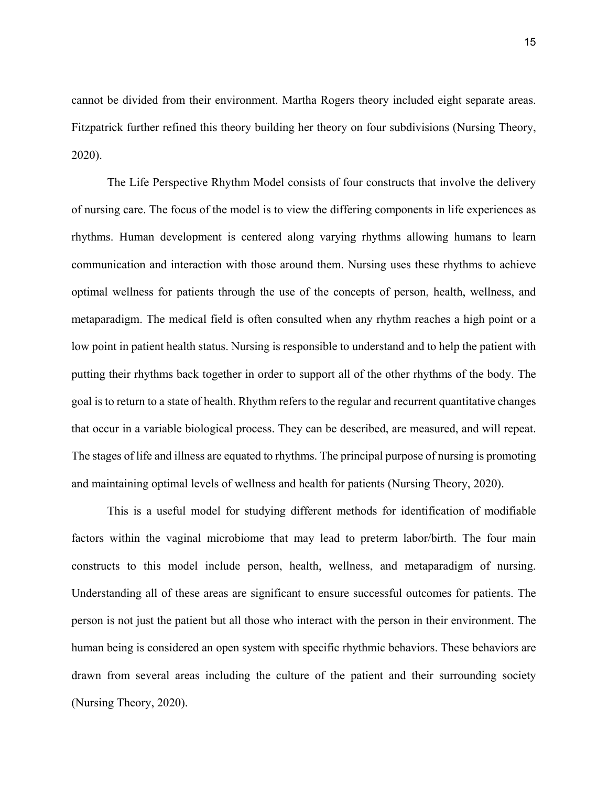cannot be divided from their environment. Martha Rogers theory included eight separate areas. Fitzpatrick further refined this theory building her theory on four subdivisions (Nursing Theory, 2020).

The Life Perspective Rhythm Model consists of four constructs that involve the delivery of nursing care. The focus of the model is to view the differing components in life experiences as rhythms. Human development is centered along varying rhythms allowing humans to learn communication and interaction with those around them. Nursing uses these rhythms to achieve optimal wellness for patients through the use of the concepts of person, health, wellness, and metaparadigm. The medical field is often consulted when any rhythm reaches a high point or a low point in patient health status. Nursing is responsible to understand and to help the patient with putting their rhythms back together in order to support all of the other rhythms of the body. The goal is to return to a state of health. Rhythm refers to the regular and recurrent quantitative changes that occur in a variable biological process. They can be described, are measured, and will repeat. The stages of life and illness are equated to rhythms. The principal purpose of nursing is promoting and maintaining optimal levels of wellness and health for patients (Nursing Theory, 2020).

This is a useful model for studying different methods for identification of modifiable factors within the vaginal microbiome that may lead to preterm labor/birth. The four main constructs to this model include person, health, wellness, and metaparadigm of nursing. Understanding all of these areas are significant to ensure successful outcomes for patients. The person is not just the patient but all those who interact with the person in their environment. The human being is considered an open system with specific rhythmic behaviors. These behaviors are drawn from several areas including the culture of the patient and their surrounding society (Nursing Theory, 2020).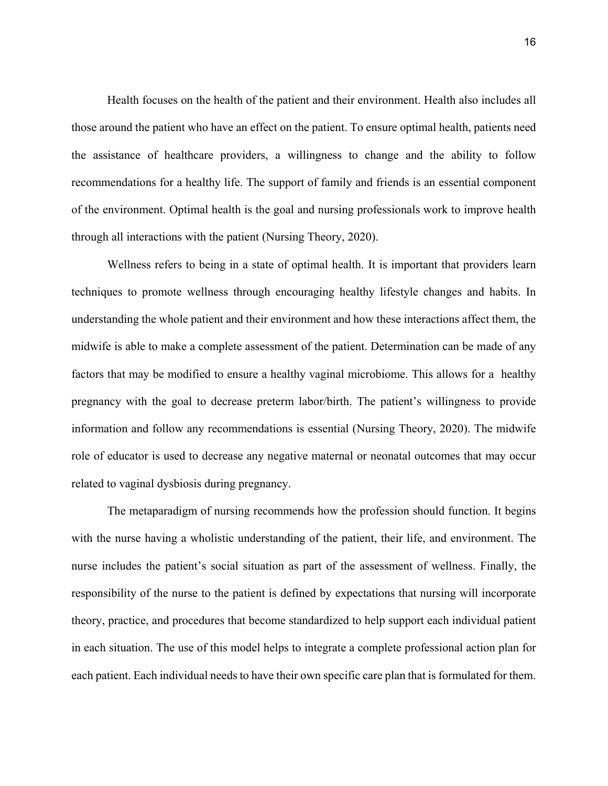Health focuses on the health of the patient and their environment. Health also includes all those around the patient who have an effect on the patient. To ensure optimal health, patients need the assistance of healthcare providers, a willingness to change and the ability to follow recommendations for a healthy life. The support of family and friends is an essential component of the environment. Optimal health is the goal and nursing professionals work to improve health through all interactions with the patient (Nursing Theory, 2020).

Wellness refers to being in a state of optimal health. It is important that providers learn techniques to promote wellness through encouraging healthy lifestyle changes and habits. In understanding the whole patient and their environment and how these interactions affect them, the midwife is able to make a complete assessment of the patient. Determination can be made of any factors that may be modified to ensure a healthy vaginal microbiome. This allows for a healthy pregnancy with the goal to decrease preterm labor/birth. The patient's willingness to provide information and follow any recommendations is essential (Nursing Theory, 2020). The midwife role of educator is used to decrease any negative maternal or neonatal outcomes that may occur related to vaginal dysbiosis during pregnancy.

The metaparadigm of nursing recommends how the profession should function. It begins with the nurse having a wholistic understanding of the patient, their life, and environment. The nurse includes the patient's social situation as part of the assessment of wellness. Finally, the responsibility of the nurse to the patient is defined by expectations that nursing will incorporate theory, practice, and procedures that become standardized to help support each individual patient in each situation. The use of this model helps to integrate a complete professional action plan for each patient. Each individual needs to have their own specific care plan that is formulated for them.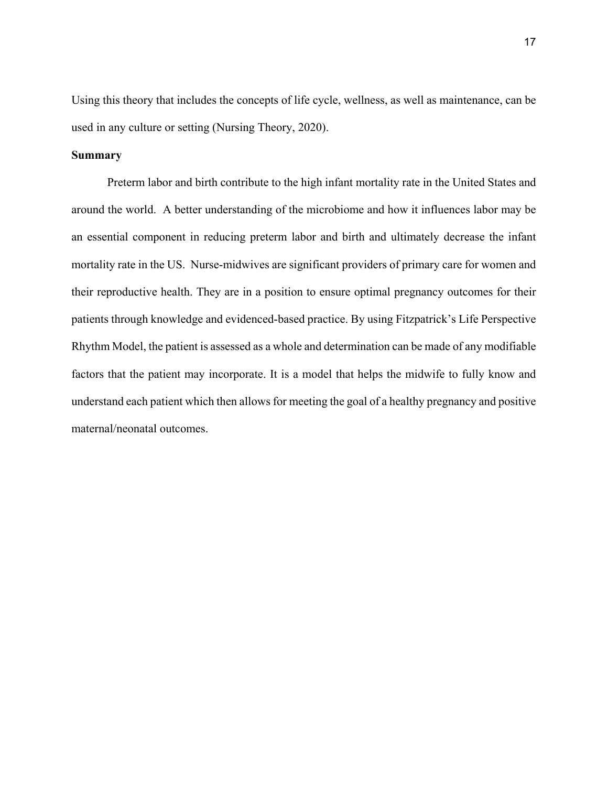Using this theory that includes the concepts of life cycle, wellness, as well as maintenance, can be used in any culture or setting (Nursing Theory, 2020).

# **Summary**

Preterm labor and birth contribute to the high infant mortality rate in the United States and around the world. A better understanding of the microbiome and how it influences labor may be an essential component in reducing preterm labor and birth and ultimately decrease the infant mortality rate in the US. Nurse-midwives are significant providers of primary care for women and their reproductive health. They are in a position to ensure optimal pregnancy outcomes for their patients through knowledge and evidenced-based practice. By using Fitzpatrick's Life Perspective Rhythm Model, the patient is assessed as a whole and determination can be made of any modifiable factors that the patient may incorporate. It is a model that helps the midwife to fully know and understand each patient which then allows for meeting the goal of a healthy pregnancy and positive maternal/neonatal outcomes.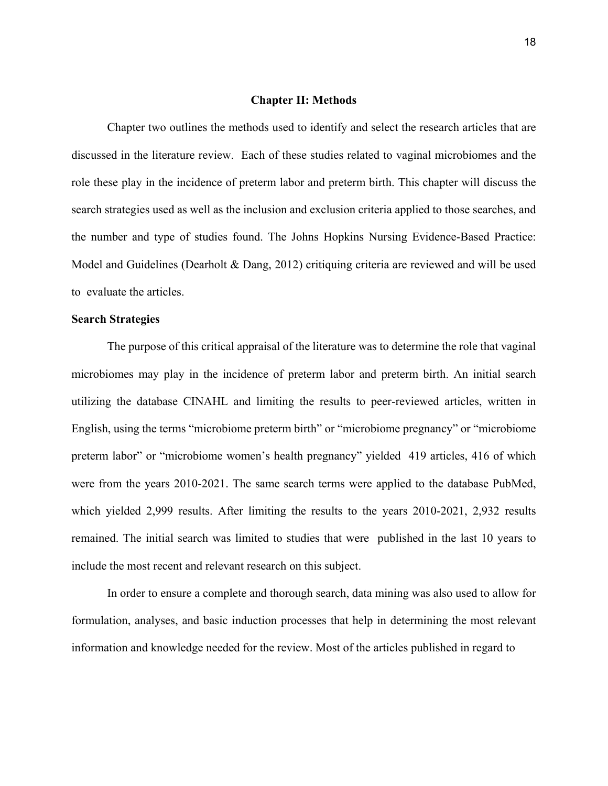# **Chapter II: Methods**

Chapter two outlines the methods used to identify and select the research articles that are discussed in the literature review. Each of these studies related to vaginal microbiomes and the role these play in the incidence of preterm labor and preterm birth. This chapter will discuss the search strategies used as well as the inclusion and exclusion criteria applied to those searches, and the number and type of studies found. The Johns Hopkins Nursing Evidence-Based Practice: Model and Guidelines (Dearholt & Dang, 2012) critiquing criteria are reviewed and will be used to evaluate the articles.

# **Search Strategies**

The purpose of this critical appraisal of the literature was to determine the role that vaginal microbiomes may play in the incidence of preterm labor and preterm birth. An initial search utilizing the database CINAHL and limiting the results to peer-reviewed articles, written in English, using the terms "microbiome preterm birth" or "microbiome pregnancy" or "microbiome preterm labor" or "microbiome women's health pregnancy" yielded 419 articles, 416 of which were from the years 2010-2021. The same search terms were applied to the database PubMed, which yielded 2,999 results. After limiting the results to the years 2010-2021, 2,932 results remained. The initial search was limited to studies that were published in the last 10 years to include the most recent and relevant research on this subject.

 In order to ensure a complete and thorough search, data mining was also used to allow for formulation, analyses, and basic induction processes that help in determining the most relevant information and knowledge needed for the review. Most of the articles published in regard to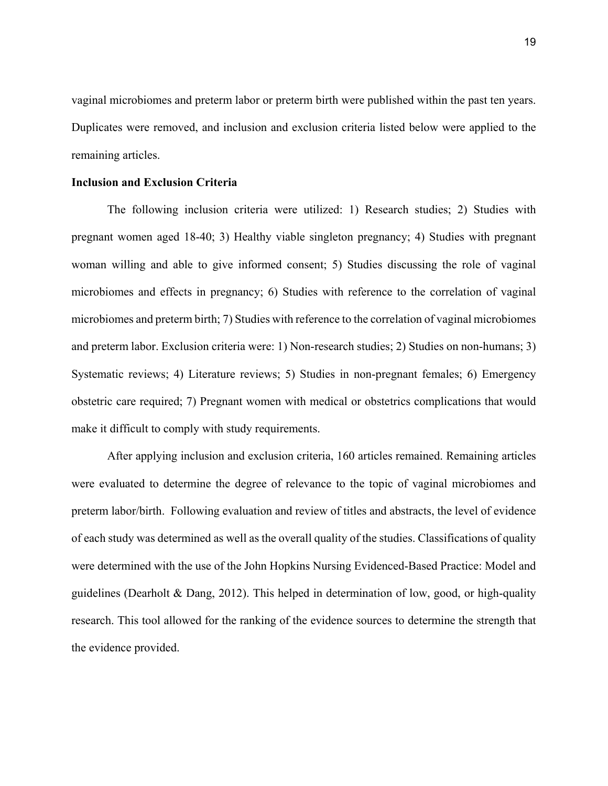vaginal microbiomes and preterm labor or preterm birth were published within the past ten years. Duplicates were removed, and inclusion and exclusion criteria listed below were applied to the remaining articles.

# **Inclusion and Exclusion Criteria**

The following inclusion criteria were utilized: 1) Research studies; 2) Studies with pregnant women aged 18-40; 3) Healthy viable singleton pregnancy; 4) Studies with pregnant woman willing and able to give informed consent; 5) Studies discussing the role of vaginal microbiomes and effects in pregnancy; 6) Studies with reference to the correlation of vaginal microbiomes and preterm birth; 7) Studies with reference to the correlation of vaginal microbiomes and preterm labor. Exclusion criteria were: 1) Non-research studies; 2) Studies on non-humans; 3) Systematic reviews; 4) Literature reviews; 5) Studies in non-pregnant females; 6) Emergency obstetric care required; 7) Pregnant women with medical or obstetrics complications that would make it difficult to comply with study requirements.

After applying inclusion and exclusion criteria, 160 articles remained. Remaining articles were evaluated to determine the degree of relevance to the topic of vaginal microbiomes and preterm labor/birth. Following evaluation and review of titles and abstracts, the level of evidence of each study was determined as well as the overall quality of the studies. Classifications of quality were determined with the use of the John Hopkins Nursing Evidenced-Based Practice: Model and guidelines (Dearholt & Dang, 2012). This helped in determination of low, good, or high-quality research. This tool allowed for the ranking of the evidence sources to determine the strength that the evidence provided.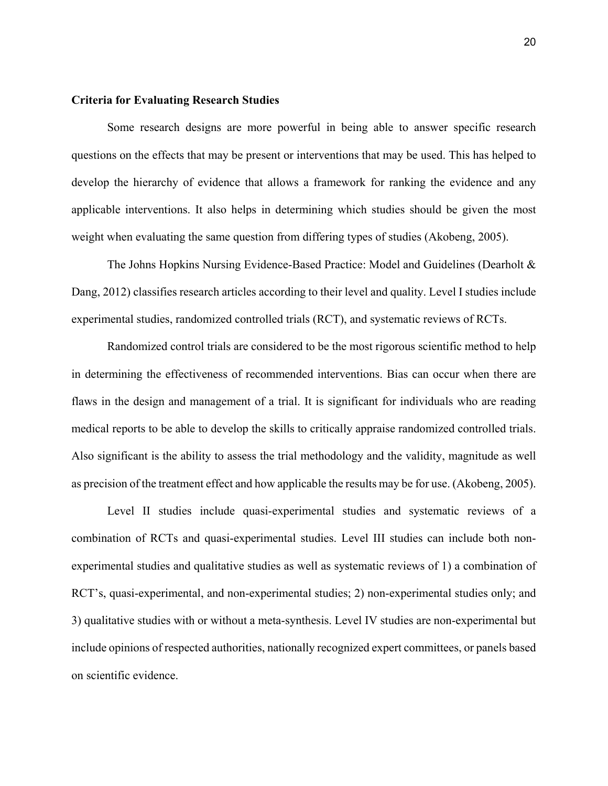# **Criteria for Evaluating Research Studies**

Some research designs are more powerful in being able to answer specific research questions on the effects that may be present or interventions that may be used. This has helped to develop the hierarchy of evidence that allows a framework for ranking the evidence and any applicable interventions. It also helps in determining which studies should be given the most weight when evaluating the same question from differing types of studies (Akobeng, 2005).

The Johns Hopkins Nursing Evidence-Based Practice: Model and Guidelines (Dearholt & Dang, 2012) classifies research articles according to their level and quality. Level I studies include experimental studies, randomized controlled trials (RCT), and systematic reviews of RCTs.

Randomized control trials are considered to be the most rigorous scientific method to help in determining the effectiveness of recommended interventions. Bias can occur when there are flaws in the design and management of a trial. It is significant for individuals who are reading medical reports to be able to develop the skills to critically appraise randomized controlled trials. Also significant is the ability to assess the trial methodology and the validity, magnitude as well as precision of the treatment effect and how applicable the results may be for use. (Akobeng, 2005).

Level II studies include quasi-experimental studies and systematic reviews of a combination of RCTs and quasi-experimental studies. Level III studies can include both nonexperimental studies and qualitative studies as well as systematic reviews of 1) a combination of RCT's, quasi-experimental, and non-experimental studies; 2) non-experimental studies only; and 3) qualitative studies with or without a meta-synthesis. Level IV studies are non-experimental but include opinions of respected authorities, nationally recognized expert committees, or panels based on scientific evidence.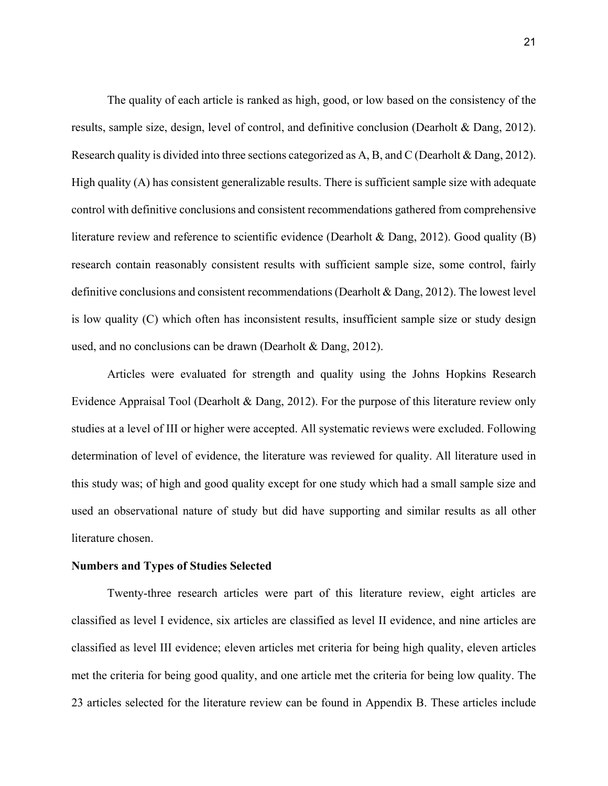The quality of each article is ranked as high, good, or low based on the consistency of the results, sample size, design, level of control, and definitive conclusion (Dearholt & Dang, 2012). Research quality is divided into three sections categorized as A, B, and C (Dearholt & Dang, 2012). High quality (A) has consistent generalizable results. There is sufficient sample size with adequate control with definitive conclusions and consistent recommendations gathered from comprehensive literature review and reference to scientific evidence (Dearholt & Dang, 2012). Good quality (B) research contain reasonably consistent results with sufficient sample size, some control, fairly definitive conclusions and consistent recommendations (Dearholt & Dang, 2012). The lowest level is low quality (C) which often has inconsistent results, insufficient sample size or study design used, and no conclusions can be drawn (Dearholt & Dang, 2012).

 Articles were evaluated for strength and quality using the Johns Hopkins Research Evidence Appraisal Tool (Dearholt & Dang, 2012). For the purpose of this literature review only studies at a level of III or higher were accepted. All systematic reviews were excluded. Following determination of level of evidence, the literature was reviewed for quality. All literature used in this study was; of high and good quality except for one study which had a small sample size and used an observational nature of study but did have supporting and similar results as all other literature chosen.

#### **Numbers and Types of Studies Selected**

Twenty-three research articles were part of this literature review, eight articles are classified as level I evidence, six articles are classified as level II evidence, and nine articles are classified as level III evidence; eleven articles met criteria for being high quality, eleven articles met the criteria for being good quality, and one article met the criteria for being low quality. The 23 articles selected for the literature review can be found in Appendix B. These articles include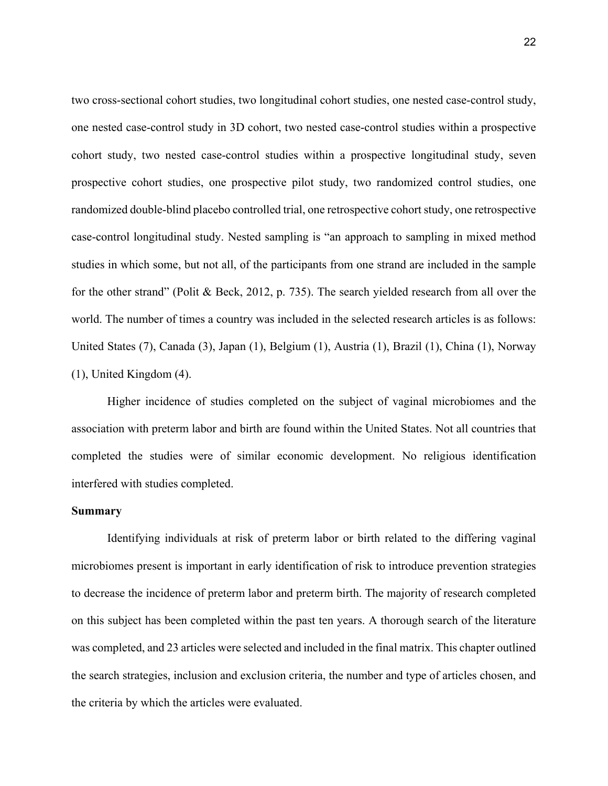two cross-sectional cohort studies, two longitudinal cohort studies, one nested case-control study, one nested case-control study in 3D cohort, two nested case-control studies within a prospective cohort study, two nested case-control studies within a prospective longitudinal study, seven prospective cohort studies, one prospective pilot study, two randomized control studies, one randomized double-blind placebo controlled trial, one retrospective cohort study, one retrospective case-control longitudinal study. Nested sampling is "an approach to sampling in mixed method studies in which some, but not all, of the participants from one strand are included in the sample for the other strand" (Polit & Beck, 2012, p. 735). The search yielded research from all over the world. The number of times a country was included in the selected research articles is as follows: United States (7), Canada (3), Japan (1), Belgium (1), Austria (1), Brazil (1), China (1), Norway (1), United Kingdom (4).

Higher incidence of studies completed on the subject of vaginal microbiomes and the association with preterm labor and birth are found within the United States. Not all countries that completed the studies were of similar economic development. No religious identification interfered with studies completed.

# **Summary**

Identifying individuals at risk of preterm labor or birth related to the differing vaginal microbiomes present is important in early identification of risk to introduce prevention strategies to decrease the incidence of preterm labor and preterm birth. The majority of research completed on this subject has been completed within the past ten years. A thorough search of the literature was completed, and 23 articles were selected and included in the final matrix. This chapter outlined the search strategies, inclusion and exclusion criteria, the number and type of articles chosen, and the criteria by which the articles were evaluated.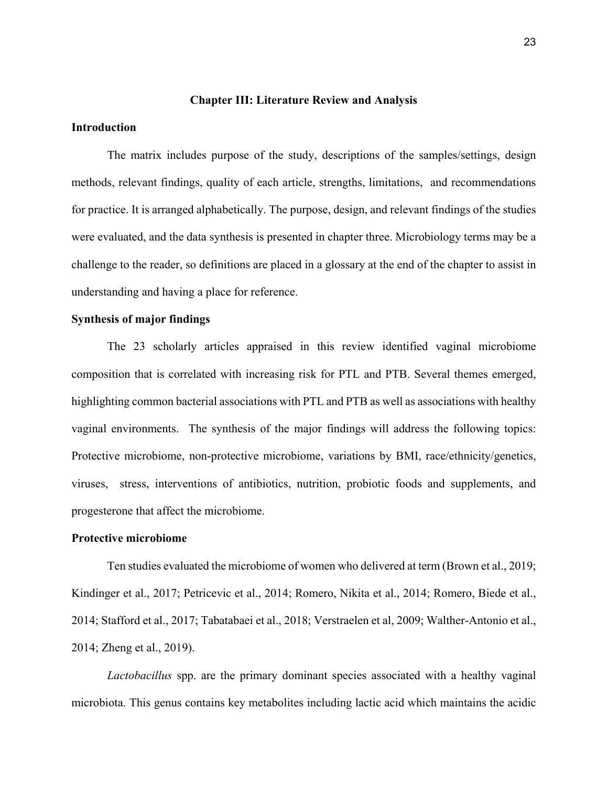# **Chapter III: Literature Review and Analysis**

# **Introduction**

The matrix includes purpose of the study, descriptions of the samples/settings, design methods, relevant findings, quality of each article, strengths, limitations, and recommendations for practice. It is arranged alphabetically. The purpose, design, and relevant findings of the studies were evaluated, and the data synthesis is presented in chapter three. Microbiology terms may be a challenge to the reader, so definitions are placed in a glossary at the end of the chapter to assist in understanding and having a place for reference.

# **Synthesis of major findings**

The 23 scholarly articles appraised in this review identified vaginal microbiome composition that is correlated with increasing risk for PTL and PTB. Several themes emerged, highlighting common bacterial associations with PTL and PTB as well as associations with healthy vaginal environments. The synthesis of the major findings will address the following topics: Protective microbiome, non-protective microbiome, variations by BMI, race/ethnicity/genetics, viruses, stress, interventions of antibiotics, nutrition, probiotic foods and supplements, and progesterone that affect the microbiome.

# **Protective microbiome**

Ten studies evaluated the microbiome of women who delivered at term (Brown et al., 2019; Kindinger et al., 2017; Petricevic et al., 2014; Romero, Nikita et al., 2014; Romero, Biede et al., 2014; Stafford et al., 2017; Tabatabaei et al., 2018; Verstraelen et al, 2009; Walther-Antonio et al., 2014; Zheng et al., 2019).

*Lactobacillus* spp. are the primary dominant species associated with a healthy vaginal microbiota. This genus contains key metabolites including lactic acid which maintains the acidic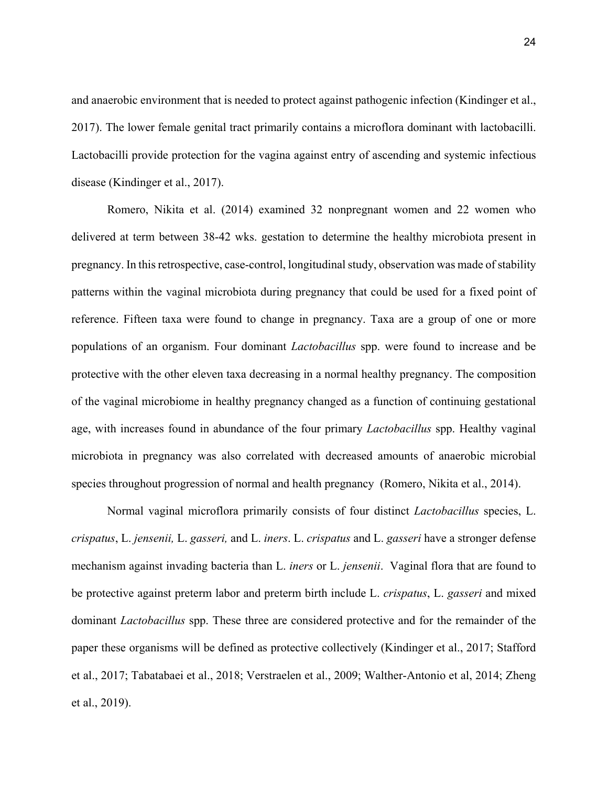and anaerobic environment that is needed to protect against pathogenic infection (Kindinger et al., 2017). The lower female genital tract primarily contains a microflora dominant with lactobacilli. Lactobacilli provide protection for the vagina against entry of ascending and systemic infectious disease (Kindinger et al., 2017).

Romero, Nikita et al. (2014) examined 32 nonpregnant women and 22 women who delivered at term between 38-42 wks. gestation to determine the healthy microbiota present in pregnancy. In this retrospective, case-control, longitudinal study, observation was made of stability patterns within the vaginal microbiota during pregnancy that could be used for a fixed point of reference. Fifteen taxa were found to change in pregnancy. Taxa are a group of one or more populations of an organism. Four dominant *Lactobacillus* spp. were found to increase and be protective with the other eleven taxa decreasing in a normal healthy pregnancy. The composition of the vaginal microbiome in healthy pregnancy changed as a function of continuing gestational age, with increases found in abundance of the four primary *Lactobacillus* spp. Healthy vaginal microbiota in pregnancy was also correlated with decreased amounts of anaerobic microbial species throughout progression of normal and health pregnancy (Romero, Nikita et al., 2014).

Normal vaginal microflora primarily consists of four distinct *Lactobacillus* species, L. *crispatus*, L. *jensenii,* L. *gasseri,* and L. *iners*. L. *crispatus* and L. *gasseri* have a stronger defense mechanism against invading bacteria than L. *iners* or L. *jensenii*. Vaginal flora that are found to be protective against preterm labor and preterm birth include L. *crispatus*, L. *gasseri* and mixed dominant *Lactobacillus* spp. These three are considered protective and for the remainder of the paper these organisms will be defined as protective collectively (Kindinger et al., 2017; Stafford et al., 2017; Tabatabaei et al., 2018; Verstraelen et al., 2009; Walther-Antonio et al, 2014; Zheng et al., 2019).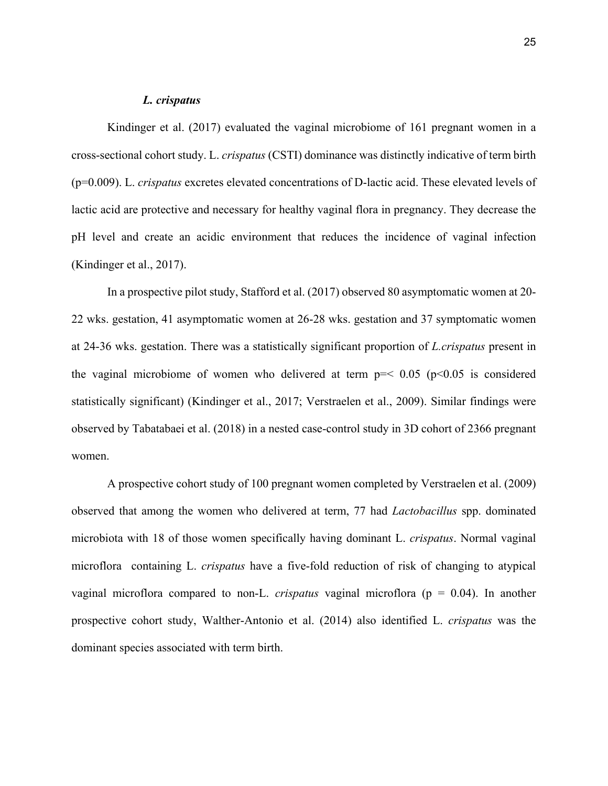# *L. crispatus*

Kindinger et al. (2017) evaluated the vaginal microbiome of 161 pregnant women in a cross-sectional cohort study. L. *crispatus* (CSTI) dominance was distinctly indicative of term birth (p=0.009). L. *crispatus* excretes elevated concentrations of D-lactic acid. These elevated levels of lactic acid are protective and necessary for healthy vaginal flora in pregnancy. They decrease the pH level and create an acidic environment that reduces the incidence of vaginal infection (Kindinger et al., 2017).

In a prospective pilot study, Stafford et al. (2017) observed 80 asymptomatic women at 20- 22 wks. gestation, 41 asymptomatic women at 26-28 wks. gestation and 37 symptomatic women at 24-36 wks. gestation. There was a statistically significant proportion of *L.crispatus* present in the vaginal microbiome of women who delivered at term  $p = < 0.05$  ( $p < 0.05$ ) is considered statistically significant) (Kindinger et al., 2017; Verstraelen et al., 2009). Similar findings were observed by Tabatabaei et al. (2018) in a nested case-control study in 3D cohort of 2366 pregnant women.

A prospective cohort study of 100 pregnant women completed by Verstraelen et al. (2009) observed that among the women who delivered at term, 77 had *Lactobacillus* spp. dominated microbiota with 18 of those women specifically having dominant L. *crispatus*. Normal vaginal microflora containing L. *crispatus* have a five-fold reduction of risk of changing to atypical vaginal microflora compared to non-L. *crispatus* vaginal microflora (p = 0.04). In another prospective cohort study, Walther-Antonio et al. (2014) also identified L. *crispatus* was the dominant species associated with term birth.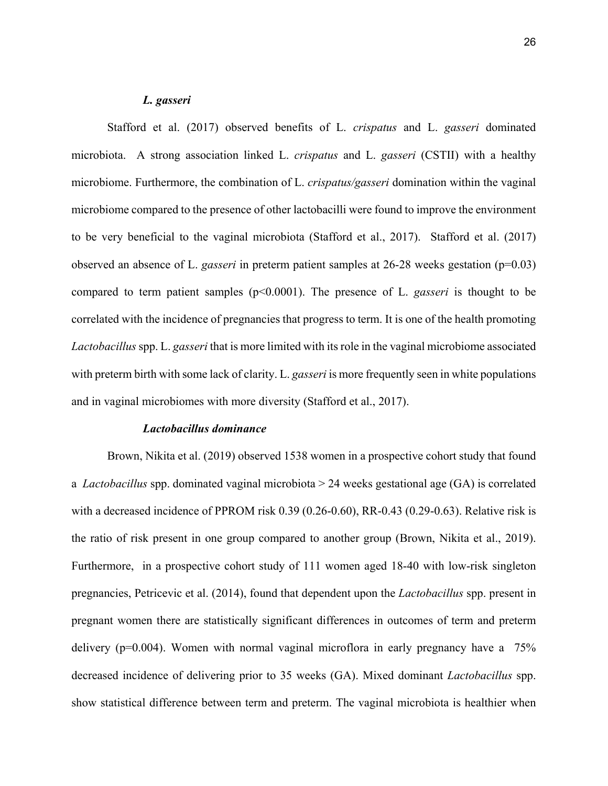# *L. gasseri*

Stafford et al. (2017) observed benefits of L. *crispatus* and L. *gasseri* dominated microbiota. A strong association linked L. *crispatus* and L. *gasseri* (CSTII) with a healthy microbiome. Furthermore, the combination of L. *crispatus/gasseri* domination within the vaginal microbiome compared to the presence of other lactobacilli were found to improve the environment to be very beneficial to the vaginal microbiota (Stafford et al., 2017). Stafford et al. (2017) observed an absence of L. *gasseri* in preterm patient samples at 26-28 weeks gestation (p=0.03) compared to term patient samples (p<0.0001). The presence of L. *gasseri* is thought to be correlated with the incidence of pregnancies that progress to term. It is one of the health promoting *Lactobacillus* spp. L. *gasseri* that is more limited with its role in the vaginal microbiome associated with preterm birth with some lack of clarity. L. *gasseri* is more frequently seen in white populations and in vaginal microbiomes with more diversity (Stafford et al., 2017).

# *Lactobacillus dominance*

Brown, Nikita et al. (2019) observed 1538 women in a prospective cohort study that found a *Lactobacillus* spp. dominated vaginal microbiota > 24 weeks gestational age (GA) is correlated with a decreased incidence of PPROM risk 0.39 (0.26-0.60), RR-0.43 (0.29-0.63). Relative risk is the ratio of risk present in one group compared to another group (Brown, Nikita et al., 2019). Furthermore, in a prospective cohort study of 111 women aged 18-40 with low-risk singleton pregnancies, Petricevic et al. (2014), found that dependent upon the *Lactobacillus* spp. present in pregnant women there are statistically significant differences in outcomes of term and preterm delivery (p=0.004). Women with normal vaginal microflora in early pregnancy have a 75% decreased incidence of delivering prior to 35 weeks (GA). Mixed dominant *Lactobacillus* spp. show statistical difference between term and preterm. The vaginal microbiota is healthier when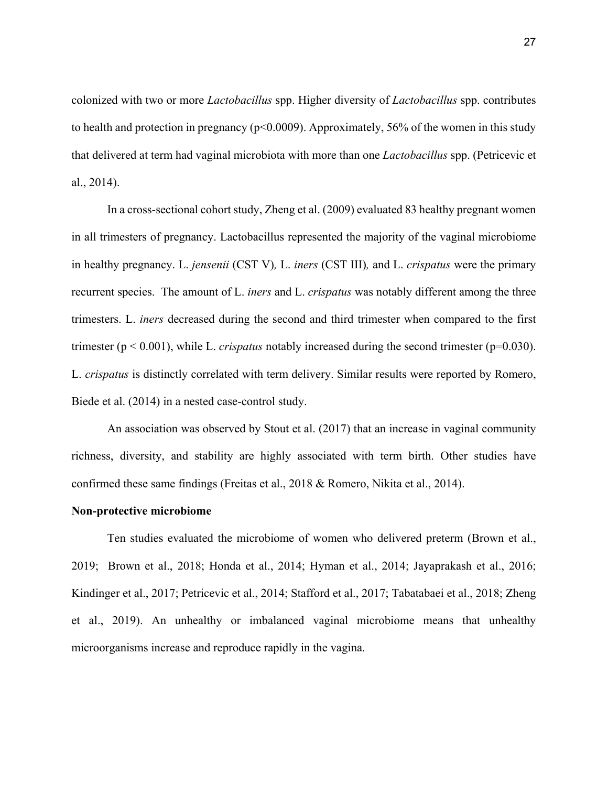colonized with two or more *Lactobacillus* spp. Higher diversity of *Lactobacillus* spp. contributes to health and protection in pregnancy ( $p<0.0009$ ). Approximately, 56% of the women in this study that delivered at term had vaginal microbiota with more than one *Lactobacillus* spp. (Petricevic et al., 2014).

In a cross-sectional cohort study, Zheng et al. (2009) evaluated 83 healthy pregnant women in all trimesters of pregnancy. Lactobacillus represented the majority of the vaginal microbiome in healthy pregnancy. L. *jensenii* (CST V)*,* L. *iners* (CST III)*,* and L. *crispatus* were the primary recurrent species. The amount of L. *iners* and L. *crispatus* was notably different among the three trimesters. L. *iners* decreased during the second and third trimester when compared to the first trimester ( $p < 0.001$ ), while L. *crispatus* notably increased during the second trimester ( $p=0.030$ ). L. *crispatus* is distinctly correlated with term delivery. Similar results were reported by Romero, Biede et al. (2014) in a nested case-control study.

An association was observed by Stout et al. (2017) that an increase in vaginal community richness, diversity, and stability are highly associated with term birth. Other studies have confirmed these same findings (Freitas et al., 2018 & Romero, Nikita et al., 2014).

## **Non-protective microbiome**

Ten studies evaluated the microbiome of women who delivered preterm (Brown et al., 2019; Brown et al., 2018; Honda et al., 2014; Hyman et al., 2014; Jayaprakash et al., 2016; Kindinger et al., 2017; Petricevic et al., 2014; Stafford et al., 2017; Tabatabaei et al., 2018; Zheng et al., 2019). An unhealthy or imbalanced vaginal microbiome means that unhealthy microorganisms increase and reproduce rapidly in the vagina.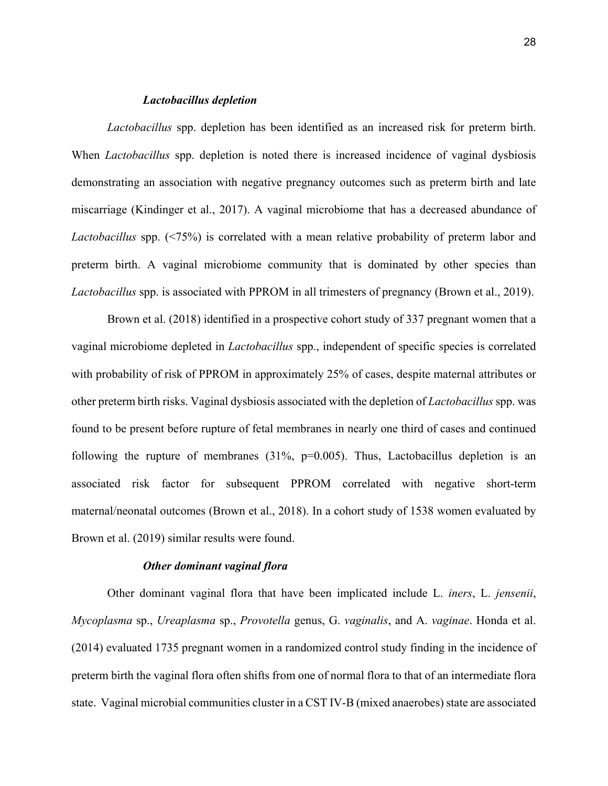# *Lactobacillus depletion*

*Lactobacillus* spp. depletion has been identified as an increased risk for preterm birth. When *Lactobacillus* spp. depletion is noted there is increased incidence of vaginal dysbiosis demonstrating an association with negative pregnancy outcomes such as preterm birth and late miscarriage (Kindinger et al., 2017). A vaginal microbiome that has a decreased abundance of *Lactobacillus* spp. (<75%) is correlated with a mean relative probability of preterm labor and preterm birth. A vaginal microbiome community that is dominated by other species than *Lactobacillus* spp. is associated with PPROM in all trimesters of pregnancy (Brown et al., 2019).

Brown et al. (2018) identified in a prospective cohort study of 337 pregnant women that a vaginal microbiome depleted in *Lactobacillus* spp., independent of specific species is correlated with probability of risk of PPROM in approximately 25% of cases, despite maternal attributes or other preterm birth risks. Vaginal dysbiosis associated with the depletion of *Lactobacillus* spp. was found to be present before rupture of fetal membranes in nearly one third of cases and continued following the rupture of membranes (31%,  $p=0.005$ ). Thus, Lactobacillus depletion is an associated risk factor for subsequent PPROM correlated with negative short-term maternal/neonatal outcomes (Brown et al., 2018). In a cohort study of 1538 women evaluated by Brown et al. (2019) similar results were found.

#### *Other dominant vaginal flora*

Other dominant vaginal flora that have been implicated include L. *iners*, L. *jensenii*, *Mycoplasma* sp., *Ureaplasma* sp., *Provotella* genus, G. *vaginalis*, and A. *vaginae*. Honda et al. (2014) evaluated 1735 pregnant women in a randomized control study finding in the incidence of preterm birth the vaginal flora often shifts from one of normal flora to that of an intermediate flora state. Vaginal microbial communities cluster in a CST IV-B (mixed anaerobes) state are associated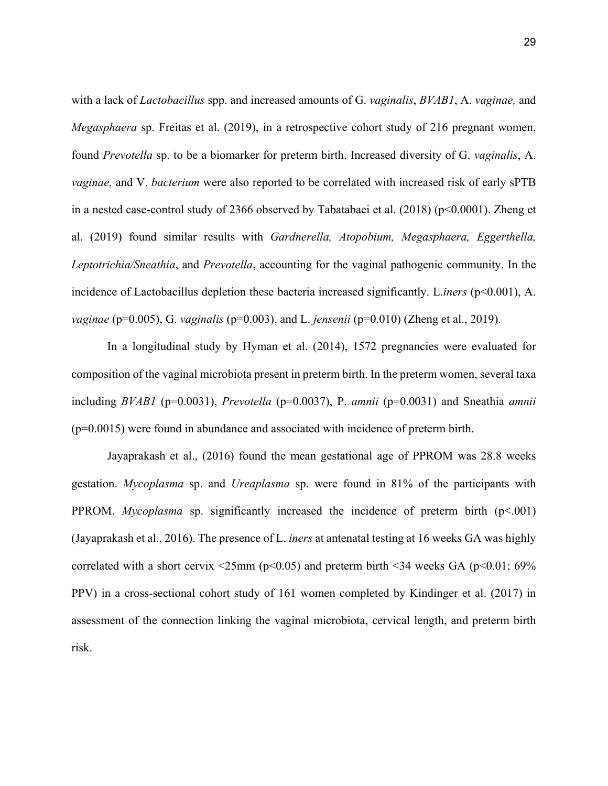with a lack of *Lactobacillus* spp. and increased amounts of G. *vaginalis*, *BVAB1*, A. *vaginae,* and *Megasphaera* sp. Freitas et al. (2019), in a retrospective cohort study of 216 pregnant women, found *Prevotella* sp. to be a biomarker for preterm birth. Increased diversity of G. *vaginalis*, A. *vaginae,* and V. *bacterium* were also reported to be correlated with increased risk of early sPTB in a nested case-control study of 2366 observed by Tabatabaei et al. (2018) (p<0.0001). Zheng et al. (2019) found similar results with *Gardnerella, Atopobium, Megasphaera, Eggerthella, Leptotrichia/Sneathia*, and *Prevotella*, accounting for the vaginal pathogenic community. In the incidence of Lactobacillus depletion these bacteria increased significantly. L.*iners* (p<0.001), A. *vaginae* (p=0.005), G. *vaginalis* (p=0.003), and L. *jensenii* (p=0.010) (Zheng et al., 2019).

In a longitudinal study by Hyman et al. (2014), 1572 pregnancies were evaluated for composition of the vaginal microbiota present in preterm birth. In the preterm women, several taxa including *BVAB1* (p=0.0031), *Prevotella* (p=0.0037), P. *amnii* (p=0.0031) and Sneathia *amnii*  (p=0.0015) were found in abundance and associated with incidence of preterm birth.

Jayaprakash et al., (2016) found the mean gestational age of PPROM was 28.8 weeks gestation. *Mycoplasma* sp. and *Ureaplasma* sp. were found in 81% of the participants with PPROM. *Mycoplasma* sp. significantly increased the incidence of preterm birth (p<.001) (Jayaprakash et al., 2016). The presence of L. *iners* at antenatal testing at 16 weeks GA was highly correlated with a short cervix  $\leq$ 25mm (p $\leq$ 0.05) and preterm birth  $\leq$ 34 weeks GA (p $\leq$ 0.01; 69%) PPV) in a cross-sectional cohort study of 161 women completed by Kindinger et al. (2017) in assessment of the connection linking the vaginal microbiota, cervical length, and preterm birth risk.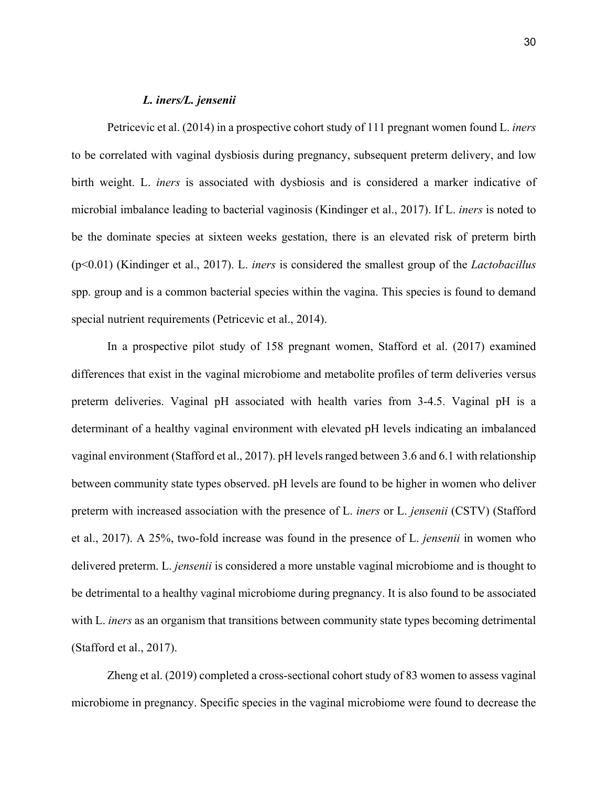# *L. iners/L. jensenii*

Petricevic et al. (2014) in a prospective cohort study of 111 pregnant women found L. *iners* to be correlated with vaginal dysbiosis during pregnancy, subsequent preterm delivery, and low birth weight. L. *iners* is associated with dysbiosis and is considered a marker indicative of microbial imbalance leading to bacterial vaginosis (Kindinger et al., 2017). If L. *iners* is noted to be the dominate species at sixteen weeks gestation, there is an elevated risk of preterm birth (p<0.01) (Kindinger et al., 2017). L. *iners* is considered the smallest group of the *Lactobacillus* spp. group and is a common bacterial species within the vagina. This species is found to demand special nutrient requirements (Petricevic et al., 2014).

In a prospective pilot study of 158 pregnant women, Stafford et al. (2017) examined differences that exist in the vaginal microbiome and metabolite profiles of term deliveries versus preterm deliveries. Vaginal pH associated with health varies from 3-4.5. Vaginal pH is a determinant of a healthy vaginal environment with elevated pH levels indicating an imbalanced vaginal environment (Stafford et al., 2017). pH levels ranged between 3.6 and 6.1 with relationship between community state types observed. pH levels are found to be higher in women who deliver preterm with increased association with the presence of L. *iners* or L. *jensenii* (CSTV) (Stafford et al., 2017). A 25%, two-fold increase was found in the presence of L. *jensenii* in women who delivered preterm. L. *jensenii* is considered a more unstable vaginal microbiome and is thought to be detrimental to a healthy vaginal microbiome during pregnancy. It is also found to be associated with L. *iners* as an organism that transitions between community state types becoming detrimental (Stafford et al., 2017).

Zheng et al. (2019) completed a cross-sectional cohort study of 83 women to assess vaginal microbiome in pregnancy. Specific species in the vaginal microbiome were found to decrease the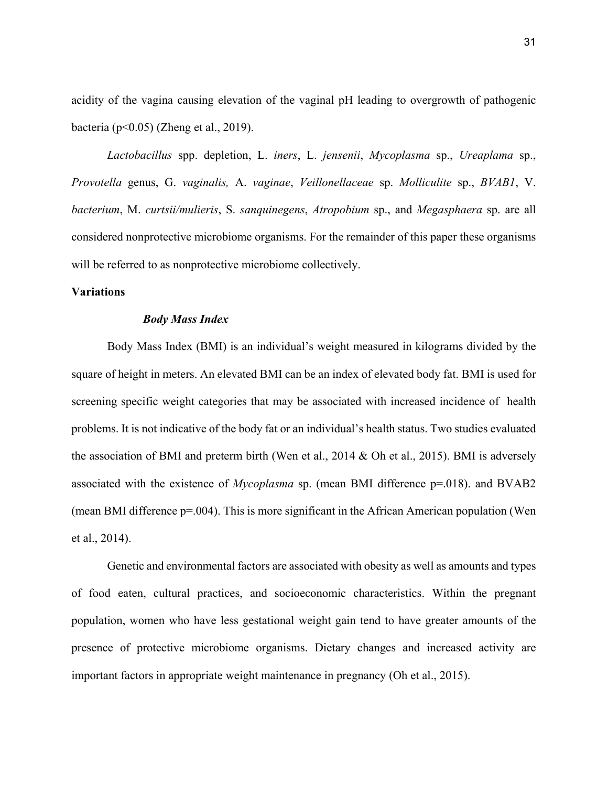acidity of the vagina causing elevation of the vaginal pH leading to overgrowth of pathogenic bacteria (p<0.05) (Zheng et al., 2019).

*Lactobacillus* spp. depletion, L. *iners*, L. *jensenii*, *Mycoplasma* sp., *Ureaplama* sp., *Provotella* genus, G. *vaginalis,* A. *vaginae*, *Veillonellaceae* sp. *Molliculite* sp., *BVAB1*, V. *bacterium*, M. *curtsii/mulieris*, S. *sanquinegens*, *Atropobium* sp., and *Megasphaera* sp. are all considered nonprotective microbiome organisms. For the remainder of this paper these organisms will be referred to as nonprotective microbiome collectively.

# **Variations**

#### *Body Mass Index*

Body Mass Index (BMI) is an individual's weight measured in kilograms divided by the square of height in meters. An elevated BMI can be an index of elevated body fat. BMI is used for screening specific weight categories that may be associated with increased incidence of health problems. It is not indicative of the body fat or an individual's health status. Two studies evaluated the association of BMI and preterm birth (Wen et al., 2014 & Oh et al., 2015). BMI is adversely associated with the existence of *Mycoplasma* sp. (mean BMI difference p=.018). and BVAB2 (mean BMI difference p=.004). This is more significant in the African American population (Wen et al., 2014).

Genetic and environmental factors are associated with obesity as well as amounts and types of food eaten, cultural practices, and socioeconomic characteristics. Within the pregnant population, women who have less gestational weight gain tend to have greater amounts of the presence of protective microbiome organisms. Dietary changes and increased activity are important factors in appropriate weight maintenance in pregnancy (Oh et al., 2015).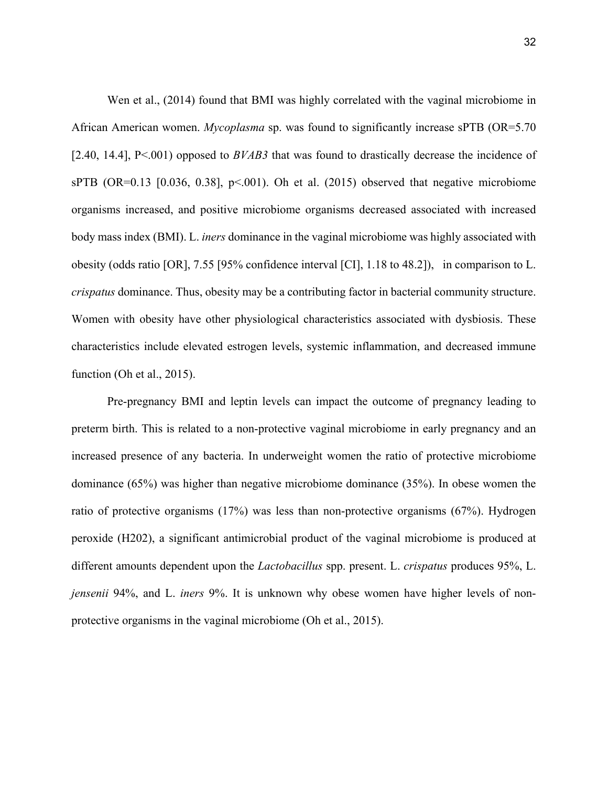Wen et al., (2014) found that BMI was highly correlated with the vaginal microbiome in African American women. *Mycoplasma* sp. was found to significantly increase sPTB (OR=5.70 [2.40, 14.4], P<.001) opposed to *BVAB3* that was found to drastically decrease the incidence of sPTB (OR=0.13 [0.036, 0.38],  $p<0.01$ ). Oh et al. (2015) observed that negative microbiome organisms increased, and positive microbiome organisms decreased associated with increased body mass index (BMI). L. *iners* dominance in the vaginal microbiome was highly associated with obesity (odds ratio [OR], 7.55 [95% confidence interval [CI], 1.18 to 48.2]), in comparison to L. *crispatus* dominance. Thus, obesity may be a contributing factor in bacterial community structure. Women with obesity have other physiological characteristics associated with dysbiosis. These characteristics include elevated estrogen levels, systemic inflammation, and decreased immune function (Oh et al., 2015).

Pre-pregnancy BMI and leptin levels can impact the outcome of pregnancy leading to preterm birth. This is related to a non-protective vaginal microbiome in early pregnancy and an increased presence of any bacteria. In underweight women the ratio of protective microbiome dominance (65%) was higher than negative microbiome dominance (35%). In obese women the ratio of protective organisms (17%) was less than non-protective organisms (67%). Hydrogen peroxide (H202), a significant antimicrobial product of the vaginal microbiome is produced at different amounts dependent upon the *Lactobacillus* spp. present. L. *crispatus* produces 95%, L. *jensenii* 94%, and L. *iners* 9%. It is unknown why obese women have higher levels of nonprotective organisms in the vaginal microbiome (Oh et al., 2015).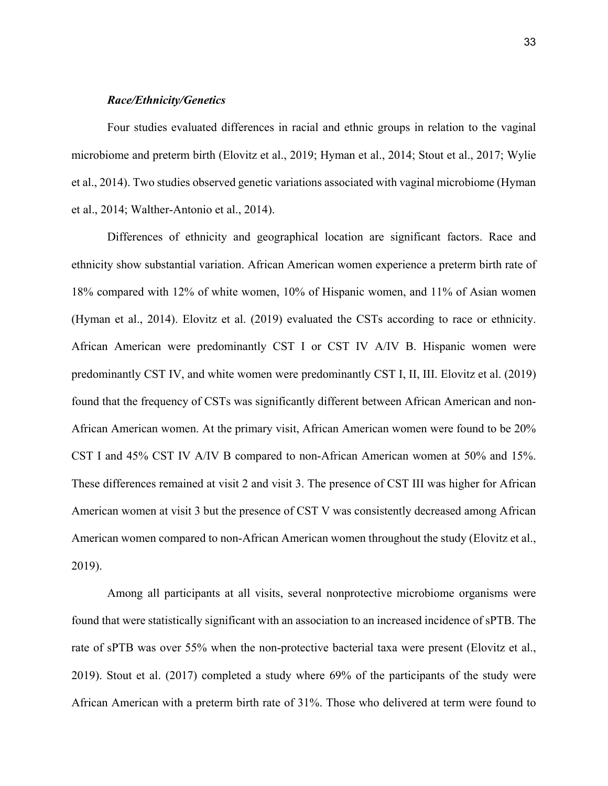# *Race/Ethnicity/Genetics*

Four studies evaluated differences in racial and ethnic groups in relation to the vaginal microbiome and preterm birth (Elovitz et al., 2019; Hyman et al., 2014; Stout et al., 2017; Wylie et al., 2014). Two studies observed genetic variations associated with vaginal microbiome (Hyman et al., 2014; Walther-Antonio et al., 2014).

Differences of ethnicity and geographical location are significant factors. Race and ethnicity show substantial variation. African American women experience a preterm birth rate of 18% compared with 12% of white women, 10% of Hispanic women, and 11% of Asian women (Hyman et al., 2014). Elovitz et al. (2019) evaluated the CSTs according to race or ethnicity. African American were predominantly CST I or CST IV A/IV B. Hispanic women were predominantly CST IV, and white women were predominantly CST I, II, III. Elovitz et al. (2019) found that the frequency of CSTs was significantly different between African American and non-African American women. At the primary visit, African American women were found to be 20% CST I and 45% CST IV A/IV B compared to non-African American women at 50% and 15%. These differences remained at visit 2 and visit 3. The presence of CST III was higher for African American women at visit 3 but the presence of CST V was consistently decreased among African American women compared to non-African American women throughout the study (Elovitz et al., 2019).

Among all participants at all visits, several nonprotective microbiome organisms were found that were statistically significant with an association to an increased incidence of sPTB. The rate of sPTB was over 55% when the non-protective bacterial taxa were present (Elovitz et al., 2019). Stout et al. (2017) completed a study where 69% of the participants of the study were African American with a preterm birth rate of 31%. Those who delivered at term were found to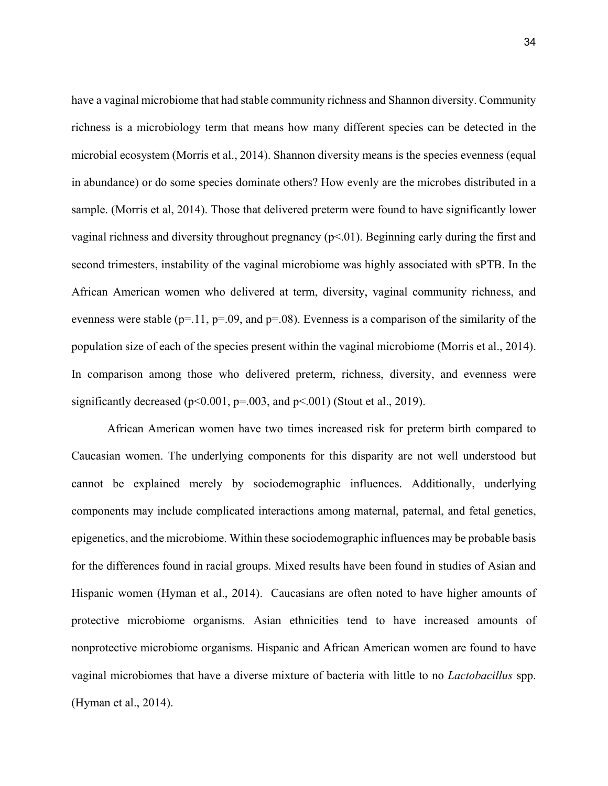have a vaginal microbiome that had stable community richness and Shannon diversity. Community richness is a microbiology term that means how many different species can be detected in the microbial ecosystem (Morris et al., 2014). Shannon diversity means is the species evenness (equal in abundance) or do some species dominate others? How evenly are the microbes distributed in a sample. (Morris et al, 2014). Those that delivered preterm were found to have significantly lower vaginal richness and diversity throughout pregnancy  $(p<0.01)$ . Beginning early during the first and second trimesters, instability of the vaginal microbiome was highly associated with sPTB. In the African American women who delivered at term, diversity, vaginal community richness, and evenness were stable ( $p=11$ ,  $p=0.09$ , and  $p=0.08$ ). Evenness is a comparison of the similarity of the population size of each of the species present within the vaginal microbiome (Morris et al., 2014). In comparison among those who delivered preterm, richness, diversity, and evenness were significantly decreased ( $p<0.001$ ,  $p=0.003$ , and  $p<0.01$ ) (Stout et al., 2019).

African American women have two times increased risk for preterm birth compared to Caucasian women. The underlying components for this disparity are not well understood but cannot be explained merely by sociodemographic influences. Additionally, underlying components may include complicated interactions among maternal, paternal, and fetal genetics, epigenetics, and the microbiome. Within these sociodemographic influences may be probable basis for the differences found in racial groups. Mixed results have been found in studies of Asian and Hispanic women (Hyman et al., 2014). Caucasians are often noted to have higher amounts of protective microbiome organisms. Asian ethnicities tend to have increased amounts of nonprotective microbiome organisms. Hispanic and African American women are found to have vaginal microbiomes that have a diverse mixture of bacteria with little to no *Lactobacillus* spp. (Hyman et al., 2014).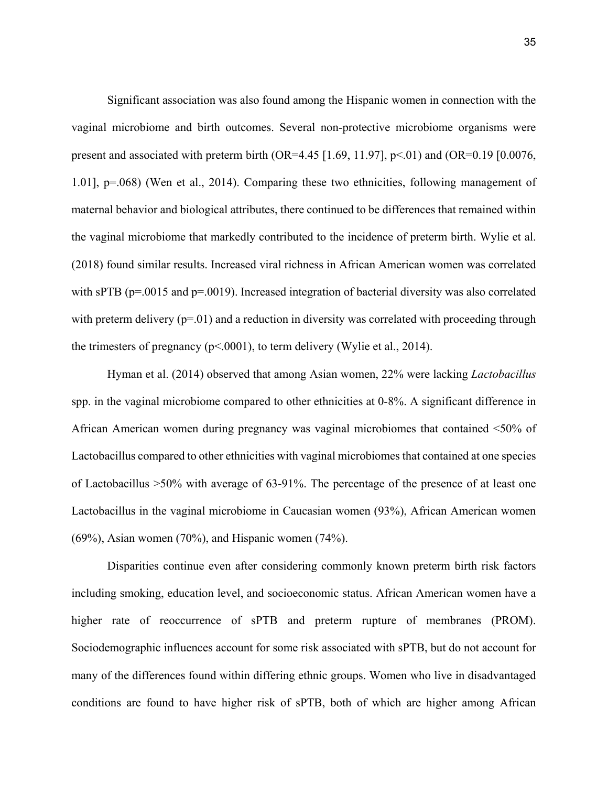Significant association was also found among the Hispanic women in connection with the vaginal microbiome and birth outcomes. Several non-protective microbiome organisms were present and associated with preterm birth (OR=4.45 [1.69, 11.97],  $p<0$ 1) and (OR=0.19 [0.0076, 1.01], p=.068) (Wen et al., 2014). Comparing these two ethnicities, following management of maternal behavior and biological attributes, there continued to be differences that remained within the vaginal microbiome that markedly contributed to the incidence of preterm birth. Wylie et al. (2018) found similar results. Increased viral richness in African American women was correlated with sPTB (p=.0015 and p=.0019). Increased integration of bacterial diversity was also correlated with preterm delivery ( $p=01$ ) and a reduction in diversity was correlated with proceeding through the trimesters of pregnancy ( $p<.0001$ ), to term delivery (Wylie et al., 2014).

Hyman et al. (2014) observed that among Asian women, 22% were lacking *Lactobacillus*  spp. in the vaginal microbiome compared to other ethnicities at 0-8%. A significant difference in African American women during pregnancy was vaginal microbiomes that contained <50% of Lactobacillus compared to other ethnicities with vaginal microbiomes that contained at one species of Lactobacillus >50% with average of 63-91%. The percentage of the presence of at least one Lactobacillus in the vaginal microbiome in Caucasian women (93%), African American women (69%), Asian women (70%), and Hispanic women (74%).

Disparities continue even after considering commonly known preterm birth risk factors including smoking, education level, and socioeconomic status. African American women have a higher rate of reoccurrence of sPTB and preterm rupture of membranes (PROM). Sociodemographic influences account for some risk associated with sPTB, but do not account for many of the differences found within differing ethnic groups. Women who live in disadvantaged conditions are found to have higher risk of sPTB, both of which are higher among African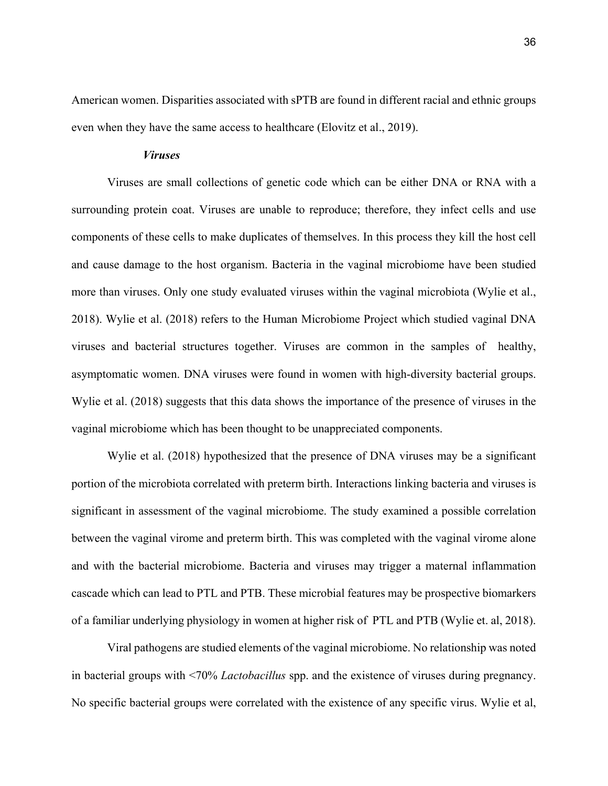American women. Disparities associated with sPTB are found in different racial and ethnic groups even when they have the same access to healthcare (Elovitz et al., 2019).

### *Viruses*

Viruses are small collections of genetic code which can be either DNA or RNA with a surrounding protein coat. Viruses are unable to reproduce; therefore, they infect cells and use components of these cells to make duplicates of themselves. In this process they kill the host cell and cause damage to the host organism. Bacteria in the vaginal microbiome have been studied more than viruses. Only one study evaluated viruses within the vaginal microbiota (Wylie et al., 2018). Wylie et al. (2018) refers to the Human Microbiome Project which studied vaginal DNA viruses and bacterial structures together. Viruses are common in the samples of healthy, asymptomatic women. DNA viruses were found in women with high-diversity bacterial groups. Wylie et al. (2018) suggests that this data shows the importance of the presence of viruses in the vaginal microbiome which has been thought to be unappreciated components.

Wylie et al. (2018) hypothesized that the presence of DNA viruses may be a significant portion of the microbiota correlated with preterm birth. Interactions linking bacteria and viruses is significant in assessment of the vaginal microbiome. The study examined a possible correlation between the vaginal virome and preterm birth. This was completed with the vaginal virome alone and with the bacterial microbiome. Bacteria and viruses may trigger a maternal inflammation cascade which can lead to PTL and PTB. These microbial features may be prospective biomarkers of a familiar underlying physiology in women at higher risk of PTL and PTB (Wylie et. al, 2018).

Viral pathogens are studied elements of the vaginal microbiome. No relationship was noted in bacterial groups with <70% *Lactobacillus* spp. and the existence of viruses during pregnancy. No specific bacterial groups were correlated with the existence of any specific virus. Wylie et al,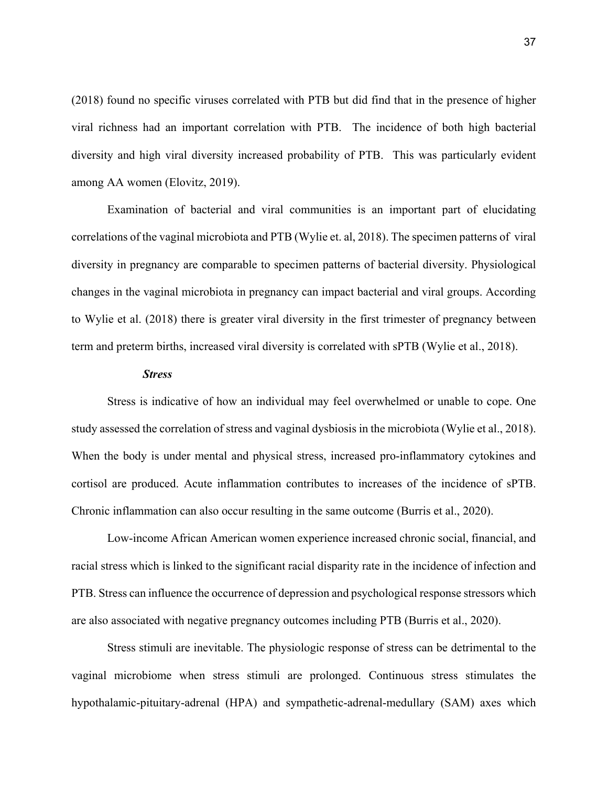(2018) found no specific viruses correlated with PTB but did find that in the presence of higher viral richness had an important correlation with PTB. The incidence of both high bacterial diversity and high viral diversity increased probability of PTB. This was particularly evident among AA women (Elovitz, 2019).

Examination of bacterial and viral communities is an important part of elucidating correlations of the vaginal microbiota and PTB (Wylie et. al, 2018). The specimen patterns of viral diversity in pregnancy are comparable to specimen patterns of bacterial diversity. Physiological changes in the vaginal microbiota in pregnancy can impact bacterial and viral groups. According to Wylie et al. (2018) there is greater viral diversity in the first trimester of pregnancy between term and preterm births, increased viral diversity is correlated with sPTB (Wylie et al., 2018).

#### *Stress*

Stress is indicative of how an individual may feel overwhelmed or unable to cope. One study assessed the correlation of stress and vaginal dysbiosis in the microbiota (Wylie et al., 2018). When the body is under mental and physical stress, increased pro-inflammatory cytokines and cortisol are produced. Acute inflammation contributes to increases of the incidence of sPTB. Chronic inflammation can also occur resulting in the same outcome (Burris et al., 2020).

Low-income African American women experience increased chronic social, financial, and racial stress which is linked to the significant racial disparity rate in the incidence of infection and PTB. Stress can influence the occurrence of depression and psychological response stressors which are also associated with negative pregnancy outcomes including PTB (Burris et al., 2020).

Stress stimuli are inevitable. The physiologic response of stress can be detrimental to the vaginal microbiome when stress stimuli are prolonged. Continuous stress stimulates the hypothalamic-pituitary-adrenal (HPA) and sympathetic-adrenal-medullary (SAM) axes which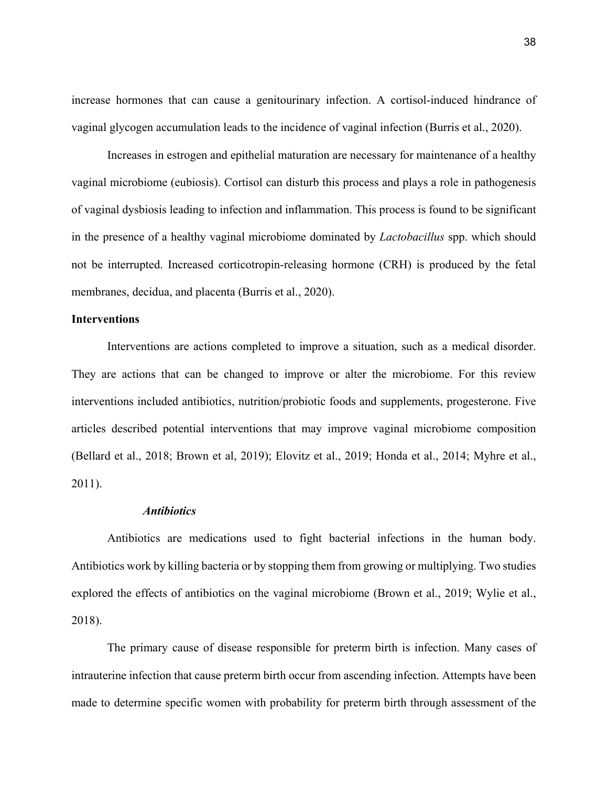increase hormones that can cause a genitourinary infection. A cortisol-induced hindrance of vaginal glycogen accumulation leads to the incidence of vaginal infection (Burris et al., 2020).

Increases in estrogen and epithelial maturation are necessary for maintenance of a healthy vaginal microbiome (eubiosis). Cortisol can disturb this process and plays a role in pathogenesis of vaginal dysbiosis leading to infection and inflammation. This process is found to be significant in the presence of a healthy vaginal microbiome dominated by *Lactobacillus* spp. which should not be interrupted. Increased corticotropin-releasing hormone (CRH) is produced by the fetal membranes, decidua, and placenta (Burris et al., 2020).

### **Interventions**

Interventions are actions completed to improve a situation, such as a medical disorder. They are actions that can be changed to improve or alter the microbiome. For this review interventions included antibiotics, nutrition/probiotic foods and supplements, progesterone. Five articles described potential interventions that may improve vaginal microbiome composition (Bellard et al., 2018; Brown et al, 2019); Elovitz et al., 2019; Honda et al., 2014; Myhre et al., 2011).

#### *Antibiotics*

Antibiotics are medications used to fight bacterial infections in the human body. Antibiotics work by killing bacteria or by stopping them from growing or multiplying. Two studies explored the effects of antibiotics on the vaginal microbiome (Brown et al., 2019; Wylie et al., 2018).

The primary cause of disease responsible for preterm birth is infection. Many cases of intrauterine infection that cause preterm birth occur from ascending infection. Attempts have been made to determine specific women with probability for preterm birth through assessment of the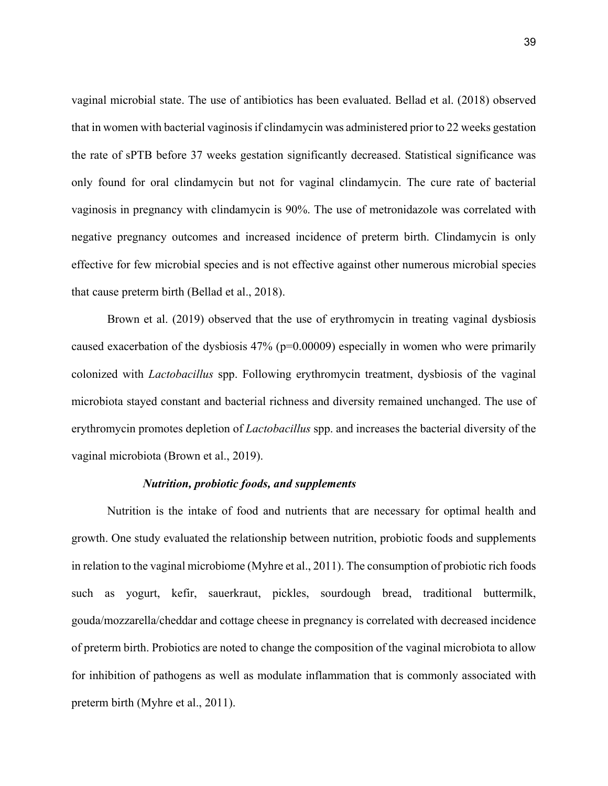vaginal microbial state. The use of antibiotics has been evaluated. Bellad et al. (2018) observed that in women with bacterial vaginosis if clindamycin was administered prior to 22 weeks gestation the rate of sPTB before 37 weeks gestation significantly decreased. Statistical significance was only found for oral clindamycin but not for vaginal clindamycin. The cure rate of bacterial vaginosis in pregnancy with clindamycin is 90%. The use of metronidazole was correlated with negative pregnancy outcomes and increased incidence of preterm birth. Clindamycin is only effective for few microbial species and is not effective against other numerous microbial species that cause preterm birth (Bellad et al., 2018).

Brown et al. (2019) observed that the use of erythromycin in treating vaginal dysbiosis caused exacerbation of the dysbiosis  $47\%$  (p=0.00009) especially in women who were primarily colonized with *Lactobacillus* spp. Following erythromycin treatment, dysbiosis of the vaginal microbiota stayed constant and bacterial richness and diversity remained unchanged. The use of erythromycin promotes depletion of *Lactobacillus* spp. and increases the bacterial diversity of the vaginal microbiota (Brown et al., 2019).

## *Nutrition, probiotic foods, and supplements*

Nutrition is the intake of food and nutrients that are necessary for optimal health and growth. One study evaluated the relationship between nutrition, probiotic foods and supplements in relation to the vaginal microbiome (Myhre et al., 2011). The consumption of probiotic rich foods such as yogurt, kefir, sauerkraut, pickles, sourdough bread, traditional buttermilk, gouda/mozzarella/cheddar and cottage cheese in pregnancy is correlated with decreased incidence of preterm birth. Probiotics are noted to change the composition of the vaginal microbiota to allow for inhibition of pathogens as well as modulate inflammation that is commonly associated with preterm birth (Myhre et al., 2011).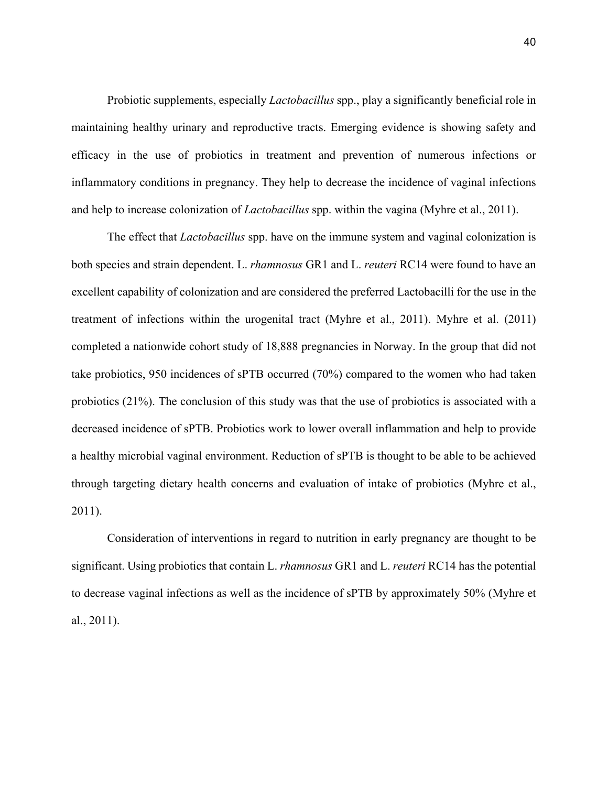Probiotic supplements, especially *Lactobacillus* spp., play a significantly beneficial role in maintaining healthy urinary and reproductive tracts. Emerging evidence is showing safety and efficacy in the use of probiotics in treatment and prevention of numerous infections or inflammatory conditions in pregnancy. They help to decrease the incidence of vaginal infections and help to increase colonization of *Lactobacillus* spp. within the vagina (Myhre et al., 2011).

The effect that *Lactobacillus* spp. have on the immune system and vaginal colonization is both species and strain dependent. L. *rhamnosus* GR1 and L. *reuteri* RC14 were found to have an excellent capability of colonization and are considered the preferred Lactobacilli for the use in the treatment of infections within the urogenital tract (Myhre et al., 2011). Myhre et al. (2011) completed a nationwide cohort study of 18,888 pregnancies in Norway. In the group that did not take probiotics, 950 incidences of sPTB occurred (70%) compared to the women who had taken probiotics (21%). The conclusion of this study was that the use of probiotics is associated with a decreased incidence of sPTB. Probiotics work to lower overall inflammation and help to provide a healthy microbial vaginal environment. Reduction of sPTB is thought to be able to be achieved through targeting dietary health concerns and evaluation of intake of probiotics (Myhre et al., 2011).

Consideration of interventions in regard to nutrition in early pregnancy are thought to be significant. Using probiotics that contain L. *rhamnosus* GR1 and L. *reuteri* RC14 has the potential to decrease vaginal infections as well as the incidence of sPTB by approximately 50% (Myhre et al., 2011).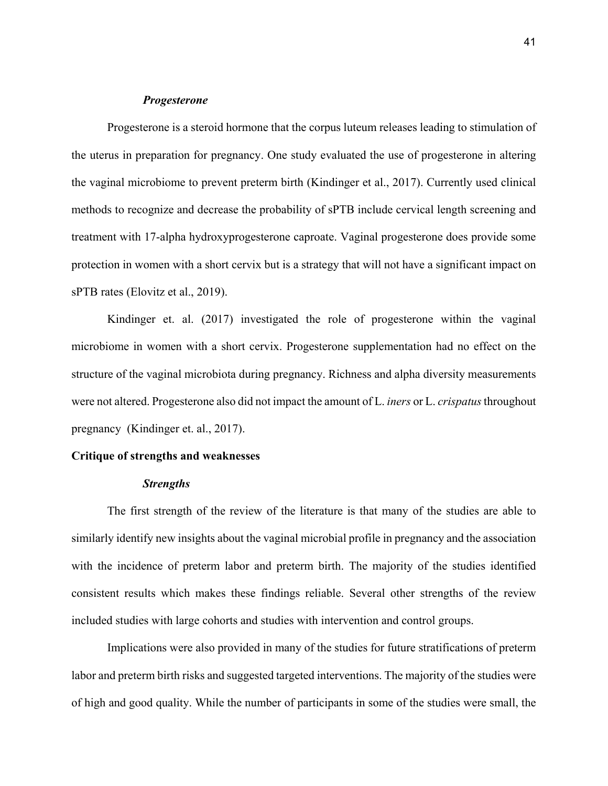### *Progesterone*

Progesterone is a steroid hormone that the corpus luteum releases leading to stimulation of the uterus in preparation for pregnancy. One study evaluated the use of progesterone in altering the vaginal microbiome to prevent preterm birth (Kindinger et al., 2017). Currently used clinical methods to recognize and decrease the probability of sPTB include cervical length screening and treatment with 17-alpha hydroxyprogesterone caproate. Vaginal progesterone does provide some protection in women with a short cervix but is a strategy that will not have a significant impact on sPTB rates (Elovitz et al., 2019).

Kindinger et. al. (2017) investigated the role of progesterone within the vaginal microbiome in women with a short cervix. Progesterone supplementation had no effect on the structure of the vaginal microbiota during pregnancy. Richness and alpha diversity measurements were not altered. Progesterone also did not impact the amount of L. *iners* or L. *crispatus* throughout pregnancy (Kindinger et. al., 2017).

#### **Critique of strengths and weaknesses**

#### *Strengths*

The first strength of the review of the literature is that many of the studies are able to similarly identify new insights about the vaginal microbial profile in pregnancy and the association with the incidence of preterm labor and preterm birth. The majority of the studies identified consistent results which makes these findings reliable. Several other strengths of the review included studies with large cohorts and studies with intervention and control groups.

Implications were also provided in many of the studies for future stratifications of preterm labor and preterm birth risks and suggested targeted interventions. The majority of the studies were of high and good quality. While the number of participants in some of the studies were small, the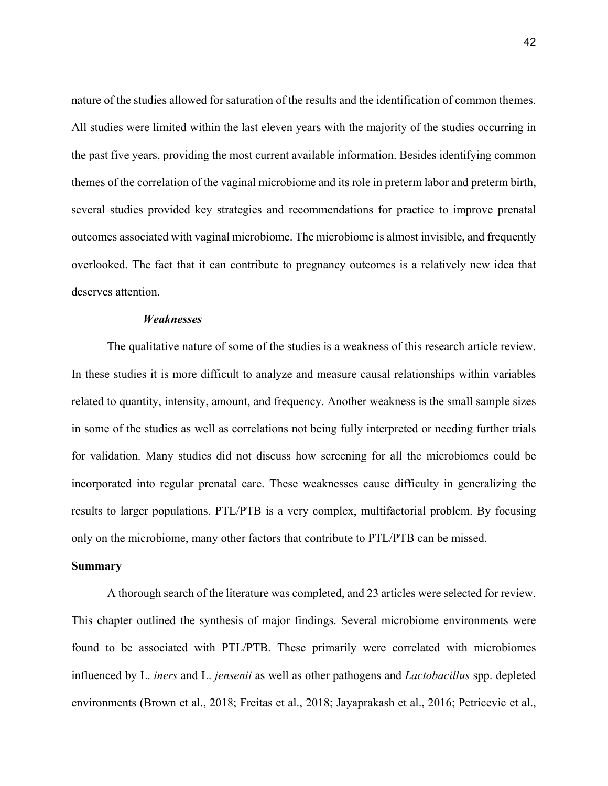nature of the studies allowed for saturation of the results and the identification of common themes. All studies were limited within the last eleven years with the majority of the studies occurring in the past five years, providing the most current available information. Besides identifying common themes of the correlation of the vaginal microbiome and its role in preterm labor and preterm birth, several studies provided key strategies and recommendations for practice to improve prenatal outcomes associated with vaginal microbiome. The microbiome is almost invisible, and frequently overlooked. The fact that it can contribute to pregnancy outcomes is a relatively new idea that deserves attention.

# *Weaknesses*

The qualitative nature of some of the studies is a weakness of this research article review. In these studies it is more difficult to analyze and measure causal relationships within variables related to quantity, intensity, amount, and frequency. Another weakness is the small sample sizes in some of the studies as well as correlations not being fully interpreted or needing further trials for validation. Many studies did not discuss how screening for all the microbiomes could be incorporated into regular prenatal care. These weaknesses cause difficulty in generalizing the results to larger populations. PTL/PTB is a very complex, multifactorial problem. By focusing only on the microbiome, many other factors that contribute to PTL/PTB can be missed.

#### **Summary**

A thorough search of the literature was completed, and 23 articles were selected for review. This chapter outlined the synthesis of major findings. Several microbiome environments were found to be associated with PTL/PTB. These primarily were correlated with microbiomes influenced by L. *iners* and L. *jensenii* as well as other pathogens and *Lactobacillus* spp. depleted environments (Brown et al., 2018; Freitas et al., 2018; Jayaprakash et al., 2016; Petricevic et al.,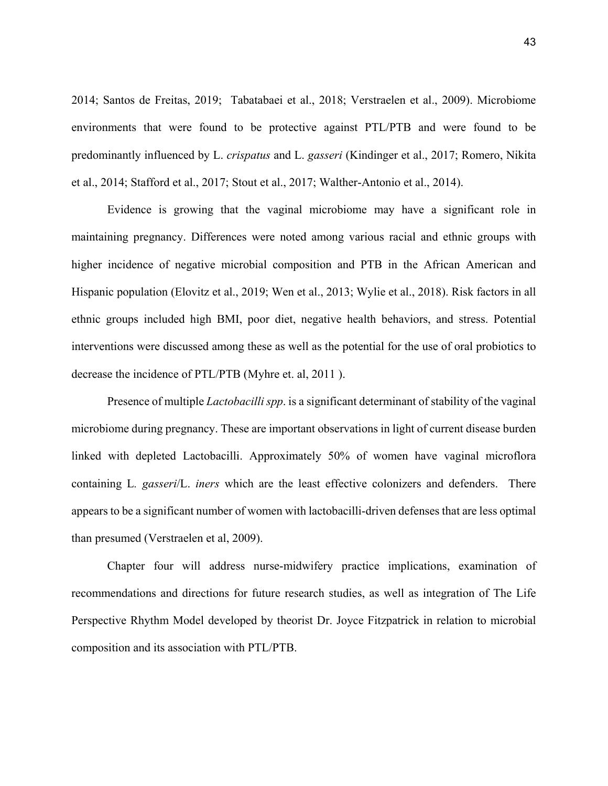2014; Santos de Freitas, 2019; Tabatabaei et al., 2018; Verstraelen et al., 2009). Microbiome environments that were found to be protective against PTL/PTB and were found to be predominantly influenced by L. *crispatus* and L. *gasseri* (Kindinger et al., 2017; Romero, Nikita et al., 2014; Stafford et al., 2017; Stout et al., 2017; Walther-Antonio et al., 2014).

Evidence is growing that the vaginal microbiome may have a significant role in maintaining pregnancy. Differences were noted among various racial and ethnic groups with higher incidence of negative microbial composition and PTB in the African American and Hispanic population (Elovitz et al., 2019; Wen et al., 2013; Wylie et al., 2018). Risk factors in all ethnic groups included high BMI, poor diet, negative health behaviors, and stress. Potential interventions were discussed among these as well as the potential for the use of oral probiotics to decrease the incidence of PTL/PTB (Myhre et. al, 2011 ).

Presence of multiple *Lactobacilli spp*. is a significant determinant of stability of the vaginal microbiome during pregnancy. These are important observations in light of current disease burden linked with depleted Lactobacilli. Approximately 50% of women have vaginal microflora containing L*. gasseri*/L. *iners* which are the least effective colonizers and defenders. There appears to be a significant number of women with lactobacilli-driven defenses that are less optimal than presumed (Verstraelen et al, 2009).

Chapter four will address nurse-midwifery practice implications, examination of recommendations and directions for future research studies, as well as integration of The Life Perspective Rhythm Model developed by theorist Dr. Joyce Fitzpatrick in relation to microbial composition and its association with PTL/PTB.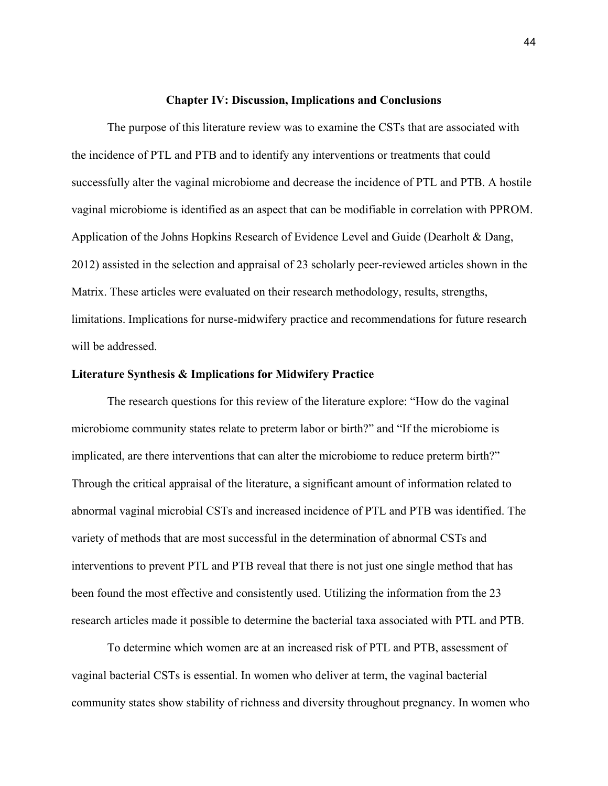#### **Chapter IV: Discussion, Implications and Conclusions**

The purpose of this literature review was to examine the CSTs that are associated with the incidence of PTL and PTB and to identify any interventions or treatments that could successfully alter the vaginal microbiome and decrease the incidence of PTL and PTB. A hostile vaginal microbiome is identified as an aspect that can be modifiable in correlation with PPROM. Application of the Johns Hopkins Research of Evidence Level and Guide (Dearholt & Dang, 2012) assisted in the selection and appraisal of 23 scholarly peer-reviewed articles shown in the Matrix. These articles were evaluated on their research methodology, results, strengths, limitations. Implications for nurse-midwifery practice and recommendations for future research will be addressed.

### **Literature Synthesis & Implications for Midwifery Practice**

The research questions for this review of the literature explore: "How do the vaginal microbiome community states relate to preterm labor or birth?" and "If the microbiome is implicated, are there interventions that can alter the microbiome to reduce preterm birth?" Through the critical appraisal of the literature, a significant amount of information related to abnormal vaginal microbial CSTs and increased incidence of PTL and PTB was identified. The variety of methods that are most successful in the determination of abnormal CSTs and interventions to prevent PTL and PTB reveal that there is not just one single method that has been found the most effective and consistently used. Utilizing the information from the 23 research articles made it possible to determine the bacterial taxa associated with PTL and PTB.

 To determine which women are at an increased risk of PTL and PTB, assessment of vaginal bacterial CSTs is essential. In women who deliver at term, the vaginal bacterial community states show stability of richness and diversity throughout pregnancy. In women who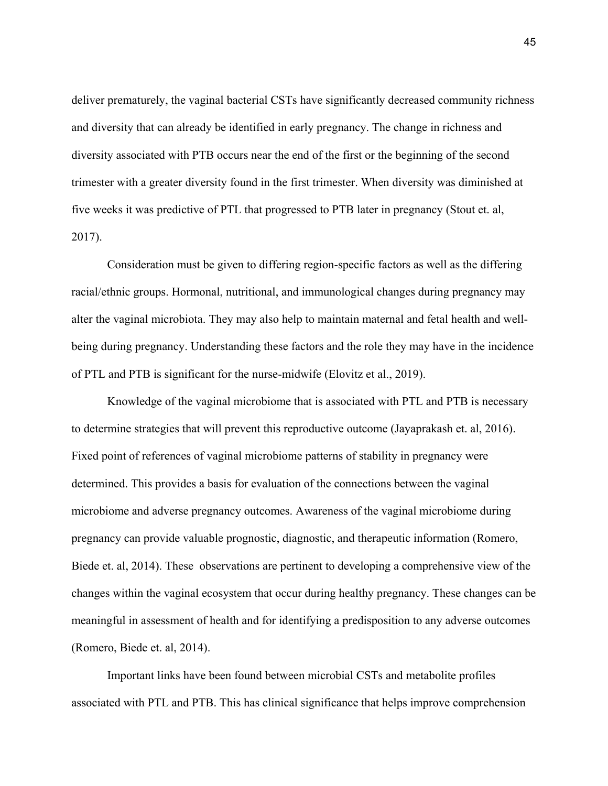deliver prematurely, the vaginal bacterial CSTs have significantly decreased community richness and diversity that can already be identified in early pregnancy. The change in richness and diversity associated with PTB occurs near the end of the first or the beginning of the second trimester with a greater diversity found in the first trimester. When diversity was diminished at five weeks it was predictive of PTL that progressed to PTB later in pregnancy (Stout et. al, 2017).

Consideration must be given to differing region-specific factors as well as the differing racial/ethnic groups. Hormonal, nutritional, and immunological changes during pregnancy may alter the vaginal microbiota. They may also help to maintain maternal and fetal health and wellbeing during pregnancy. Understanding these factors and the role they may have in the incidence of PTL and PTB is significant for the nurse-midwife (Elovitz et al., 2019).

Knowledge of the vaginal microbiome that is associated with PTL and PTB is necessary to determine strategies that will prevent this reproductive outcome (Jayaprakash et. al, 2016). Fixed point of references of vaginal microbiome patterns of stability in pregnancy were determined. This provides a basis for evaluation of the connections between the vaginal microbiome and adverse pregnancy outcomes. Awareness of the vaginal microbiome during pregnancy can provide valuable prognostic, diagnostic, and therapeutic information (Romero, Biede et. al, 2014). These observations are pertinent to developing a comprehensive view of the changes within the vaginal ecosystem that occur during healthy pregnancy. These changes can be meaningful in assessment of health and for identifying a predisposition to any adverse outcomes (Romero, Biede et. al, 2014).

Important links have been found between microbial CSTs and metabolite profiles associated with PTL and PTB. This has clinical significance that helps improve comprehension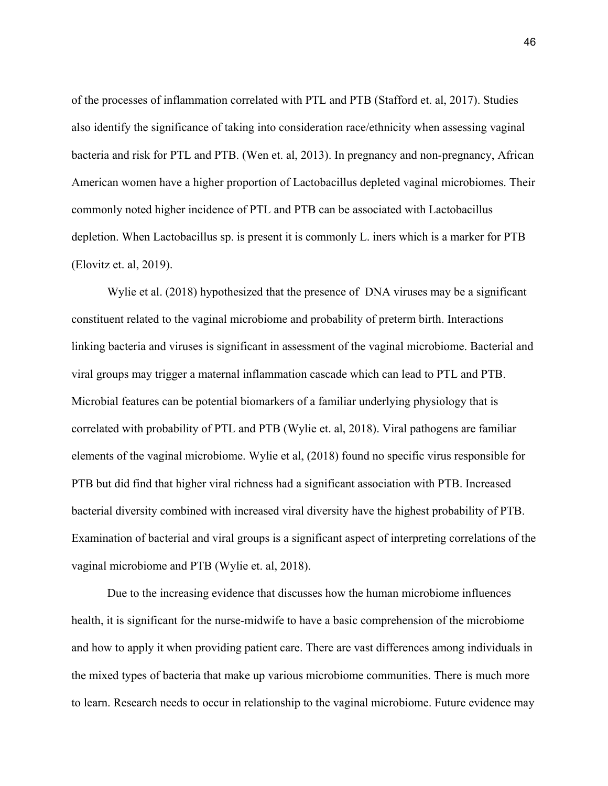of the processes of inflammation correlated with PTL and PTB (Stafford et. al, 2017). Studies also identify the significance of taking into consideration race/ethnicity when assessing vaginal bacteria and risk for PTL and PTB. (Wen et. al, 2013). In pregnancy and non-pregnancy, African American women have a higher proportion of Lactobacillus depleted vaginal microbiomes. Their commonly noted higher incidence of PTL and PTB can be associated with Lactobacillus depletion. When Lactobacillus sp. is present it is commonly L. iners which is a marker for PTB (Elovitz et. al, 2019).

Wylie et al. (2018) hypothesized that the presence of DNA viruses may be a significant constituent related to the vaginal microbiome and probability of preterm birth. Interactions linking bacteria and viruses is significant in assessment of the vaginal microbiome. Bacterial and viral groups may trigger a maternal inflammation cascade which can lead to PTL and PTB. Microbial features can be potential biomarkers of a familiar underlying physiology that is correlated with probability of PTL and PTB (Wylie et. al, 2018). Viral pathogens are familiar elements of the vaginal microbiome. Wylie et al, (2018) found no specific virus responsible for PTB but did find that higher viral richness had a significant association with PTB. Increased bacterial diversity combined with increased viral diversity have the highest probability of PTB. Examination of bacterial and viral groups is a significant aspect of interpreting correlations of the vaginal microbiome and PTB (Wylie et. al, 2018).

Due to the increasing evidence that discusses how the human microbiome influences health, it is significant for the nurse-midwife to have a basic comprehension of the microbiome and how to apply it when providing patient care. There are vast differences among individuals in the mixed types of bacteria that make up various microbiome communities. There is much more to learn. Research needs to occur in relationship to the vaginal microbiome. Future evidence may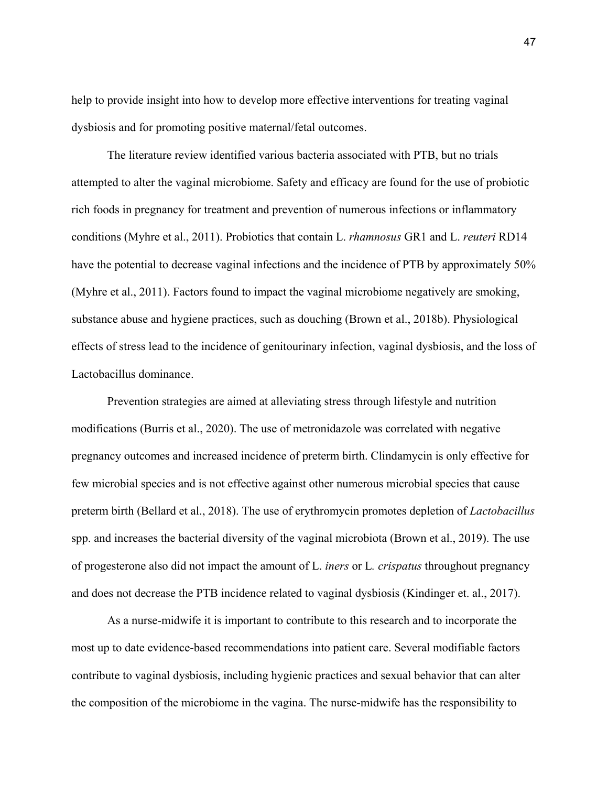help to provide insight into how to develop more effective interventions for treating vaginal dysbiosis and for promoting positive maternal/fetal outcomes.

The literature review identified various bacteria associated with PTB, but no trials attempted to alter the vaginal microbiome. Safety and efficacy are found for the use of probiotic rich foods in pregnancy for treatment and prevention of numerous infections or inflammatory conditions (Myhre et al., 2011). Probiotics that contain L. *rhamnosus* GR1 and L. *reuteri* RD14 have the potential to decrease vaginal infections and the incidence of PTB by approximately 50% (Myhre et al., 2011). Factors found to impact the vaginal microbiome negatively are smoking, substance abuse and hygiene practices, such as douching (Brown et al., 2018b). Physiological effects of stress lead to the incidence of genitourinary infection, vaginal dysbiosis, and the loss of Lactobacillus dominance.

Prevention strategies are aimed at alleviating stress through lifestyle and nutrition modifications (Burris et al., 2020). The use of metronidazole was correlated with negative pregnancy outcomes and increased incidence of preterm birth. Clindamycin is only effective for few microbial species and is not effective against other numerous microbial species that cause preterm birth (Bellard et al., 2018). The use of erythromycin promotes depletion of *Lactobacillus*  spp. and increases the bacterial diversity of the vaginal microbiota (Brown et al., 2019). The use of progesterone also did not impact the amount of L. *iners* or L*. crispatus* throughout pregnancy and does not decrease the PTB incidence related to vaginal dysbiosis (Kindinger et. al., 2017).

As a nurse-midwife it is important to contribute to this research and to incorporate the most up to date evidence-based recommendations into patient care. Several modifiable factors contribute to vaginal dysbiosis, including hygienic practices and sexual behavior that can alter the composition of the microbiome in the vagina. The nurse-midwife has the responsibility to

47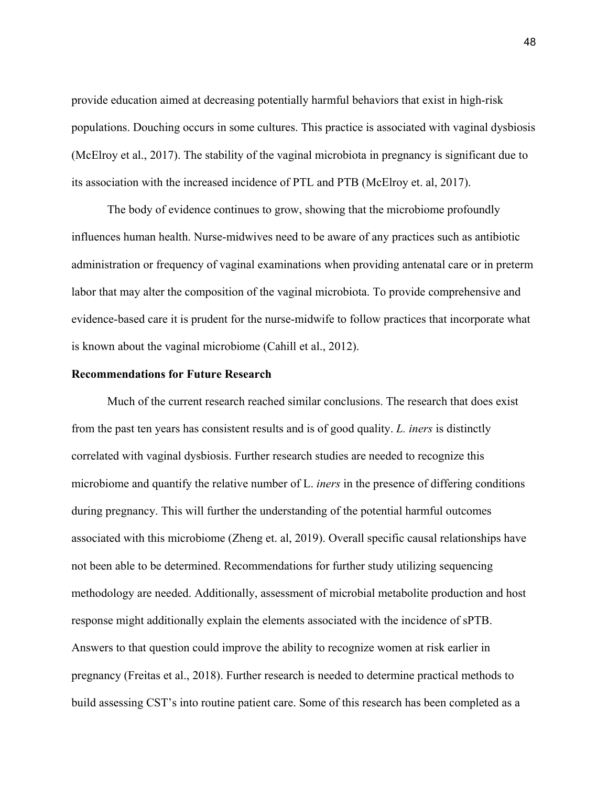provide education aimed at decreasing potentially harmful behaviors that exist in high-risk populations. Douching occurs in some cultures. This practice is associated with vaginal dysbiosis (McElroy et al., 2017). The stability of the vaginal microbiota in pregnancy is significant due to its association with the increased incidence of PTL and PTB (McElroy et. al, 2017).

The body of evidence continues to grow, showing that the microbiome profoundly influences human health. Nurse-midwives need to be aware of any practices such as antibiotic administration or frequency of vaginal examinations when providing antenatal care or in preterm labor that may alter the composition of the vaginal microbiota. To provide comprehensive and evidence-based care it is prudent for the nurse-midwife to follow practices that incorporate what is known about the vaginal microbiome (Cahill et al., 2012).

#### **Recommendations for Future Research**

Much of the current research reached similar conclusions. The research that does exist from the past ten years has consistent results and is of good quality. *L. iners* is distinctly correlated with vaginal dysbiosis. Further research studies are needed to recognize this microbiome and quantify the relative number of L. *iners* in the presence of differing conditions during pregnancy. This will further the understanding of the potential harmful outcomes associated with this microbiome (Zheng et. al, 2019). Overall specific causal relationships have not been able to be determined. Recommendations for further study utilizing sequencing methodology are needed. Additionally, assessment of microbial metabolite production and host response might additionally explain the elements associated with the incidence of sPTB. Answers to that question could improve the ability to recognize women at risk earlier in pregnancy (Freitas et al., 2018). Further research is needed to determine practical methods to build assessing CST's into routine patient care. Some of this research has been completed as a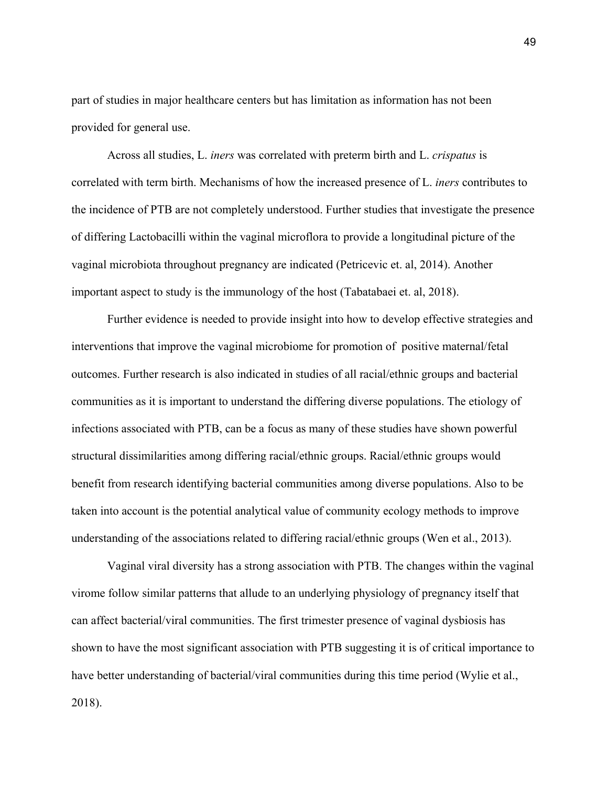part of studies in major healthcare centers but has limitation as information has not been provided for general use.

Across all studies, L. *iners* was correlated with preterm birth and L. *crispatus* is correlated with term birth. Mechanisms of how the increased presence of L. *iners* contributes to the incidence of PTB are not completely understood. Further studies that investigate the presence of differing Lactobacilli within the vaginal microflora to provide a longitudinal picture of the vaginal microbiota throughout pregnancy are indicated (Petricevic et. al, 2014). Another important aspect to study is the immunology of the host (Tabatabaei et. al, 2018).

Further evidence is needed to provide insight into how to develop effective strategies and interventions that improve the vaginal microbiome for promotion of positive maternal/fetal outcomes. Further research is also indicated in studies of all racial/ethnic groups and bacterial communities as it is important to understand the differing diverse populations. The etiology of infections associated with PTB, can be a focus as many of these studies have shown powerful structural dissimilarities among differing racial/ethnic groups. Racial/ethnic groups would benefit from research identifying bacterial communities among diverse populations. Also to be taken into account is the potential analytical value of community ecology methods to improve understanding of the associations related to differing racial/ethnic groups (Wen et al., 2013).

Vaginal viral diversity has a strong association with PTB. The changes within the vaginal virome follow similar patterns that allude to an underlying physiology of pregnancy itself that can affect bacterial/viral communities. The first trimester presence of vaginal dysbiosis has shown to have the most significant association with PTB suggesting it is of critical importance to have better understanding of bacterial/viral communities during this time period (Wylie et al., 2018).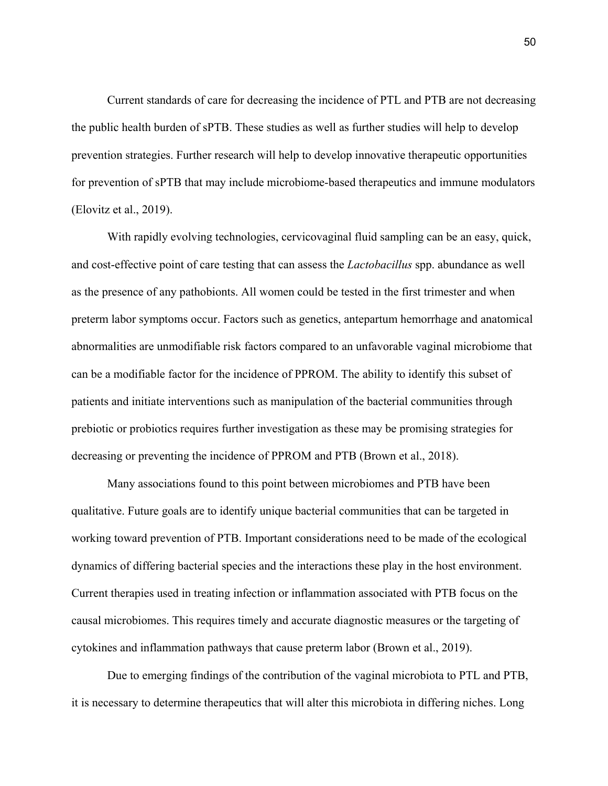Current standards of care for decreasing the incidence of PTL and PTB are not decreasing the public health burden of sPTB. These studies as well as further studies will help to develop prevention strategies. Further research will help to develop innovative therapeutic opportunities for prevention of sPTB that may include microbiome-based therapeutics and immune modulators (Elovitz et al., 2019).

With rapidly evolving technologies, cervicovaginal fluid sampling can be an easy, quick, and cost-effective point of care testing that can assess the *Lactobacillus* spp. abundance as well as the presence of any pathobionts. All women could be tested in the first trimester and when preterm labor symptoms occur. Factors such as genetics, antepartum hemorrhage and anatomical abnormalities are unmodifiable risk factors compared to an unfavorable vaginal microbiome that can be a modifiable factor for the incidence of PPROM. The ability to identify this subset of patients and initiate interventions such as manipulation of the bacterial communities through prebiotic or probiotics requires further investigation as these may be promising strategies for decreasing or preventing the incidence of PPROM and PTB (Brown et al., 2018).

 Many associations found to this point between microbiomes and PTB have been qualitative. Future goals are to identify unique bacterial communities that can be targeted in working toward prevention of PTB. Important considerations need to be made of the ecological dynamics of differing bacterial species and the interactions these play in the host environment. Current therapies used in treating infection or inflammation associated with PTB focus on the causal microbiomes. This requires timely and accurate diagnostic measures or the targeting of cytokines and inflammation pathways that cause preterm labor (Brown et al., 2019).

Due to emerging findings of the contribution of the vaginal microbiota to PTL and PTB, it is necessary to determine therapeutics that will alter this microbiota in differing niches. Long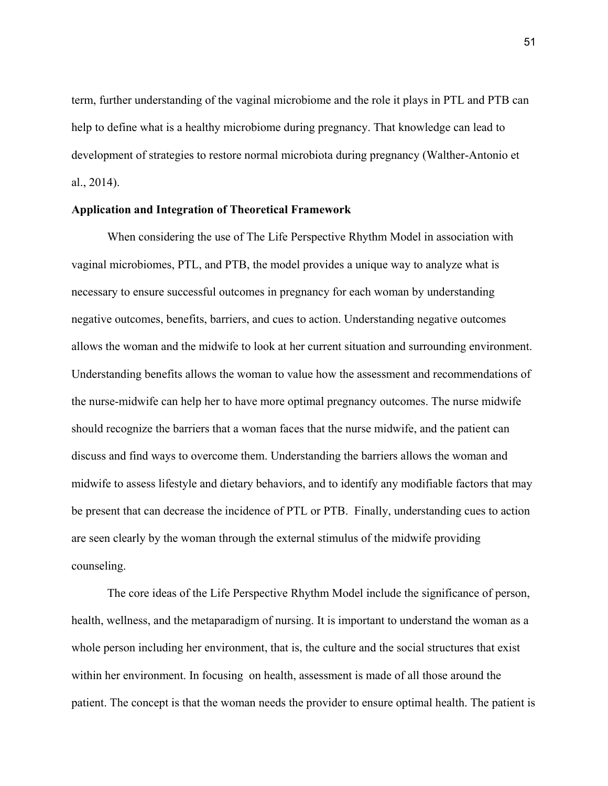term, further understanding of the vaginal microbiome and the role it plays in PTL and PTB can help to define what is a healthy microbiome during pregnancy. That knowledge can lead to development of strategies to restore normal microbiota during pregnancy (Walther-Antonio et al., 2014).

#### **Application and Integration of Theoretical Framework**

 When considering the use of The Life Perspective Rhythm Model in association with vaginal microbiomes, PTL, and PTB, the model provides a unique way to analyze what is necessary to ensure successful outcomes in pregnancy for each woman by understanding negative outcomes, benefits, barriers, and cues to action. Understanding negative outcomes allows the woman and the midwife to look at her current situation and surrounding environment. Understanding benefits allows the woman to value how the assessment and recommendations of the nurse-midwife can help her to have more optimal pregnancy outcomes. The nurse midwife should recognize the barriers that a woman faces that the nurse midwife, and the patient can discuss and find ways to overcome them. Understanding the barriers allows the woman and midwife to assess lifestyle and dietary behaviors, and to identify any modifiable factors that may be present that can decrease the incidence of PTL or PTB. Finally, understanding cues to action are seen clearly by the woman through the external stimulus of the midwife providing counseling.

 The core ideas of the Life Perspective Rhythm Model include the significance of person, health, wellness, and the metaparadigm of nursing. It is important to understand the woman as a whole person including her environment, that is, the culture and the social structures that exist within her environment. In focusing on health, assessment is made of all those around the patient. The concept is that the woman needs the provider to ensure optimal health. The patient is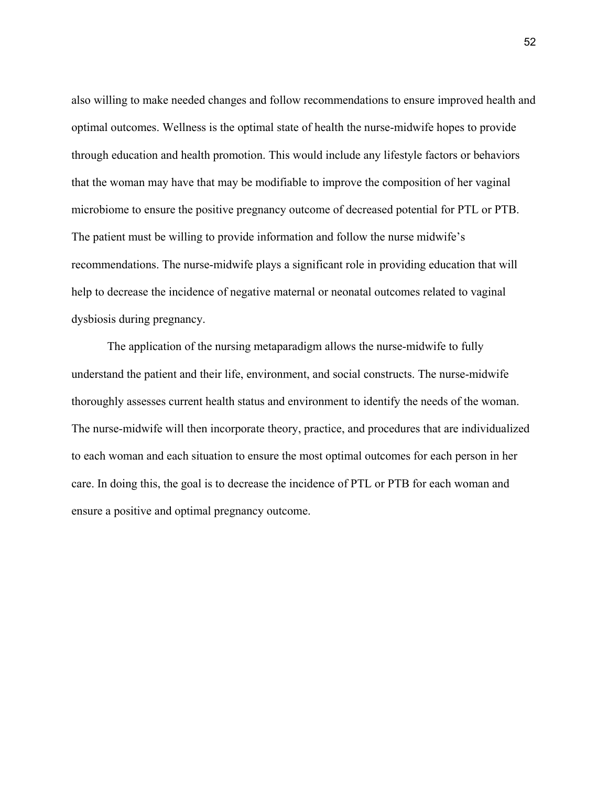also willing to make needed changes and follow recommendations to ensure improved health and optimal outcomes. Wellness is the optimal state of health the nurse-midwife hopes to provide through education and health promotion. This would include any lifestyle factors or behaviors that the woman may have that may be modifiable to improve the composition of her vaginal microbiome to ensure the positive pregnancy outcome of decreased potential for PTL or PTB. The patient must be willing to provide information and follow the nurse midwife's recommendations. The nurse-midwife plays a significant role in providing education that will help to decrease the incidence of negative maternal or neonatal outcomes related to vaginal dysbiosis during pregnancy.

The application of the nursing metaparadigm allows the nurse-midwife to fully understand the patient and their life, environment, and social constructs. The nurse-midwife thoroughly assesses current health status and environment to identify the needs of the woman. The nurse-midwife will then incorporate theory, practice, and procedures that are individualized to each woman and each situation to ensure the most optimal outcomes for each person in her care. In doing this, the goal is to decrease the incidence of PTL or PTB for each woman and ensure a positive and optimal pregnancy outcome.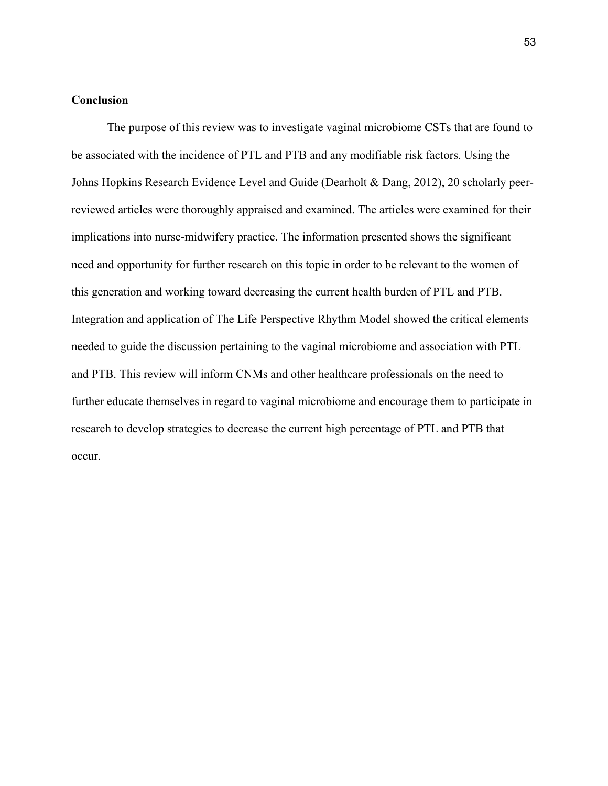# **Conclusion**

 The purpose of this review was to investigate vaginal microbiome CSTs that are found to be associated with the incidence of PTL and PTB and any modifiable risk factors. Using the Johns Hopkins Research Evidence Level and Guide (Dearholt & Dang, 2012), 20 scholarly peerreviewed articles were thoroughly appraised and examined. The articles were examined for their implications into nurse-midwifery practice. The information presented shows the significant need and opportunity for further research on this topic in order to be relevant to the women of this generation and working toward decreasing the current health burden of PTL and PTB. Integration and application of The Life Perspective Rhythm Model showed the critical elements needed to guide the discussion pertaining to the vaginal microbiome and association with PTL and PTB. This review will inform CNMs and other healthcare professionals on the need to further educate themselves in regard to vaginal microbiome and encourage them to participate in research to develop strategies to decrease the current high percentage of PTL and PTB that occur.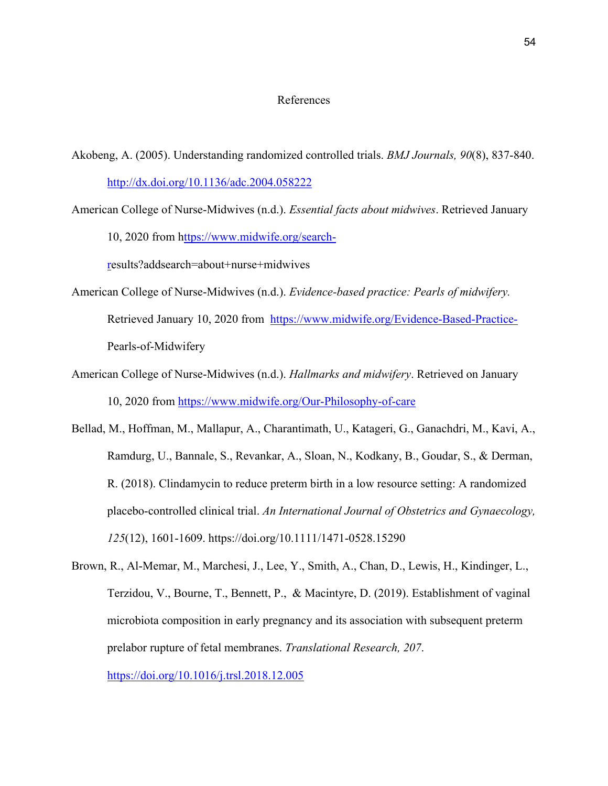### References

- Akobeng, A. (2005). Understanding randomized controlled trials. *BMJ Journals, 90*(8), 837-840. [http://dx.doi.org/10.1136/adc.2004.058222](about:blank)
- American College of Nurse-Midwives (n.d.). *Essential facts about midwives*. Retrieved January 10, 2020 from [https://www.midwife.org/search-](about:blank)

[re](about:blank)sults?addsearch=about+nurse+midwives

- American College of Nurse-Midwives (n.d.). *Evidence-based practice: Pearls of midwifery.* Retrieved January 10, 2020 from [https://www.midwife.org/Evidence-Based-Practice-](about:blank)Pearls-of-Midwifery
- American College of Nurse-Midwives (n.d.). *Hallmarks and midwifery*. Retrieved on January 10, 2020 from [https://www.midwife.org/Our-Philosophy-of-care](about:blank)
- Bellad, M., Hoffman, M., Mallapur, A., Charantimath, U., Katageri, G., Ganachdri, M., Kavi, A., Ramdurg, U., Bannale, S., Revankar, A., Sloan, N., Kodkany, B., Goudar, S., & Derman, R. (2018). Clindamycin to reduce preterm birth in a low resource setting: A randomized placebo-controlled clinical trial. *An International Journal of Obstetrics and Gynaecology, 125*(12), 1601-1609. https://doi.org/10.1111/1471-0528.15290
- Brown, R., Al-Memar, M., Marchesi, J., Lee, Y., Smith, A., Chan, D., Lewis, H., Kindinger, L., Terzidou, V., Bourne, T., Bennett, P., & Macintyre, D. (2019). Establishment of vaginal microbiota composition in early pregnancy and its association with subsequent preterm prelabor rupture of fetal membranes. *Translational Research, 207*. [https://doi.org/10.1016/j.trsl.2018.12.005](about:blank)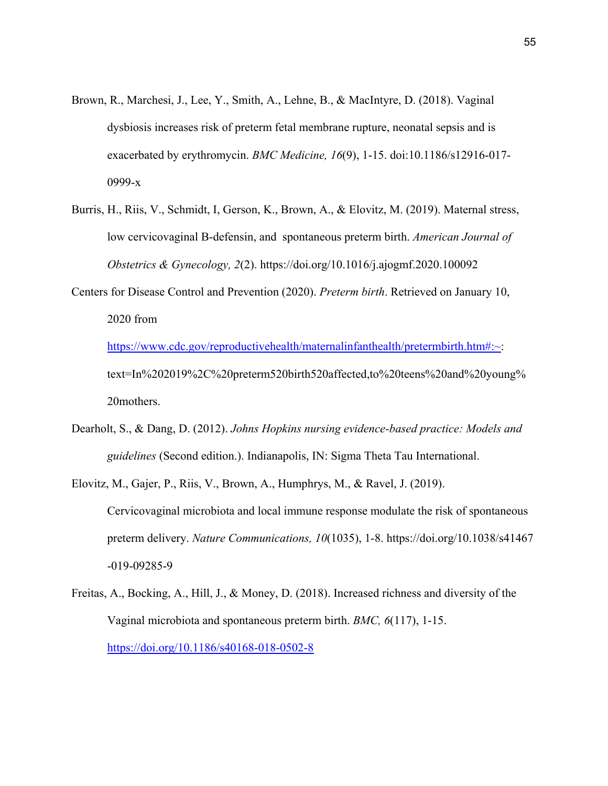- Brown, R., Marchesi, J., Lee, Y., Smith, A., Lehne, B., & MacIntyre, D. (2018). Vaginal dysbiosis increases risk of preterm fetal membrane rupture, neonatal sepsis and is exacerbated by erythromycin. *BMC Medicine, 16*(9), 1-15. doi:10.1186/s12916-017- 0999-x
- Burris, H., Riis, V., Schmidt, I, Gerson, K., Brown, A., & Elovitz, M. (2019). Maternal stress, low cervicovaginal B-defensin, and spontaneous preterm birth. *American Journal of Obstetrics & Gynecology, 2*(2). https://doi.org/10.1016/j.ajogmf.2020.100092
- Centers for Disease Control and Prevention (2020). *Preterm birth*. Retrieved on January 10, 2020 from

[https://www.cdc.gov/reproductivehealth/maternalinfanthealth/pretermbirth.htm#:~:](about:blank#:%7E) text=In%202019%2C%20preterm520birth520affected,to%20teens%20and%20young% 20mothers.

- Dearholt, S., & Dang, D. (2012). *Johns Hopkins nursing evidence-based practice: Models and guidelines* (Second edition.). Indianapolis, IN: Sigma Theta Tau International.
- Elovitz, M., Gajer, P., Riis, V., Brown, A., Humphrys, M., & Ravel, J. (2019). Cervicovaginal microbiota and local immune response modulate the risk of spontaneous preterm delivery. *Nature Communications, 10*(1035), 1-8. https://doi.org/10.1038/s41467 -019-09285-9
- Freitas, A., Bocking, A., Hill, J., & Money, D. (2018). Increased richness and diversity of the Vaginal microbiota and spontaneous preterm birth. *BMC, 6*(117), 1-15. [https://doi.org/10.1186/s40168-018-0502-8](about:blank)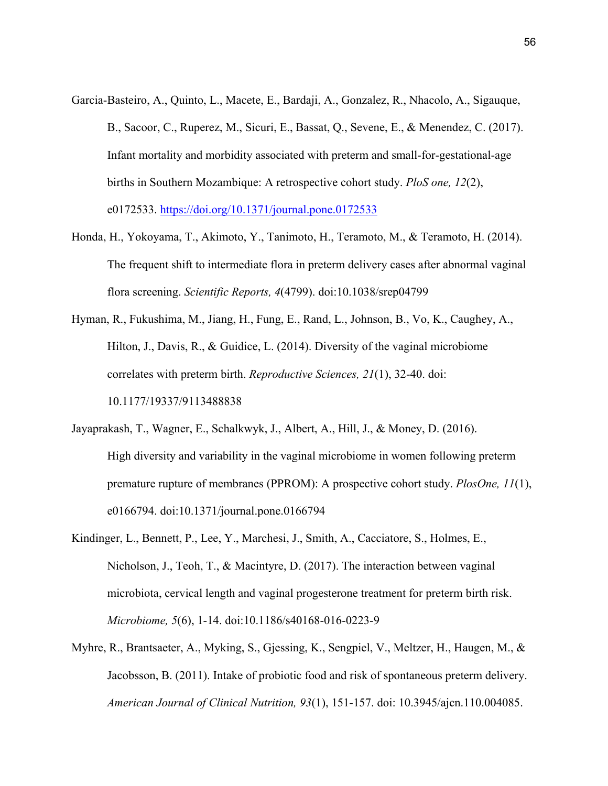- Garcia-Basteiro, A., Quinto, L., Macete, E., Bardaji, A., Gonzalez, R., Nhacolo, A., Sigauque, B., Sacoor, C., Ruperez, M., Sicuri, E., Bassat, Q., Sevene, E., & Menendez, C. (2017). Infant mortality and morbidity associated with preterm and small-for-gestational-age births in Southern Mozambique: A retrospective cohort study. *PloS one, 12*(2), e0172533. [https://doi.org/10.1371/journal.pone.0172533](about:blank)
- Honda, H., Yokoyama, T., Akimoto, Y., Tanimoto, H., Teramoto, M., & Teramoto, H. (2014). The frequent shift to intermediate flora in preterm delivery cases after abnormal vaginal flora screening. *Scientific Reports, 4*(4799). doi:10.1038/srep04799
- Hyman, R., Fukushima, M., Jiang, H., Fung, E., Rand, L., Johnson, B., Vo, K., Caughey, A., Hilton, J., Davis, R., & Guidice, L. (2014). Diversity of the vaginal microbiome correlates with preterm birth. *Reproductive Sciences, 21*(1), 32-40. doi: 10.1177/19337/9113488838
- Jayaprakash, T., Wagner, E., Schalkwyk, J., Albert, A., Hill, J., & Money, D. (2016). High diversity and variability in the vaginal microbiome in women following preterm premature rupture of membranes (PPROM): A prospective cohort study. *PlosOne, 11*(1), e0166794. doi:10.1371/journal.pone.0166794
- Kindinger, L., Bennett, P., Lee, Y., Marchesi, J., Smith, A., Cacciatore, S., Holmes, E., Nicholson, J., Teoh, T., & Macintyre, D. (2017). The interaction between vaginal microbiota, cervical length and vaginal progesterone treatment for preterm birth risk. *Microbiome, 5*(6), 1-14. doi:10.1186/s40168-016-0223-9
- Myhre, R., Brantsaeter, A., Myking, S., Gjessing, K., Sengpiel, V., Meltzer, H., Haugen, M., & Jacobsson, B. (2011). Intake of probiotic food and risk of spontaneous preterm delivery. *American Journal of Clinical Nutrition, 93*(1), 151-157. doi: 10.3945/ajcn.110.004085.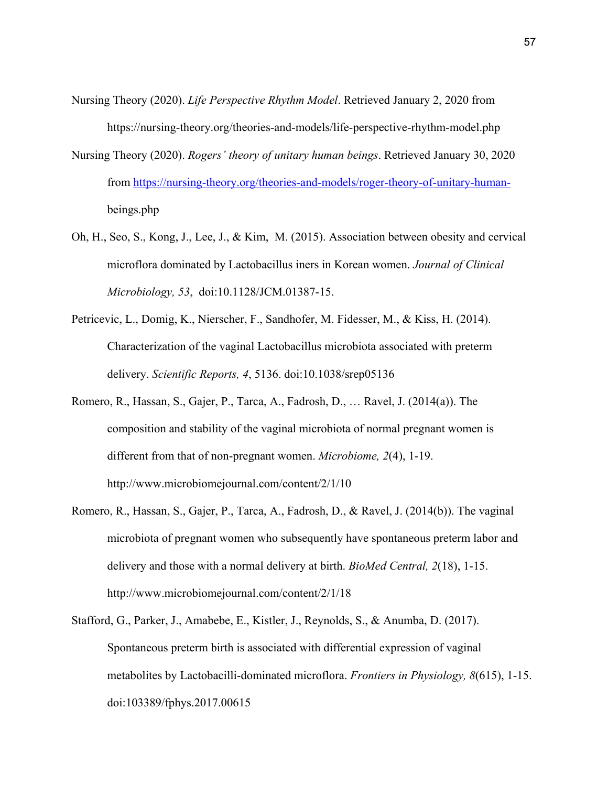- Nursing Theory (2020). *Life Perspective Rhythm Model*. Retrieved January 2, 2020 from https://nursing-theory.org/theories-and-models/life-perspective-rhythm-model.php
- Nursing Theory (2020). *Rogers' theory of unitary human beings*. Retrieved January 30, 2020 from [https://nursing-theory.org/theories-and-models/roger-theory-of-unitary-human](about:blank) beings.php
- Oh, H., Seo, S., Kong, J., Lee, J., & Kim, M. (2015). Association between obesity and cervical microflora dominated by Lactobacillus iners in Korean women. *Journal of Clinical Microbiology, 53*, doi:10.1128/JCM.01387-15.
- Petricevic, L., Domig, K., Nierscher, F., Sandhofer, M. Fidesser, M., & Kiss, H. (2014). Characterization of the vaginal Lactobacillus microbiota associated with preterm delivery. *Scientific Reports, 4*, 5136. doi:10.1038/srep05136
- Romero, R., Hassan, S., Gajer, P., Tarca, A., Fadrosh, D., … Ravel, J. (2014(a)). The composition and stability of the vaginal microbiota of normal pregnant women is different from that of non-pregnant women. *Microbiome, 2*(4), 1-19. http://www.microbiomejournal.com/content/2/1/10
- Romero, R., Hassan, S., Gajer, P., Tarca, A., Fadrosh, D., & Ravel, J. (2014(b)). The vaginal microbiota of pregnant women who subsequently have spontaneous preterm labor and delivery and those with a normal delivery at birth. *BioMed Central, 2*(18), 1-15. http://www.microbiomejournal.com/content/2/1/18
- Stafford, G., Parker, J., Amabebe, E., Kistler, J., Reynolds, S., & Anumba, D. (2017). Spontaneous preterm birth is associated with differential expression of vaginal metabolites by Lactobacilli-dominated microflora. *Frontiers in Physiology, 8*(615), 1-15. doi:103389/fphys.2017.00615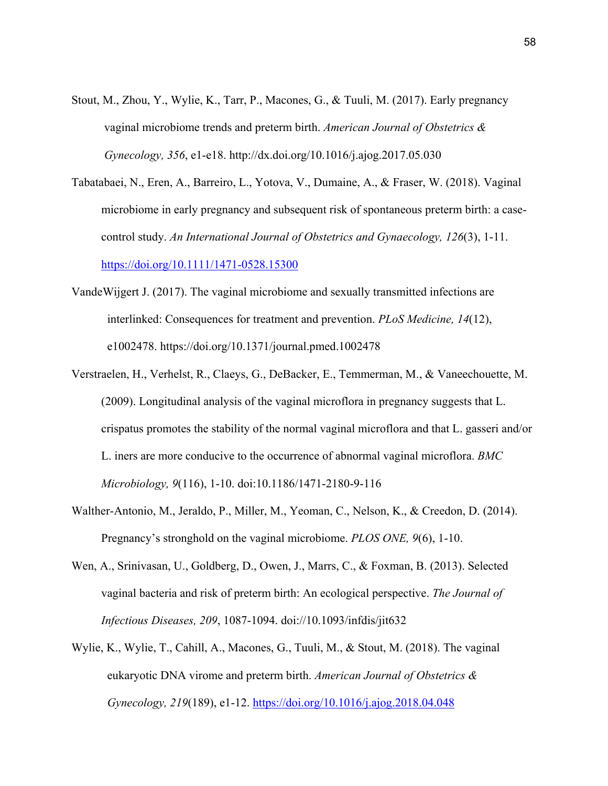- Stout, M., Zhou, Y., Wylie, K., Tarr, P., Macones, G., & Tuuli, M. (2017). Early pregnancy vaginal microbiome trends and preterm birth. *American Journal of Obstetrics & Gynecology, 356*, e1-e18. http://dx.doi.org/10.1016/j.ajog.2017.05.030
- Tabatabaei, N., Eren, A., Barreiro, L., Yotova, V., Dumaine, A., & Fraser, W. (2018). Vaginal microbiome in early pregnancy and subsequent risk of spontaneous preterm birth: a case control study. *An International Journal of Obstetrics and Gynaecology, 126*(3), 1-11. [https://doi.org/10.1111/1471-0528.15300](about:blank)
- VandeWijgert J. (2017). The vaginal microbiome and sexually transmitted infections are interlinked: Consequences for treatment and prevention. *PLoS Medicine, 14*(12), e1002478. https://doi.org/10.1371/journal.pmed.1002478
- Verstraelen, H., Verhelst, R., Claeys, G., DeBacker, E., Temmerman, M., & Vaneechouette, M. (2009). Longitudinal analysis of the vaginal microflora in pregnancy suggests that L. crispatus promotes the stability of the normal vaginal microflora and that L. gasseri and/or L. iners are more conducive to the occurrence of abnormal vaginal microflora. *BMC Microbiology, 9*(116), 1-10. doi:10.1186/1471-2180-9-116
- Walther-Antonio, M., Jeraldo, P., Miller, M., Yeoman, C., Nelson, K., & Creedon, D. (2014). Pregnancy's stronghold on the vaginal microbiome. *PLOS ONE, 9*(6), 1-10.
- Wen, A., Srinivasan, U., Goldberg, D., Owen, J., Marrs, C., & Foxman, B. (2013). Selected vaginal bacteria and risk of preterm birth: An ecological perspective. *The Journal of Infectious Diseases, 209*, 1087-1094. doi://10.1093/infdis/jit632
- Wylie, K., Wylie, T., Cahill, A., Macones, G., Tuuli, M., & Stout, M. (2018). The vaginal eukaryotic DNA virome and preterm birth. *American Journal of Obstetrics & Gynecology, 219*(189), e1-12. [https://doi.org/10.1016/j.ajog.2018.04.048](about:blank)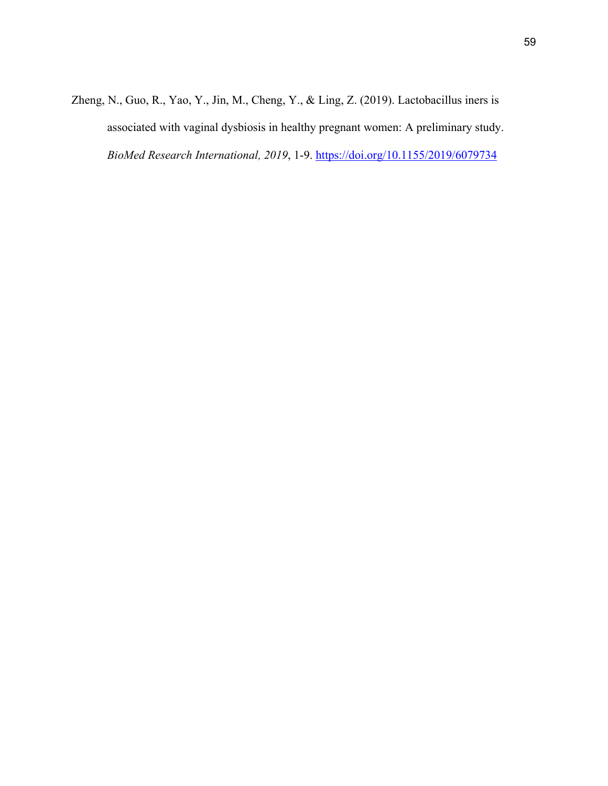Zheng, N., Guo, R., Yao, Y., Jin, M., Cheng, Y., & Ling, Z. (2019). Lactobacillus iners is associated with vaginal dysbiosis in healthy pregnant women: A preliminary study. *BioMed Research International, 2019*, 1-9. [https://doi.org/10.1155/2019/6079734](about:blank)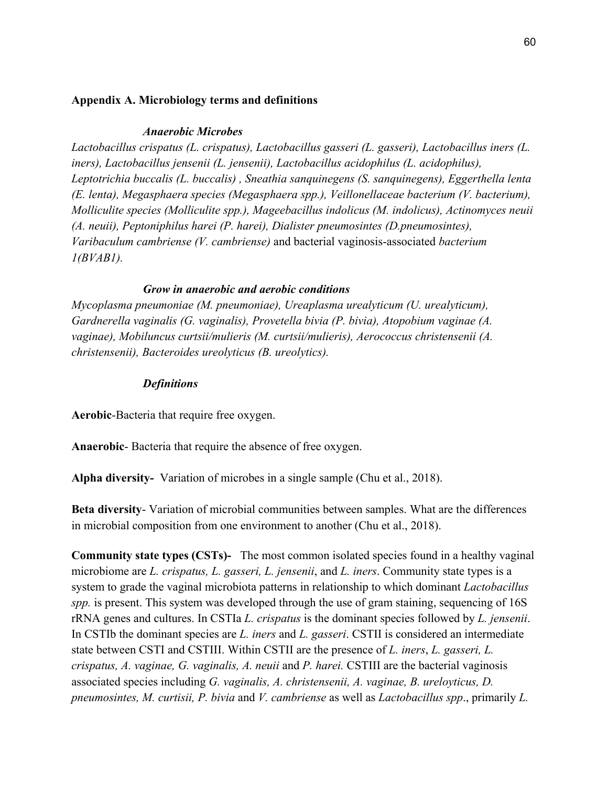## **Appendix A. Microbiology terms and definitions**

## *Anaerobic Microbes*

*Lactobacillus crispatus (L. crispatus), Lactobacillus gasseri (L. gasseri), Lactobacillus iners (L. iners), Lactobacillus jensenii (L. jensenii), Lactobacillus acidophilus (L. acidophilus), Leptotrichia buccalis (L. buccalis) , Sneathia sanquinegens (S. sanquinegens), Eggerthella lenta (E. lenta), Megasphaera species (Megasphaera spp.), Veillonellaceae bacterium (V. bacterium), Molliculite species (Molliculite spp.), Mageebacillus indolicus (M. indolicus), Actinomyces neuii (A. neuii), Peptoniphilus harei (P. harei), Dialister pneumosintes (D.pneumosintes), Varibaculum cambriense (V. cambriense)* and bacterial vaginosis-associated *bacterium 1(BVAB1).*

## *Grow in anaerobic and aerobic conditions*

*Mycoplasma pneumoniae (M. pneumoniae), Ureaplasma urealyticum (U. urealyticum), Gardnerella vaginalis (G. vaginalis), Provetella bivia (P. bivia), Atopobium vaginae (A. vaginae), Mobiluncus curtsii/mulieris (M. curtsii/mulieris), Aerococcus christensenii (A. christensenii), Bacteroides ureolyticus (B. ureolytics).* 

## *Definitions*

**Aerobic**-Bacteria that require free oxygen.

**Anaerobic**- Bacteria that require the absence of free oxygen.

**Alpha diversity-** Variation of microbes in a single sample (Chu et al., 2018).

**Beta diversity**- Variation of microbial communities between samples. What are the differences in microbial composition from one environment to another (Chu et al., 2018).

**Community state types (CSTs)-** The most common isolated species found in a healthy vaginal microbiome are *L. crispatus, L. gasseri, L. jensenii*, and *L. iners*. Community state types is a system to grade the vaginal microbiota patterns in relationship to which dominant *Lactobacillus spp.* is present. This system was developed through the use of gram staining, sequencing of 16S rRNA genes and cultures. In CSTIa *L. crispatus* is the dominant species followed by *L. jensenii*. In CSTIb the dominant species are *L. iners* and *L. gasseri*. CSTII is considered an intermediate state between CSTI and CSTIII. Within CSTII are the presence of *L. iners*, *L. gasseri, L. crispatus, A. vaginae, G. vaginalis, A. neuii* and *P. harei.* CSTIII are the bacterial vaginosis associated species including *G. vaginalis, A. christensenii, A. vaginae, B. ureloyticus, D. pneumosintes, M. curtisii, P. bivia* and *V. cambriense* as well as *Lactobacillus spp*., primarily *L.*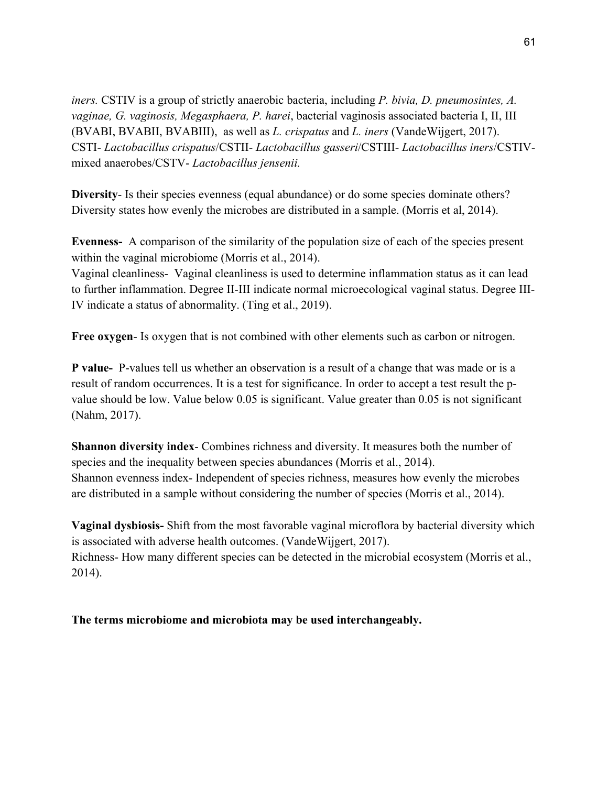*iners.* CSTIV is a group of strictly anaerobic bacteria, including *P. bivia, D. pneumosintes, A. vaginae, G. vaginosis, Megasphaera, P. harei*, bacterial vaginosis associated bacteria I, II, III (BVABI, BVABII, BVABIII), as well as *L. crispatus* and *L. iners* (VandeWijgert, 2017). CSTI- *Lactobacillus crispatus*/CSTII- *Lactobacillus gasseri*/CSTIII- *Lactobacillus iners*/CSTIVmixed anaerobes/CSTV- *Lactobacillus jensenii.*

**Diversity**- Is their species evenness (equal abundance) or do some species dominate others? Diversity states how evenly the microbes are distributed in a sample. (Morris et al, 2014).

**Evenness-** A comparison of the similarity of the population size of each of the species present within the vaginal microbiome (Morris et al., 2014).

Vaginal cleanliness- Vaginal cleanliness is used to determine inflammation status as it can lead to further inflammation. Degree II-III indicate normal microecological vaginal status. Degree III-IV indicate a status of abnormality. (Ting et al., 2019).

**Free oxygen**- Is oxygen that is not combined with other elements such as carbon or nitrogen.

**P value-** P-values tell us whether an observation is a result of a change that was made or is a result of random occurrences. It is a test for significance. In order to accept a test result the pvalue should be low. Value below 0.05 is significant. Value greater than 0.05 is not significant (Nahm, 2017).

**Shannon diversity index**- Combines richness and diversity. It measures both the number of species and the inequality between species abundances (Morris et al., 2014). Shannon evenness index- Independent of species richness, measures how evenly the microbes are distributed in a sample without considering the number of species (Morris et al., 2014).

**Vaginal dysbiosis-** Shift from the most favorable vaginal microflora by bacterial diversity which is associated with adverse health outcomes. (VandeWijgert, 2017). Richness- How many different species can be detected in the microbial ecosystem (Morris et al., 2014).

**The terms microbiome and microbiota may be used interchangeably.**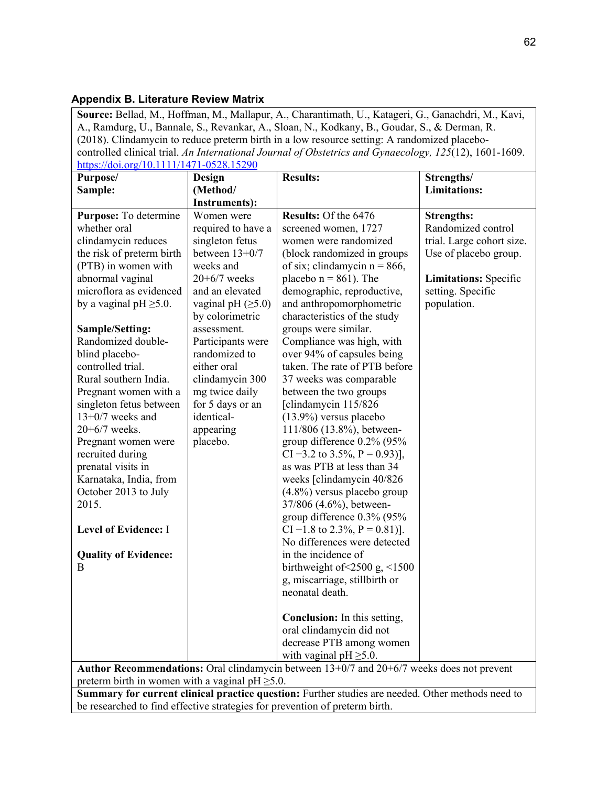# **Appendix B. Literature Review Matrix**

**Source:** Bellad, M., Hoffman, M., Mallapur, A., Charantimath, U., Katageri, G., Ganachdri, M., Kavi, A., Ramdurg, U., Bannale, S., Revankar, A., Sloan, N., Kodkany, B., Goudar, S., & Derman, R. (2018). Clindamycin to reduce preterm birth in a low resource setting: A randomized placebocontrolled clinical trial. *An International Journal of Obstetrics and Gynaecology, 125*(12), 1601-1609.  $(10.1111/1471.0529.15200$ 

| https://doi.org/10.1111/14/1-0528.15290                                                           |                                                                                           |                                                      |                              |  |  |  |
|---------------------------------------------------------------------------------------------------|-------------------------------------------------------------------------------------------|------------------------------------------------------|------------------------------|--|--|--|
| Purpose/                                                                                          | <b>Design</b>                                                                             | <b>Results:</b>                                      | Strengths/                   |  |  |  |
| Sample:                                                                                           | (Method/                                                                                  |                                                      | <b>Limitations:</b>          |  |  |  |
|                                                                                                   | <b>Instruments):</b>                                                                      |                                                      |                              |  |  |  |
| Purpose: To determine                                                                             | Women were                                                                                | Results: Of the 6476                                 | <b>Strengths:</b>            |  |  |  |
| whether oral                                                                                      | required to have a                                                                        | screened women, 1727                                 | Randomized control           |  |  |  |
| clindamycin reduces                                                                               | singleton fetus                                                                           | women were randomized                                | trial. Large cohort size.    |  |  |  |
| the risk of preterm birth                                                                         | between $13+0/7$                                                                          | (block randomized in groups                          | Use of placebo group.        |  |  |  |
| (PTB) in women with                                                                               | weeks and                                                                                 | of six; clindamycin $n = 866$ ,                      |                              |  |  |  |
| abnormal vaginal                                                                                  | $20+6/7$ weeks                                                                            | placebo $n = 861$ ). The                             | <b>Limitations:</b> Specific |  |  |  |
| microflora as evidenced                                                                           | and an elevated                                                                           | demographic, reproductive,                           | setting. Specific            |  |  |  |
| by a vaginal $pH \geq 5.0$ .                                                                      | vaginal pH $(\geq 5.0)$                                                                   | and anthropomorphometric                             | population.                  |  |  |  |
|                                                                                                   | by colorimetric                                                                           | characteristics of the study                         |                              |  |  |  |
| Sample/Setting:                                                                                   | assessment.                                                                               | groups were similar.                                 |                              |  |  |  |
| Randomized double-                                                                                | Participants were                                                                         | Compliance was high, with                            |                              |  |  |  |
| blind placebo-                                                                                    | randomized to                                                                             | over 94% of capsules being                           |                              |  |  |  |
| controlled trial.                                                                                 | either oral                                                                               | taken. The rate of PTB before                        |                              |  |  |  |
| Rural southern India.                                                                             | clindamycin 300                                                                           | 37 weeks was comparable                              |                              |  |  |  |
| Pregnant women with a                                                                             | mg twice daily                                                                            | between the two groups                               |                              |  |  |  |
| singleton fetus between                                                                           | for 5 days or an                                                                          | [clindamycin 115/826                                 |                              |  |  |  |
| $13+0/7$ weeks and                                                                                | identical-                                                                                | $(13.9\%)$ versus placebo                            |                              |  |  |  |
| $20+6/7$ weeks.                                                                                   | appearing                                                                                 | 111/806 (13.8%), between-                            |                              |  |  |  |
| Pregnant women were                                                                               | placebo.                                                                                  | group difference 0.2% (95%                           |                              |  |  |  |
| recruited during                                                                                  |                                                                                           | CI -3.2 to 3.5%, P = 0.93)],                         |                              |  |  |  |
| prenatal visits in                                                                                |                                                                                           | as was PTB at less than 34                           |                              |  |  |  |
| Karnataka, India, from                                                                            |                                                                                           | weeks [clindamycin 40/826                            |                              |  |  |  |
| October 2013 to July                                                                              |                                                                                           | $(4.8\%)$ versus placebo group                       |                              |  |  |  |
| 2015.                                                                                             |                                                                                           | 37/806 (4.6%), between-                              |                              |  |  |  |
|                                                                                                   |                                                                                           | group difference 0.3% (95%                           |                              |  |  |  |
| <b>Level of Evidence: I</b>                                                                       |                                                                                           | CI -1.8 to 2.3%, $P = 0.81$ ].                       |                              |  |  |  |
|                                                                                                   |                                                                                           | No differences were detected                         |                              |  |  |  |
| <b>Quality of Evidence:</b>                                                                       |                                                                                           | in the incidence of                                  |                              |  |  |  |
| B                                                                                                 |                                                                                           | birthweight of $\leq$ 2500 g, $\leq$ 1500            |                              |  |  |  |
|                                                                                                   |                                                                                           | g, miscarriage, stillbirth or                        |                              |  |  |  |
|                                                                                                   |                                                                                           | neonatal death.                                      |                              |  |  |  |
|                                                                                                   |                                                                                           |                                                      |                              |  |  |  |
|                                                                                                   |                                                                                           | <b>Conclusion:</b> In this setting,                  |                              |  |  |  |
|                                                                                                   |                                                                                           | oral clindamycin did not<br>decrease PTB among women |                              |  |  |  |
|                                                                                                   |                                                                                           | with vaginal $pH \geq 5.0$ .                         |                              |  |  |  |
|                                                                                                   | Author Recommendations: Oral clindamycin between 13+0/7 and 20+6/7 weeks does not prevent |                                                      |                              |  |  |  |
| preterm birth in women with a vaginal $pH \geq 5.0$ .                                             |                                                                                           |                                                      |                              |  |  |  |
| Summary for qurrent olivical proctice question: Eurther studies are needed. Other methods need to |                                                                                           |                                                      |                              |  |  |  |

**Summary for current clinical practice question:** Further studies are needed. Other methods need to be researched to find effective strategies for prevention of preterm birth.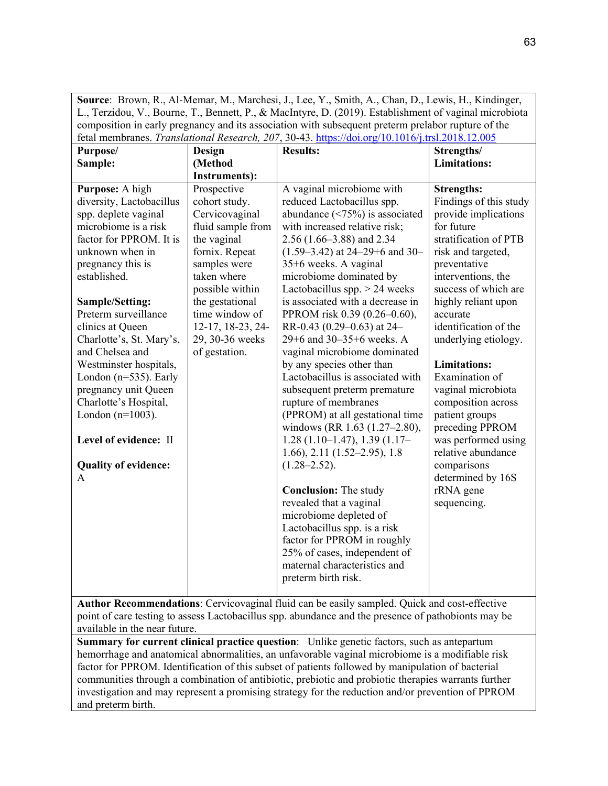**Source**: Brown, R., Al-Memar, M., Marchesi, J., Lee, Y., Smith, A., Chan, D., Lewis, H., Kindinger, L., Terzidou, V., Bourne, T., Bennett, P., & MacIntyre, D. (2019). Establishment of vaginal microbiota composition in early pregnancy and its association with subsequent preterm prelabor rupture of the fetal membranes. *Translational Research, 207*, 30-43. [https://doi.org/10.1016/j.trsl.2018.12.005](about:blank)

| <b>Example 19 The Constitutional Action City,</b> 2013, 2013, 2016<br>Purpose/ | <b>Design</b>        | <b>Results:</b>                       | Strengths/             |
|--------------------------------------------------------------------------------|----------------------|---------------------------------------|------------------------|
| Sample:                                                                        | (Method              |                                       | <b>Limitations:</b>    |
|                                                                                | <b>Instruments):</b> |                                       |                        |
| Purpose: A high                                                                | Prospective          | A vaginal microbiome with             | <b>Strengths:</b>      |
| diversity, Lactobacillus                                                       | cohort study.        | reduced Lactobacillus spp.            | Findings of this study |
| spp. deplete vaginal                                                           | Cervicovaginal       | abundance $(\leq 75\%)$ is associated | provide implications   |
| microbiome is a risk                                                           | fluid sample from    | with increased relative risk;         | for future             |
| factor for PPROM. It is                                                        | the vaginal          | $2.56$ (1.66–3.88) and 2.34           | stratification of PTB  |
| unknown when in                                                                | fornix. Repeat       | $(1.59-3.42)$ at 24-29+6 and 30-      | risk and targeted,     |
| pregnancy this is                                                              | samples were         | 35+6 weeks. A vaginal                 | preventative           |
| established.                                                                   | taken where          | microbiome dominated by               | interventions, the     |
|                                                                                | possible within      | Lactobacillus spp. $> 24$ weeks       | success of which are   |
| Sample/Setting:                                                                | the gestational      | is associated with a decrease in      | highly reliant upon    |
| Preterm surveillance                                                           | time window of       | PPROM risk 0.39 (0.26–0.60),          | accurate               |
| clinics at Queen                                                               | 12-17, 18-23, 24-    | RR-0.43 (0.29-0.63) at 24-            | identification of the  |
| Charlotte's, St. Mary's,                                                       | 29, 30-36 weeks      | 29+6 and 30-35+6 weeks. A             | underlying etiology.   |
| and Chelsea and                                                                | of gestation.        | vaginal microbiome dominated          |                        |
| Westminster hospitals,                                                         |                      | by any species other than             | <b>Limitations:</b>    |
| London ( $n=535$ ). Early                                                      |                      | Lactobacillus is associated with      | Examination of         |
| pregnancy unit Queen                                                           |                      | subsequent preterm premature          | vaginal microbiota     |
| Charlotte's Hospital,                                                          |                      | rupture of membranes                  | composition across     |
| London $(n=1003)$ .                                                            |                      | (PPROM) at all gestational time       | patient groups         |
|                                                                                |                      | windows (RR 1.63 (1.27-2.80),         | preceding PPROM        |
| Level of evidence: II                                                          |                      | $1.28(1.10-1.47), 1.39(1.17-$         | was performed using    |
|                                                                                |                      | $1.66$ , $2.11$ $(1.52-2.95)$ , $1.8$ | relative abundance     |
| <b>Quality of evidence:</b>                                                    |                      | $(1.28 - 2.52)$ .                     | comparisons            |
| A                                                                              |                      |                                       | determined by 16S      |
|                                                                                |                      | <b>Conclusion:</b> The study          | rRNA gene              |
|                                                                                |                      | revealed that a vaginal               | sequencing.            |
|                                                                                |                      | microbiome depleted of                |                        |
|                                                                                |                      | Lactobacillus spp. is a risk          |                        |
|                                                                                |                      | factor for PPROM in roughly           |                        |
|                                                                                |                      | 25% of cases, independent of          |                        |
|                                                                                |                      | maternal characteristics and          |                        |
|                                                                                |                      | preterm birth risk.                   |                        |
|                                                                                |                      |                                       |                        |

**Author Recommendations**: Cervicovaginal fluid can be easily sampled. Quick and cost-effective point of care testing to assess Lactobacillus spp. abundance and the presence of pathobionts may be available in the near future.

**Summary for current clinical practice question**: Unlike genetic factors, such as antepartum hemorrhage and anatomical abnormalities, an unfavorable vaginal microbiome is a modifiable risk factor for PPROM. Identification of this subset of patients followed by manipulation of bacterial communities through a combination of antibiotic, prebiotic and probiotic therapies warrants further investigation and may represent a promising strategy for the reduction and/or prevention of PPROM and preterm birth.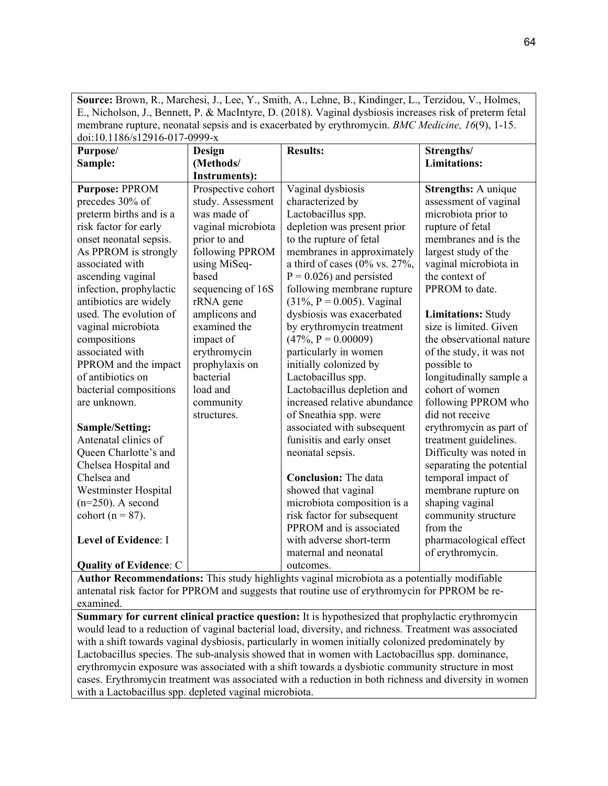**Source:** Brown, R., Marchesi, J., Lee, Y., Smith, A., Lehne, B., Kindinger, L., Terzidou, V., Holmes, E., Nicholson, J., Bennett, P. & MacIntyre, D. (2018). Vaginal dysbiosis increases risk of preterm fetal membrane rupture, neonatal sepsis and is exacerbated by erythromycin. *BMC Medicine, 16*(9), 1-15. doi:10.1186/s12916-017-0999-x

| Purpose/                      | <b>Design</b>        | <b>Results:</b>                       | Strengths/                |
|-------------------------------|----------------------|---------------------------------------|---------------------------|
| Sample:                       | (Methods/            |                                       | <b>Limitations:</b>       |
|                               | <b>Instruments):</b> |                                       |                           |
| <b>Purpose: PPROM</b>         | Prospective cohort   | Vaginal dysbiosis                     | Strengths: A unique       |
| precedes 30% of               | study. Assessment    | characterized by                      | assessment of vaginal     |
| preterm births and is a       | was made of          | Lactobacillus spp.                    | microbiota prior to       |
| risk factor for early         | vaginal microbiota   | depletion was present prior           | rupture of fetal          |
| onset neonatal sepsis.        | prior to and         | to the rupture of fetal               | membranes and is the      |
| As PPROM is strongly          | following PPROM      | membranes in approximately            | largest study of the      |
| associated with               | using MiSeq-         | a third of cases ( $0\%$ vs. $27\%$ , | vaginal microbiota in     |
| ascending vaginal             | based                | $P = 0.026$ ) and persisted           | the context of            |
| infection, prophylactic       | sequencing of 16S    | following membrane rupture            | PPROM to date.            |
| antibiotics are widely        | rRNA gene            | $(31\%, P = 0.005)$ . Vaginal         |                           |
| used. The evolution of        | amplicons and        | dysbiosis was exacerbated             | <b>Limitations: Study</b> |
| vaginal microbiota            | examined the         | by erythromycin treatment             | size is limited. Given    |
| compositions                  | impact of            | $(47\%, P = 0.00009)$                 | the observational nature  |
| associated with               | erythromycin         | particularly in women                 | of the study, it was not  |
| PPROM and the impact          | prophylaxis on       | initially colonized by                | possible to               |
| of antibiotics on             | bacterial            | Lactobacillus spp.                    | longitudinally sample a   |
| bacterial compositions        | load and             | Lactobacillus depletion and           | cohort of women           |
| are unknown.                  | community            | increased relative abundance          | following PPROM who       |
|                               | structures.          | of Sneathia spp. were                 | did not receive           |
| <b>Sample/Setting:</b>        |                      | associated with subsequent            | erythromycin as part of   |
| Antenatal clinics of          |                      | funisitis and early onset             | treatment guidelines.     |
| Queen Charlotte's and         |                      | neonatal sepsis.                      | Difficulty was noted in   |
| Chelsea Hospital and          |                      |                                       | separating the potential  |
| Chelsea and                   |                      | <b>Conclusion:</b> The data           | temporal impact of        |
| Westminster Hospital          |                      | showed that vaginal                   | membrane rupture on       |
| $(n=250)$ . A second          |                      | microbiota composition is a           | shaping vaginal           |
| cohort ( $n = 87$ ).          |                      | risk factor for subsequent            | community structure       |
|                               |                      | PPROM and is associated               | from the                  |
| Level of Evidence: I          |                      | with adverse short-term               | pharmacological effect    |
|                               |                      | maternal and neonatal                 | of erythromycin.          |
| <b>Quality of Evidence: C</b> |                      | outcomes.                             |                           |

**Author Recommendations:** This study highlights vaginal microbiota as a potentially modifiable antenatal risk factor for PPROM and suggests that routine use of erythromycin for PPROM be reexamined.

**Summary for current clinical practice question:** It is hypothesized that prophylactic erythromycin would lead to a reduction of vaginal bacterial load, diversity, and richness. Treatment was associated with a shift towards vaginal dysbiosis, particularly in women initially colonized predominately by Lactobacillus species. The sub-analysis showed that in women with Lactobacillus spp. dominance, erythromycin exposure was associated with a shift towards a dysbiotic community structure in most cases. Erythromycin treatment was associated with a reduction in both richness and diversity in women with a Lactobacillus spp. depleted vaginal microbiota.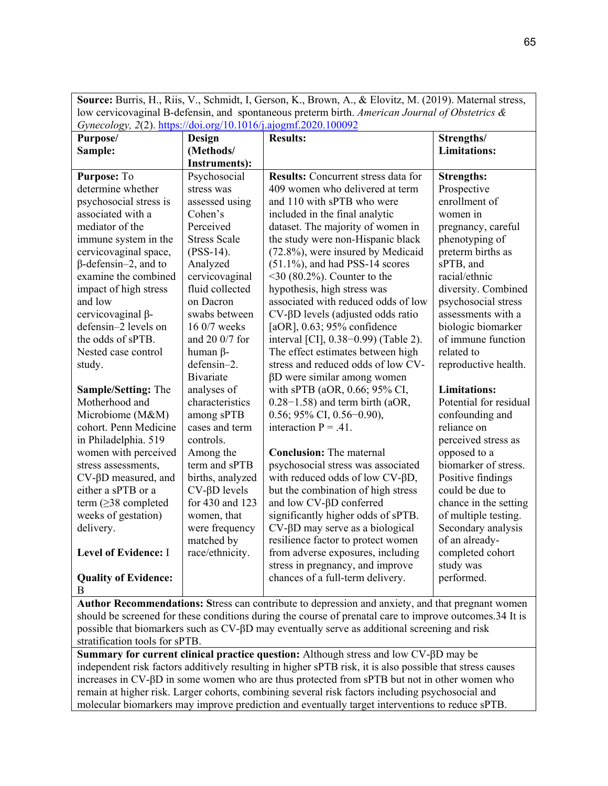**Source:** Burris, H., Riis, V., Schmidt, I, Gerson, K., Brown, A., & Elovitz, M. (2019). Maternal stress, low cervicovaginal B-defensin, and spontaneous preterm birth. *American Journal of Obstetrics & Gynecology, 2*(2). [https://doi.org/10.1016/j.ajogmf.2020.100092](about:blank)

| Purpose/                       | Design                  | <b>Results:</b>                              | Strengths/             |
|--------------------------------|-------------------------|----------------------------------------------|------------------------|
| Sample:                        | (Methods/               |                                              | <b>Limitations:</b>    |
|                                | <b>Instruments):</b>    |                                              |                        |
| Purpose: To                    | Psychosocial            | <b>Results:</b> Concurrent stress data for   | <b>Strengths:</b>      |
| determine whether              | stress was              | 409 women who delivered at term              | Prospective            |
| psychosocial stress is         | assessed using          | and 110 with sPTB who were                   | enrollment of          |
| associated with a              | Cohen's                 | included in the final analytic               | women in               |
| mediator of the                | Perceived               | dataset. The majority of women in            | pregnancy, careful     |
| immune system in the           | <b>Stress Scale</b>     | the study were non-Hispanic black            | phenotyping of         |
| cervicovaginal space,          | $($ PSS-14 $).$         | (72.8%), were insured by Medicaid            | preterm births as      |
| $\beta$ -defensin-2, and to    | Analyzed                | $(51.1\%)$ , and had PSS-14 scores           | sPTB, and              |
| examine the combined           | cervicovaginal          | $\leq$ 30 (80.2%). Counter to the            | racial/ethnic          |
| impact of high stress          | fluid collected         | hypothesis, high stress was                  | diversity. Combined    |
| and low                        | on Dacron               | associated with reduced odds of low          | psychosocial stress    |
| cervicovaginal β-              | swabs between           | $CV$ - $\beta D$ levels (adjusted odds ratio | assessments with a     |
| defensin-2 levels on           | 16 0/7 weeks            | [ $aOR$ ], 0.63; 95% confidence              | biologic biomarker     |
| the odds of sPTB.              | and 20 0/7 for          | interval [CI], 0.38-0.99) (Table 2).         | of immune function     |
| Nested case control            | human $\beta$ -         | The effect estimates between high            | related to             |
| study.                         | defensin-2.             | stress and reduced odds of low CV-           | reproductive health.   |
|                                | <b>Bivariate</b>        | $\beta$ D were similar among women           |                        |
| <b>Sample/Setting: The</b>     | analyses of             | with sPTB (aOR, 0.66; 95% CI,                | <b>Limitations:</b>    |
| Motherhood and                 | characteristics         | $0.28-1.58$ ) and term birth (aOR,           | Potential for residual |
| Microbiome (M&M)               | among sPTB              | 0.56; 95% CI, 0.56-0.90),                    | confounding and        |
| cohort. Penn Medicine          | cases and term          | interaction $P = .41$ .                      | reliance on            |
| in Philadelphia. 519           | controls.               |                                              | perceived stress as    |
| women with perceived           | Among the               | <b>Conclusion:</b> The maternal              | opposed to a           |
| stress assessments,            | term and sPTB           | psychosocial stress was associated           | biomarker of stress.   |
| $CV$ - $\beta$ D measured, and | births, analyzed        | with reduced odds of low CV-βD,              | Positive findings      |
| either a sPTB or a             | $CV$ - $\beta D$ levels | but the combination of high stress           | could be due to        |
| term $(\geq)$ 8 completed      | for 430 and 123         | and low CV-βD conferred                      | chance in the setting  |
| weeks of gestation)            | women, that             | significantly higher odds of sPTB.           | of multiple testing.   |
| delivery.                      | were frequency          | $CV$ - $\beta$ D may serve as a biological   | Secondary analysis     |
|                                | matched by              | resilience factor to protect women           | of an already-         |
| <b>Level of Evidence: I</b>    | race/ethnicity.         | from adverse exposures, including            | completed cohort       |
|                                |                         | stress in pregnancy, and improve             | study was              |
| <b>Quality of Evidence:</b>    |                         | chances of a full-term delivery.             | performed.             |
| B                              |                         |                                              |                        |

**Author Recommendations: S**tress can contribute to depression and anxiety, and that pregnant women should be screened for these conditions during the course of prenatal care to improve outcomes.34 It is possible that biomarkers such as CV-βD may eventually serve as additional screening and risk stratification tools for sPTB.

**Summary for current clinical practice question:** Although stress and low CV-βD may be independent risk factors additively resulting in higher sPTB risk, it is also possible that stress causes increases in CV-βD in some women who are thus protected from sPTB but not in other women who remain at higher risk. Larger cohorts, combining several risk factors including psychosocial and molecular biomarkers may improve prediction and eventually target interventions to reduce sPTB.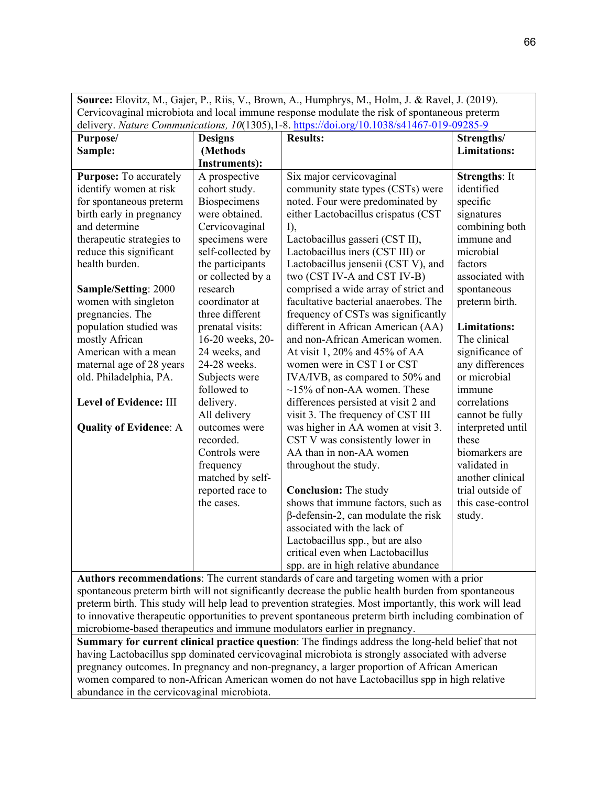| Source: Elovitz, M., Gajer, P., Riis, V., Brown, A., Humphrys, M., Holm, J. & Ravel, J. (2019). |                                                                                                   |                                                                                                              |                      |
|-------------------------------------------------------------------------------------------------|---------------------------------------------------------------------------------------------------|--------------------------------------------------------------------------------------------------------------|----------------------|
| Cervicovaginal microbiota and local immune response modulate the risk of spontaneous preterm    |                                                                                                   |                                                                                                              |                      |
| delivery. Nature Communications, 10(1305), 1-8. https://doi.org/10.1038/s41467-019-09285-9      |                                                                                                   |                                                                                                              |                      |
| Purpose/<br><b>Designs</b>                                                                      |                                                                                                   | <b>Results:</b>                                                                                              | Strengths/           |
| Sample:                                                                                         | (Methods                                                                                          |                                                                                                              | <b>Limitations:</b>  |
|                                                                                                 | <b>Instruments):</b>                                                                              |                                                                                                              |                      |
| <b>Purpose:</b> To accurately                                                                   | A prospective                                                                                     | Six major cervicovaginal                                                                                     | <b>Strengths: It</b> |
| identify women at risk                                                                          | cohort study.                                                                                     | community state types (CSTs) were                                                                            | identified           |
| for spontaneous preterm                                                                         | Biospecimens                                                                                      | noted. Four were predominated by                                                                             | specific             |
| birth early in pregnancy                                                                        | were obtained.                                                                                    | either Lactobacillus crispatus (CST                                                                          | signatures           |
| and determine                                                                                   | Cervicovaginal                                                                                    | $I$ ),                                                                                                       | combining both       |
| therapeutic strategies to                                                                       | specimens were                                                                                    | Lactobacillus gasseri (CST II),                                                                              | immune and           |
| reduce this significant                                                                         | self-collected by                                                                                 | Lactobacillus iners (CST III) or                                                                             | microbial            |
| health burden.                                                                                  | the participants                                                                                  | Lactobacillus jensenii (CST V), and                                                                          | factors              |
|                                                                                                 | or collected by a                                                                                 | two (CST IV-A and CST IV-B)                                                                                  | associated with      |
| Sample/Setting: 2000                                                                            | research                                                                                          | comprised a wide array of strict and                                                                         | spontaneous          |
| women with singleton                                                                            | coordinator at                                                                                    | facultative bacterial anaerobes. The                                                                         | preterm birth.       |
| pregnancies. The                                                                                | three different                                                                                   | frequency of CSTs was significantly                                                                          |                      |
| population studied was                                                                          | prenatal visits:                                                                                  | different in African American (AA)                                                                           | <b>Limitations:</b>  |
| mostly African                                                                                  | 16-20 weeks, 20-                                                                                  | and non-African American women.                                                                              | The clinical         |
| American with a mean                                                                            | 24 weeks, and                                                                                     | At visit 1, 20% and 45% of AA                                                                                | significance of      |
| maternal age of 28 years                                                                        | 24-28 weeks.                                                                                      | women were in CST I or CST                                                                                   | any differences      |
| old. Philadelphia, PA.                                                                          | Subjects were                                                                                     | IVA/IVB, as compared to 50% and                                                                              | or microbial         |
|                                                                                                 | followed to                                                                                       | $\sim$ 15% of non-AA women. These                                                                            | immune               |
| Level of Evidence: III                                                                          | delivery.                                                                                         | correlations<br>differences persisted at visit 2 and                                                         |                      |
|                                                                                                 | All delivery                                                                                      | visit 3. The frequency of CST III                                                                            | cannot be fully      |
| <b>Quality of Evidence: A</b>                                                                   | outcomes were                                                                                     | was higher in AA women at visit 3.                                                                           | interpreted until    |
|                                                                                                 | recorded.                                                                                         | CST V was consistently lower in                                                                              | these                |
|                                                                                                 | Controls were                                                                                     | AA than in non-AA women                                                                                      | biomarkers are       |
|                                                                                                 | frequency                                                                                         | throughout the study.                                                                                        | validated in         |
|                                                                                                 | matched by self-                                                                                  |                                                                                                              | another clinical     |
|                                                                                                 | reported race to                                                                                  | <b>Conclusion:</b> The study                                                                                 | trial outside of     |
|                                                                                                 | the cases.                                                                                        | shows that immune factors, such as                                                                           | this case-control    |
|                                                                                                 |                                                                                                   | $\beta$ -defensin-2, can modulate the risk                                                                   | study.               |
|                                                                                                 |                                                                                                   | associated with the lack of                                                                                  |                      |
|                                                                                                 |                                                                                                   | Lactobacillus spp., but are also                                                                             |                      |
|                                                                                                 |                                                                                                   | critical even when Lactobacillus                                                                             |                      |
| $\lambda$ --4L $\sim$                                                                           | $\mathbf{J} \cdot \mathbf{A}$ and $\mathbf{J} \cdot \mathbf{A}$ and $\mathbf{J} \cdot \mathbf{A}$ | spp. are in high relative abundance<br>and state deaths of come on discussions are accounted to a discussion |                      |

**Authors recommendations**: The current standards of care and targeting women with a prior spontaneous preterm birth will not significantly decrease the public health burden from spontaneous preterm birth. This study will help lead to prevention strategies. Most importantly, this work will lead to innovative therapeutic opportunities to prevent spontaneous preterm birth including combination of microbiome-based therapeutics and immune modulators earlier in pregnancy.

**Summary for current clinical practice question**: The findings address the long-held belief that not having Lactobacillus spp dominated cervicovaginal microbiota is strongly associated with adverse pregnancy outcomes. In pregnancy and non-pregnancy, a larger proportion of African American women compared to non-African American women do not have Lactobacillus spp in high relative abundance in the cervicovaginal microbiota.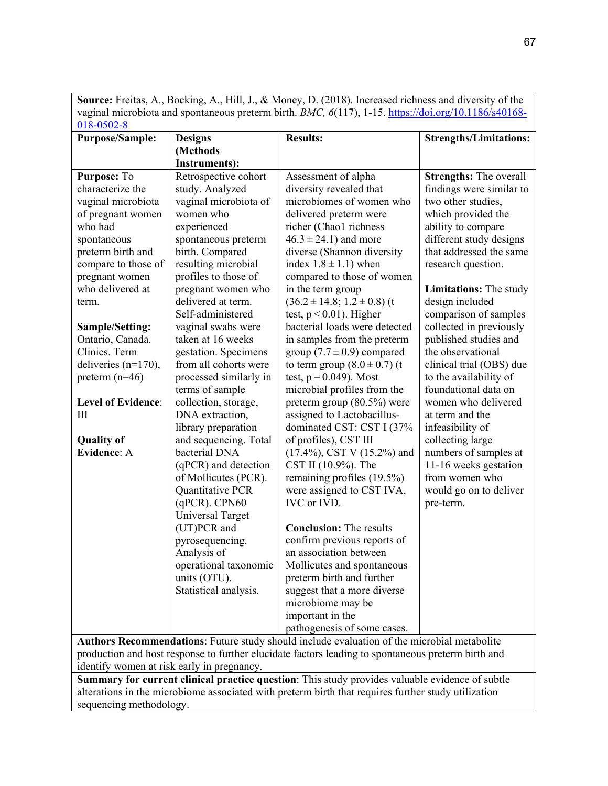**Source:** Freitas, A., Bocking, A., Hill, J., & Money, D. (2018). Increased richness and diversity of the vaginal microbiota and spontaneous preterm birth. *BMC, 6*(117), 1-15. [https://doi.org/10.1186/s40168-](about:blank)  $018 - 0502 - 8$ 

| <b>Purpose/Sample:</b>             | <b>Designs</b>                              | <b>Results:</b>                                          | <b>Strengths/Limitations:</b>                      |
|------------------------------------|---------------------------------------------|----------------------------------------------------------|----------------------------------------------------|
|                                    | (Methods                                    |                                                          |                                                    |
|                                    | <b>Instruments):</b>                        |                                                          |                                                    |
| Purpose: To                        | Retrospective cohort                        | Assessment of alpha                                      | <b>Strengths:</b> The overall                      |
| characterize the                   | study. Analyzed                             | diversity revealed that                                  | findings were similar to                           |
| vaginal microbiota                 | vaginal microbiota of                       | microbiomes of women who                                 | two other studies,                                 |
| of pregnant women                  | women who                                   | delivered preterm were                                   | which provided the                                 |
| who had                            | experienced                                 | richer (Chao1 richness                                   | ability to compare                                 |
| spontaneous                        | spontaneous preterm                         | $46.3 \pm 24.1$ ) and more                               | different study designs<br>that addressed the same |
| preterm birth and                  | birth. Compared                             | diverse (Shannon diversity                               |                                                    |
| compare to those of                | resulting microbial<br>profiles to those of | index $1.8 \pm 1.1$ ) when<br>compared to those of women | research question.                                 |
| pregnant women<br>who delivered at | pregnant women who                          | in the term group                                        | <b>Limitations:</b> The study                      |
| term.                              | delivered at term.                          | $(36.2 \pm 14.8; 1.2 \pm 0.8)$ (t                        | design included                                    |
|                                    | Self-administered                           | test, $p < 0.01$ ). Higher                               | comparison of samples                              |
| <b>Sample/Setting:</b>             | vaginal swabs were                          | bacterial loads were detected                            | collected in previously                            |
| Ontario, Canada.                   | taken at 16 weeks                           | in samples from the preterm                              | published studies and                              |
| Clinics. Term                      | gestation. Specimens                        | group $(7.7 \pm 0.9)$ compared                           | the observational                                  |
| deliveries $(n=170)$ ,             | from all cohorts were                       | to term group $(8.0 \pm 0.7)$ (t                         | clinical trial (OBS) due                           |
| preterm $(n=46)$                   | processed similarly in                      | test, $p = 0.049$ ). Most                                | to the availability of                             |
|                                    | terms of sample                             | microbial profiles from the                              | foundational data on                               |
| <b>Level of Evidence:</b>          | collection, storage,                        | preterm group $(80.5\%)$ were                            | women who delivered                                |
| Ш                                  | DNA extraction,                             | assigned to Lactobacillus-                               | at term and the                                    |
|                                    | library preparation                         | dominated CST: CST I (37%                                | infeasibility of                                   |
| <b>Quality of</b>                  | and sequencing. Total                       | of profiles), CST III                                    | collecting large                                   |
| Evidence: A                        | bacterial DNA                               | $(17.4\%)$ , CST V $(15.2\%)$ and                        | numbers of samples at                              |
|                                    | (qPCR) and detection                        | CST II (10.9%). The                                      | 11-16 weeks gestation                              |
|                                    | of Mollicutes (PCR).                        | remaining profiles (19.5%)                               | from women who                                     |
|                                    | Quantitative PCR                            | were assigned to CST IVA,                                | would go on to deliver                             |
|                                    | $(qPCR)$ . CPN60                            | IVC or IVD.                                              | pre-term.                                          |
|                                    | <b>Universal Target</b>                     |                                                          |                                                    |
|                                    | (UT)PCR and                                 | <b>Conclusion:</b> The results                           |                                                    |
|                                    | pyrosequencing.                             | confirm previous reports of                              |                                                    |
|                                    | Analysis of                                 | an association between                                   |                                                    |
|                                    | operational taxonomic                       | Mollicutes and spontaneous                               |                                                    |
|                                    | units (OTU).                                | preterm birth and further                                |                                                    |
|                                    | Statistical analysis.                       | suggest that a more diverse                              |                                                    |
|                                    |                                             | microbiome may be                                        |                                                    |
|                                    |                                             | important in the                                         |                                                    |
|                                    |                                             | pathogenesis of some cases.                              |                                                    |

**Authors Recommendations**: Future study should include evaluation of the microbial metabolite production and host response to further elucidate factors leading to spontaneous preterm birth and identify women at risk early in pregnancy.

**Summary for current clinical practice question**: This study provides valuable evidence of subtle alterations in the microbiome associated with preterm birth that requires further study utilization sequencing methodology.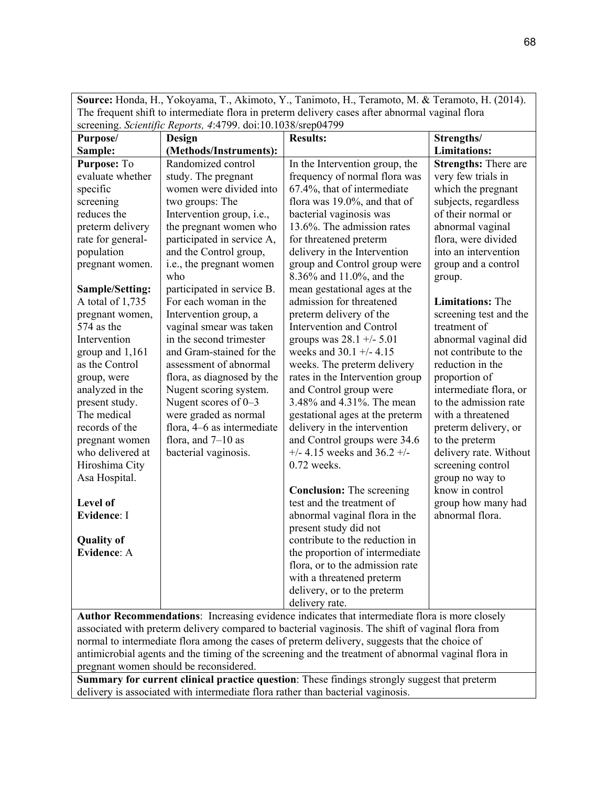| Source: Honda, H., Yokoyama, T., Akimoto, Y., Tanimoto, H., Teramoto, M. & Teramoto, H. (2014). |                            |                                                                                               |                             |  |
|-------------------------------------------------------------------------------------------------|----------------------------|-----------------------------------------------------------------------------------------------|-----------------------------|--|
| The frequent shift to intermediate flora in preterm delivery cases after abnormal vaginal flora |                            |                                                                                               |                             |  |
| screening. Scientific Reports, 4:4799. doi:10.1038/srep04799                                    |                            |                                                                                               |                             |  |
| Purpose/<br><b>Design</b>                                                                       |                            | <b>Results:</b>                                                                               | Strengths/                  |  |
| Sample:                                                                                         | (Methods/Instruments):     |                                                                                               | <b>Limitations:</b>         |  |
| Purpose: To                                                                                     | Randomized control         | In the Intervention group, the                                                                | <b>Strengths:</b> There are |  |
| evaluate whether                                                                                | study. The pregnant        | frequency of normal flora was                                                                 | very few trials in          |  |
| specific                                                                                        | women were divided into    | 67.4%, that of intermediate                                                                   | which the pregnant          |  |
| screening                                                                                       | two groups: The            | flora was 19.0%, and that of                                                                  | subjects, regardless        |  |
| reduces the                                                                                     | Intervention group, i.e.,  | bacterial vaginosis was                                                                       | of their normal or          |  |
| preterm delivery                                                                                | the pregnant women who     | 13.6%. The admission rates                                                                    | abnormal vaginal            |  |
| rate for general-                                                                               | participated in service A, | for threatened preterm                                                                        | flora, were divided         |  |
| population                                                                                      | and the Control group,     | delivery in the Intervention                                                                  | into an intervention        |  |
| pregnant women.                                                                                 | i.e., the pregnant women   | group and Control group were                                                                  | group and a control         |  |
|                                                                                                 | who                        | 8.36% and 11.0%, and the                                                                      | group.                      |  |
| Sample/Setting:                                                                                 | participated in service B. | mean gestational ages at the                                                                  |                             |  |
| A total of 1,735                                                                                | For each woman in the      | admission for threatened                                                                      | <b>Limitations:</b> The     |  |
| pregnant women,                                                                                 | Intervention group, a      | preterm delivery of the                                                                       | screening test and the      |  |
| 574 as the                                                                                      | vaginal smear was taken    | Intervention and Control                                                                      | treatment of                |  |
| Intervention                                                                                    | in the second trimester    | groups was $28.1 +/- 5.01$                                                                    | abnormal vaginal did        |  |
| group and 1,161                                                                                 | and Gram-stained for the   | weeks and $30.1 +/- 4.15$                                                                     | not contribute to the       |  |
| as the Control                                                                                  | assessment of abnormal     | weeks. The preterm delivery                                                                   | reduction in the            |  |
| group, were                                                                                     | flora, as diagnosed by the | rates in the Intervention group                                                               | proportion of               |  |
| analyzed in the                                                                                 | Nugent scoring system.     | and Control group were                                                                        | intermediate flora, or      |  |
| present study.                                                                                  | Nugent scores of $0-3$     | 3.48% and 4.31%. The mean                                                                     | to the admission rate       |  |
| The medical                                                                                     | were graded as normal      | gestational ages at the preterm                                                               | with a threatened           |  |
| records of the                                                                                  | flora, 4–6 as intermediate | delivery in the intervention                                                                  | preterm delivery, or        |  |
| pregnant women                                                                                  | flora, and $7-10$ as       | and Control groups were 34.6                                                                  | to the preterm              |  |
| who delivered at                                                                                | bacterial vaginosis.       | $+/- 4.15$ weeks and 36.2 $+/-$                                                               | delivery rate. Without      |  |
| Hiroshima City                                                                                  |                            | $0.72$ weeks.                                                                                 | screening control           |  |
| Asa Hospital.                                                                                   |                            |                                                                                               | group no way to             |  |
|                                                                                                 |                            | <b>Conclusion:</b> The screening                                                              | know in control             |  |
| Level of                                                                                        |                            | test and the treatment of                                                                     | group how many had          |  |
| <b>Evidence: I</b>                                                                              |                            | abnormal vaginal flora in the                                                                 | abnormal flora.             |  |
|                                                                                                 |                            | present study did not                                                                         |                             |  |
| <b>Quality of</b>                                                                               |                            | contribute to the reduction in                                                                |                             |  |
| <b>Evidence: A</b>                                                                              |                            | the proportion of intermediate                                                                |                             |  |
|                                                                                                 |                            | flora, or to the admission rate                                                               |                             |  |
|                                                                                                 |                            | with a threatened preterm                                                                     |                             |  |
|                                                                                                 |                            | delivery, or to the preterm                                                                   |                             |  |
|                                                                                                 |                            | delivery rate.                                                                                |                             |  |
|                                                                                                 |                            | Author Recommendations: Increasing evidence indicates that intermediate flora is more closely |                             |  |

**Author Recommendations**: Increasing evidence indicates that intermediate flora is more closely associated with preterm delivery compared to bacterial vaginosis. The shift of vaginal flora from normal to intermediate flora among the cases of preterm delivery, suggests that the choice of antimicrobial agents and the timing of the screening and the treatment of abnormal vaginal flora in pregnant women should be reconsidered.

**Summary for current clinical practice question**: These findings strongly suggest that preterm delivery is associated with intermediate flora rather than bacterial vaginosis.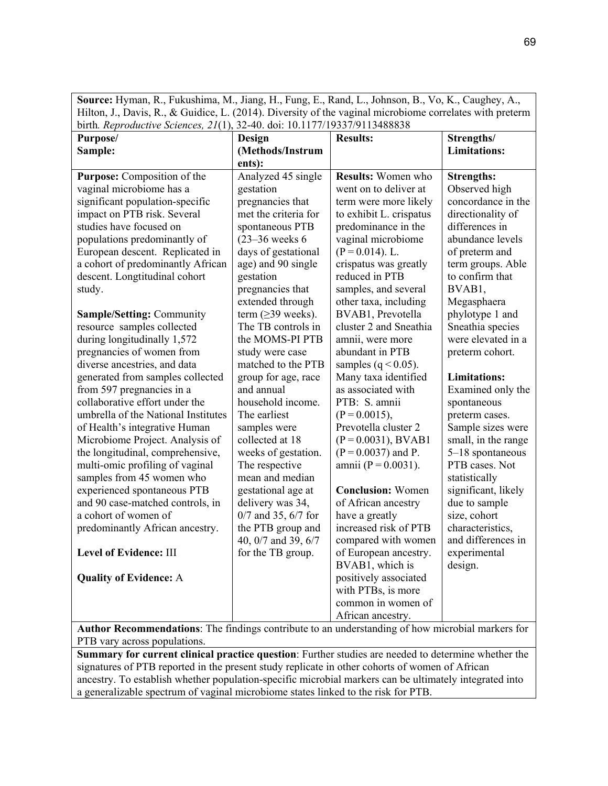**Source:** Hyman, R., Fukushima, M., Jiang, H., Fung, E., Rand, L., Johnson, B., Vo, K., Caughey, A., Hilton, J., Davis, R., & Guidice, L. (2014). Diversity of the vaginal microbiome correlates with preterm birth*. Reproductive Sciences, 21*(1), 32-40. doi: 10.1177/19337/9113488838

| Purpose/                            | Design                 | <b>Results:</b>          | Strengths/          |
|-------------------------------------|------------------------|--------------------------|---------------------|
| Sample:                             | (Methods/Instrum       |                          | <b>Limitations:</b> |
|                                     | ents):                 |                          |                     |
| Purpose: Composition of the         | Analyzed 45 single     | Results: Women who       | <b>Strengths:</b>   |
| vaginal microbiome has a            | gestation              | went on to deliver at    | Observed high       |
| significant population-specific     | pregnancies that       | term were more likely    | concordance in the  |
| impact on PTB risk. Several         | met the criteria for   | to exhibit L. crispatus  | directionality of   |
| studies have focused on             | spontaneous PTB        | predominance in the      | differences in      |
| populations predominantly of        | $(23-36$ weeks 6       | vaginal microbiome       | abundance levels    |
| European descent. Replicated in     | days of gestational    | $(P = 0.014)$ . L.       | of preterm and      |
| a cohort of predominantly African   | age) and 90 single     | crispatus was greatly    | term groups. Able   |
| descent. Longtitudinal cohort       | gestation              | reduced in PTB           | to confirm that     |
| study.                              | pregnancies that       | samples, and several     | BVAB1,              |
|                                     | extended through       | other taxa, including    | Megasphaera         |
| <b>Sample/Setting: Community</b>    | term $(\geq)3$ weeks). | BVAB1, Prevotella        | phylotype 1 and     |
| resource samples collected          | The TB controls in     | cluster 2 and Sneathia   | Sneathia species    |
| during longitudinally 1,572         | the MOMS-PI PTB        | amnii, were more         | were elevated in a  |
| pregnancies of women from           | study were case        | abundant in PTB          | preterm cohort.     |
| diverse ancestries, and data        | matched to the PTB     | samples ( $q < 0.05$ ).  |                     |
| generated from samples collected    | group for age, race    | Many taxa identified     | <b>Limitations:</b> |
| from 597 pregnancies in a           | and annual             | as associated with       | Examined only the   |
| collaborative effort under the      | household income.      | PTB: S. amnii            | spontaneous         |
| umbrella of the National Institutes | The earliest           | $(P = 0.0015),$          | preterm cases.      |
| of Health's integrative Human       | samples were           | Prevotella cluster 2     | Sample sizes were   |
| Microbiome Project. Analysis of     | collected at 18        | $(P = 0.0031)$ , BVAB1   | small, in the range |
| the longitudinal, comprehensive,    | weeks of gestation.    | $(P = 0.0037)$ and P.    | 5-18 spontaneous    |
| multi-omic profiling of vaginal     | The respective         | amnii (P = $0.0031$ ).   | PTB cases. Not      |
| samples from 45 women who           | mean and median        |                          | statistically       |
| experienced spontaneous PTB         | gestational age at     | <b>Conclusion:</b> Women | significant, likely |
| and 90 case-matched controls, in    | delivery was 34,       | of African ancestry      | due to sample       |
| a cohort of women of                | 0/7 and 35, 6/7 for    | have a greatly           | size, cohort        |
| predominantly African ancestry.     | the PTB group and      | increased risk of PTB    | characteristics,    |
|                                     | 40, 0/7 and 39, 6/7    | compared with women      | and differences in  |
| <b>Level of Evidence: III</b>       | for the TB group.      | of European ancestry.    | experimental        |
|                                     |                        | BVAB1, which is          | design.             |
| <b>Quality of Evidence: A</b>       |                        | positively associated    |                     |
|                                     |                        | with PTBs, is more       |                     |
|                                     |                        | common in women of       |                     |
|                                     |                        | African ancestry.        |                     |

**Author Recommendations**: The findings contribute to an understanding of how microbial markers for PTB vary across populations.

**Summary for current clinical practice question**: Further studies are needed to determine whether the signatures of PTB reported in the present study replicate in other cohorts of women of African ancestry. To establish whether population-specific microbial markers can be ultimately integrated into a generalizable spectrum of vaginal microbiome states linked to the risk for PTB.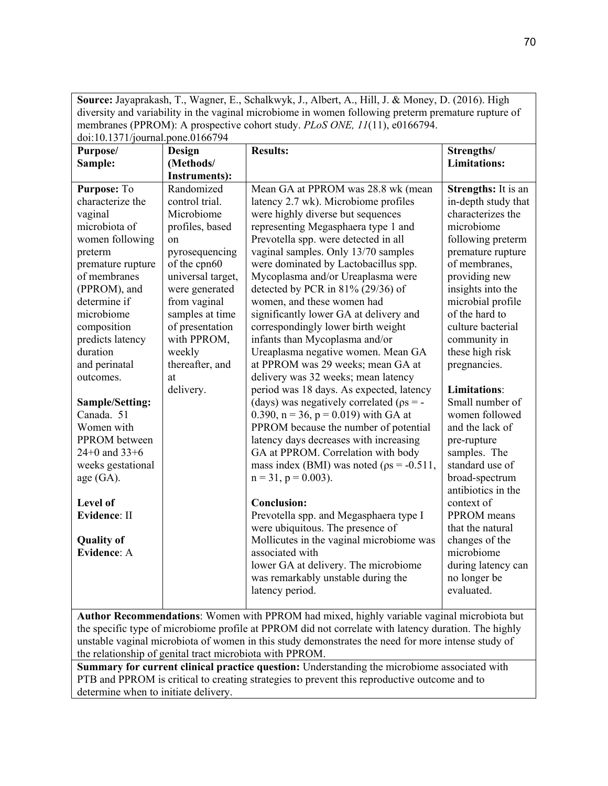**Source:** Jayaprakash, T., Wagner, E., Schalkwyk, J., Albert, A., Hill, J. & Money, D. (2016). High diversity and variability in the vaginal microbiome in women following preterm premature rupture of membranes (PPROM): A prospective cohort study. *PLoS ONE, 11*(11), e0166794. doi:10.1371/journal.pone.0166794

| aon 10.1971, journal.<br>$5011$ $0.0100121$<br><b>Results:</b><br>Strengths/<br>Purpose/<br>Design                                                                                                                                                                                                                                                                                                                                                                             |                                                                                                                                                                                                                                                                                                        |                                                                                                                                                                                                                                                                                                                                                                                                                                                                                                                                                                                                                                                                                                                                                                                                                                                                                                                                                                                                                                                                                                                                                                                          |                                                                                                                                                                                                                                                                                                                                                                                                                                                                                                                                                                                                      |  |  |  |
|--------------------------------------------------------------------------------------------------------------------------------------------------------------------------------------------------------------------------------------------------------------------------------------------------------------------------------------------------------------------------------------------------------------------------------------------------------------------------------|--------------------------------------------------------------------------------------------------------------------------------------------------------------------------------------------------------------------------------------------------------------------------------------------------------|------------------------------------------------------------------------------------------------------------------------------------------------------------------------------------------------------------------------------------------------------------------------------------------------------------------------------------------------------------------------------------------------------------------------------------------------------------------------------------------------------------------------------------------------------------------------------------------------------------------------------------------------------------------------------------------------------------------------------------------------------------------------------------------------------------------------------------------------------------------------------------------------------------------------------------------------------------------------------------------------------------------------------------------------------------------------------------------------------------------------------------------------------------------------------------------|------------------------------------------------------------------------------------------------------------------------------------------------------------------------------------------------------------------------------------------------------------------------------------------------------------------------------------------------------------------------------------------------------------------------------------------------------------------------------------------------------------------------------------------------------------------------------------------------------|--|--|--|
|                                                                                                                                                                                                                                                                                                                                                                                                                                                                                |                                                                                                                                                                                                                                                                                                        |                                                                                                                                                                                                                                                                                                                                                                                                                                                                                                                                                                                                                                                                                                                                                                                                                                                                                                                                                                                                                                                                                                                                                                                          |                                                                                                                                                                                                                                                                                                                                                                                                                                                                                                                                                                                                      |  |  |  |
|                                                                                                                                                                                                                                                                                                                                                                                                                                                                                |                                                                                                                                                                                                                                                                                                        |                                                                                                                                                                                                                                                                                                                                                                                                                                                                                                                                                                                                                                                                                                                                                                                                                                                                                                                                                                                                                                                                                                                                                                                          |                                                                                                                                                                                                                                                                                                                                                                                                                                                                                                                                                                                                      |  |  |  |
| Sample:<br>Purpose: To<br>characterize the<br>vaginal<br>microbiota of<br>women following<br>preterm<br>premature rupture<br>of membranes<br>(PPROM), and<br>determine if<br>microbiome<br>composition<br>predicts latency<br>duration<br>and perinatal<br>outcomes.<br><b>Sample/Setting:</b><br>Canada. 51<br>Women with<br>PPROM between<br>24+0 and $33+6$<br>weeks gestational<br>age (GA).<br>Level of<br><b>Evidence: II</b><br><b>Quality of</b><br><b>Evidence: A</b> | (Methods/<br><b>Instruments):</b><br>Randomized<br>control trial.<br>Microbiome<br>profiles, based<br>on<br>pyrosequencing<br>of the cpn60<br>universal target,<br>were generated<br>from vaginal<br>samples at time<br>of presentation<br>with PPROM,<br>weekly<br>thereafter, and<br>at<br>delivery. | Mean GA at PPROM was 28.8 wk (mean<br>latency 2.7 wk). Microbiome profiles<br>were highly diverse but sequences<br>representing Megasphaera type 1 and<br>Prevotella spp. were detected in all<br>vaginal samples. Only 13/70 samples<br>were dominated by Lactobacillus spp.<br>Mycoplasma and/or Ureaplasma were<br>detected by PCR in 81% (29/36) of<br>women, and these women had<br>significantly lower GA at delivery and<br>correspondingly lower birth weight<br>infants than Mycoplasma and/or<br>Ureaplasma negative women. Mean GA<br>at PPROM was 29 weeks; mean GA at<br>delivery was 32 weeks; mean latency<br>period was 18 days. As expected, latency<br>(days) was negatively correlated ( $\rho s = -$<br>0.390, $n = 36$ , $p = 0.019$ ) with GA at<br>PPROM because the number of potential<br>latency days decreases with increasing<br>GA at PPROM. Correlation with body<br>mass index (BMI) was noted ( $p_s = -0.511$ ,<br>$n = 31$ , $p = 0.003$ ).<br><b>Conclusion:</b><br>Prevotella spp. and Megasphaera type I<br>were ubiquitous. The presence of<br>Mollicutes in the vaginal microbiome was<br>associated with<br>lower GA at delivery. The microbiome | <b>Limitations:</b><br>Strengths: It is an<br>in-depth study that<br>characterizes the<br>microbiome<br>following preterm<br>premature rupture<br>of membranes,<br>providing new<br>insights into the<br>microbial profile<br>of the hard to<br>culture bacterial<br>community in<br>these high risk<br>pregnancies.<br><b>Limitations:</b><br>Small number of<br>women followed<br>and the lack of<br>pre-rupture<br>samples. The<br>standard use of<br>broad-spectrum<br>antibiotics in the<br>context of<br>PPROM means<br>that the natural<br>changes of the<br>microbiome<br>during latency can |  |  |  |
|                                                                                                                                                                                                                                                                                                                                                                                                                                                                                |                                                                                                                                                                                                                                                                                                        | was remarkably unstable during the<br>latency period.                                                                                                                                                                                                                                                                                                                                                                                                                                                                                                                                                                                                                                                                                                                                                                                                                                                                                                                                                                                                                                                                                                                                    | no longer be<br>evaluated.                                                                                                                                                                                                                                                                                                                                                                                                                                                                                                                                                                           |  |  |  |
| Author Recommendations: Women with PPROM had mixed, highly variable vaginal microbiota but                                                                                                                                                                                                                                                                                                                                                                                     |                                                                                                                                                                                                                                                                                                        |                                                                                                                                                                                                                                                                                                                                                                                                                                                                                                                                                                                                                                                                                                                                                                                                                                                                                                                                                                                                                                                                                                                                                                                          |                                                                                                                                                                                                                                                                                                                                                                                                                                                                                                                                                                                                      |  |  |  |
|                                                                                                                                                                                                                                                                                                                                                                                                                                                                                |                                                                                                                                                                                                                                                                                                        | the specific type of microbiome profile at PPROM did not correlate with latency duration. The highly                                                                                                                                                                                                                                                                                                                                                                                                                                                                                                                                                                                                                                                                                                                                                                                                                                                                                                                                                                                                                                                                                     |                                                                                                                                                                                                                                                                                                                                                                                                                                                                                                                                                                                                      |  |  |  |
|                                                                                                                                                                                                                                                                                                                                                                                                                                                                                |                                                                                                                                                                                                                                                                                                        | unstable vaginal microbiota of women in this study demonstrates the need for more intense study of                                                                                                                                                                                                                                                                                                                                                                                                                                                                                                                                                                                                                                                                                                                                                                                                                                                                                                                                                                                                                                                                                       |                                                                                                                                                                                                                                                                                                                                                                                                                                                                                                                                                                                                      |  |  |  |
| the relationship of genital tract microbiota with PPROM.                                                                                                                                                                                                                                                                                                                                                                                                                       |                                                                                                                                                                                                                                                                                                        |                                                                                                                                                                                                                                                                                                                                                                                                                                                                                                                                                                                                                                                                                                                                                                                                                                                                                                                                                                                                                                                                                                                                                                                          |                                                                                                                                                                                                                                                                                                                                                                                                                                                                                                                                                                                                      |  |  |  |
|                                                                                                                                                                                                                                                                                                                                                                                                                                                                                |                                                                                                                                                                                                                                                                                                        |                                                                                                                                                                                                                                                                                                                                                                                                                                                                                                                                                                                                                                                                                                                                                                                                                                                                                                                                                                                                                                                                                                                                                                                          |                                                                                                                                                                                                                                                                                                                                                                                                                                                                                                                                                                                                      |  |  |  |

**Summary for current clinical practice question:** Understanding the microbiome associated with PTB and PPROM is critical to creating strategies to prevent this reproductive outcome and to determine when to initiate delivery.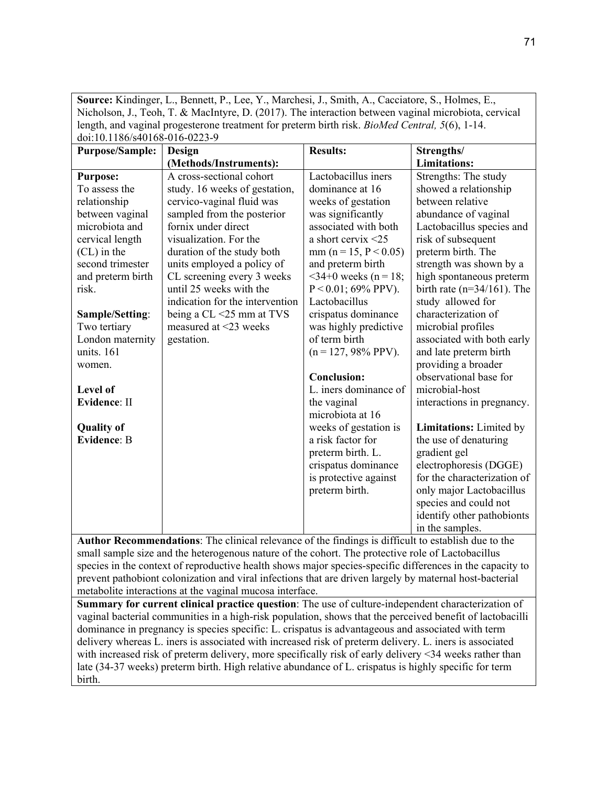|                                         | <b>Source:</b> Kindinger, L., Bennett, P., Lee, Y., Marchesi, J., Smith, A., Cacciatore, S., Holmes, E.,                                                                                                     |                                  |                          |                                   |  |  |  |
|-----------------------------------------|--------------------------------------------------------------------------------------------------------------------------------------------------------------------------------------------------------------|----------------------------------|--------------------------|-----------------------------------|--|--|--|
|                                         | Nicholson, J., Teoh, T. & MacIntyre, D. (2017). The interaction between vaginal microbiota, cervical                                                                                                         |                                  |                          |                                   |  |  |  |
|                                         | length, and vaginal progesterone treatment for preterm birth risk. BioMed Central, 5(6), 1-14.<br>doi:10.1186/s40168-016-0223-9                                                                              |                                  |                          |                                   |  |  |  |
|                                         | <b>Purpose/Sample:</b>                                                                                                                                                                                       |                                  | <b>Results:</b>          |                                   |  |  |  |
|                                         |                                                                                                                                                                                                              | Design<br>(Methods/Instruments): |                          | Strengths/<br><b>Limitations:</b> |  |  |  |
|                                         | <b>Purpose:</b>                                                                                                                                                                                              | A cross-sectional cohort         | Lactobacillus iners      | Strengths: The study              |  |  |  |
|                                         | To assess the                                                                                                                                                                                                | study. 16 weeks of gestation,    | dominance at 16          | showed a relationship             |  |  |  |
|                                         | relationship                                                                                                                                                                                                 | cervico-vaginal fluid was        | weeks of gestation       | between relative                  |  |  |  |
|                                         | between vaginal                                                                                                                                                                                              | sampled from the posterior       | was significantly        | abundance of vaginal              |  |  |  |
|                                         | microbiota and                                                                                                                                                                                               | fornix under direct              | associated with both     | Lactobacillus species and         |  |  |  |
|                                         | cervical length                                                                                                                                                                                              | visualization. For the           | a short cervix $\leq$ 25 | risk of subsequent                |  |  |  |
|                                         | $(CL)$ in the                                                                                                                                                                                                | duration of the study both       | $mm (n = 15, P < 0.05)$  | preterm birth. The                |  |  |  |
|                                         | second trimester                                                                                                                                                                                             | units employed a policy of       | and preterm birth        | strength was shown by a           |  |  |  |
|                                         | and preterm birth                                                                                                                                                                                            | CL screening every 3 weeks       | $<$ 34+0 weeks (n = 18;  | high spontaneous preterm          |  |  |  |
|                                         | risk.                                                                                                                                                                                                        | until 25 weeks with the          | $P < 0.01$ ; 69% PPV).   | birth rate ( $n=34/161$ ). The    |  |  |  |
|                                         |                                                                                                                                                                                                              | indication for the intervention  | Lactobacillus            | study allowed for                 |  |  |  |
|                                         | Sample/Setting:                                                                                                                                                                                              | being a $CL < 25$ mm at TVS      | crispatus dominance      | characterization of               |  |  |  |
|                                         | Two tertiary                                                                                                                                                                                                 | measured at <23 weeks            | was highly predictive    | microbial profiles                |  |  |  |
|                                         | London maternity                                                                                                                                                                                             | gestation.                       | of term birth            | associated with both early        |  |  |  |
|                                         | units. 161                                                                                                                                                                                                   |                                  | $(n = 127, 98\% PPV).$   | and late preterm birth            |  |  |  |
|                                         | women.                                                                                                                                                                                                       |                                  |                          | providing a broader               |  |  |  |
|                                         |                                                                                                                                                                                                              |                                  | <b>Conclusion:</b>       | observational base for            |  |  |  |
|                                         | Level of                                                                                                                                                                                                     |                                  | L. iners dominance of    | microbial-host                    |  |  |  |
|                                         | Evidence: II                                                                                                                                                                                                 |                                  | the vaginal              | interactions in pregnancy.        |  |  |  |
| <b>Quality of</b>                       |                                                                                                                                                                                                              |                                  | microbiota at 16         |                                   |  |  |  |
|                                         |                                                                                                                                                                                                              |                                  | weeks of gestation is    | Limitations: Limited by           |  |  |  |
| <b>Evidence: B</b><br>a risk factor for |                                                                                                                                                                                                              |                                  |                          | the use of denaturing             |  |  |  |
|                                         |                                                                                                                                                                                                              |                                  | preterm birth. L.        | gradient gel                      |  |  |  |
|                                         |                                                                                                                                                                                                              |                                  | crispatus dominance      | electrophoresis (DGGE)            |  |  |  |
|                                         |                                                                                                                                                                                                              |                                  | is protective against    | for the characterization of       |  |  |  |
|                                         |                                                                                                                                                                                                              |                                  | preterm birth.           | only major Lactobacillus          |  |  |  |
|                                         |                                                                                                                                                                                                              |                                  |                          | species and could not             |  |  |  |
|                                         |                                                                                                                                                                                                              |                                  |                          | identify other pathobionts        |  |  |  |
|                                         |                                                                                                                                                                                                              | in the samples.                  |                          |                                   |  |  |  |
|                                         | Author Recommendations: The clinical relevance of the findings is difficult to establish due to the                                                                                                          |                                  |                          |                                   |  |  |  |
|                                         | small sample size and the heterogenous nature of the cohort. The protective role of Lactobacillus                                                                                                            |                                  |                          |                                   |  |  |  |
|                                         | species in the context of reproductive health shows major species-specific differences in the capacity to                                                                                                    |                                  |                          |                                   |  |  |  |
|                                         | prevent pathobiont colonization and viral infections that are driven largely by maternal host-bacterial                                                                                                      |                                  |                          |                                   |  |  |  |
|                                         | metabolite interactions at the vaginal mucosa interface.                                                                                                                                                     |                                  |                          |                                   |  |  |  |
|                                         | Summary for current clinical practice question: The use of culture-independent characterization of                                                                                                           |                                  |                          |                                   |  |  |  |
|                                         | vaginal bacterial communities in a high-risk population, shows that the perceived benefit of lactobacilli                                                                                                    |                                  |                          |                                   |  |  |  |
|                                         | dominance in pregnancy is species specific: L. crispatus is advantageous and associated with term<br>delivery whereas L. iners is associated with increased risk of preterm delivery. L. iners is associated |                                  |                          |                                   |  |  |  |
|                                         | with increased risk of preterm delivery, more specifically risk of early delivery <34 weeks rather than                                                                                                      |                                  |                          |                                   |  |  |  |
|                                         |                                                                                                                                                                                                              |                                  |                          |                                   |  |  |  |
|                                         | late (34-37 weeks) preterm birth. High relative abundance of L. crispatus is highly specific for term<br>birth.                                                                                              |                                  |                          |                                   |  |  |  |
|                                         |                                                                                                                                                                                                              |                                  |                          |                                   |  |  |  |

**Source:** Kindinger, L., Bennett, P., Lee, Y., Marchesi, J., Smith, A., Cacciatore, S., Holmes, E.,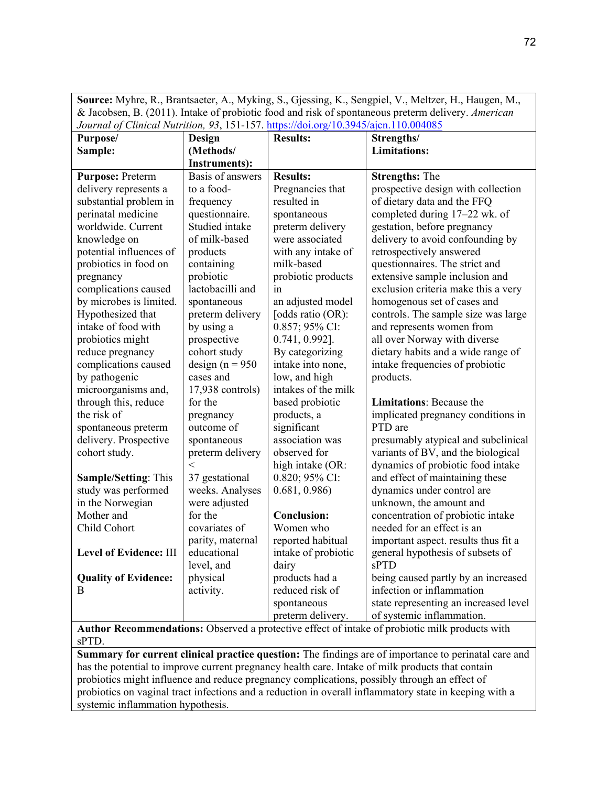| Source: Myhre, R., Brantsaeter, A., Myking, S., Gjessing, K., Sengpiel, V., Meltzer, H., Haugen, M., |
|------------------------------------------------------------------------------------------------------|
| & Jacobsen, B. (2011). Intake of probiotic food and risk of spontaneous preterm delivery. American   |
| Journal of Clinical Nutrition, 93, 151-157. https://doi.org/10.3945/ajcn.110.004085                  |

| Purpose/                    | Design               | <b>Results:</b>     | Strengths/                            |
|-----------------------------|----------------------|---------------------|---------------------------------------|
| Sample:                     | (Methods/            |                     | <b>Limitations:</b>                   |
|                             | <b>Instruments):</b> |                     |                                       |
| <b>Purpose: Preterm</b>     | Basis of answers     | <b>Results:</b>     | <b>Strengths: The</b>                 |
| delivery represents a       | to a food-           | Pregnancies that    | prospective design with collection    |
| substantial problem in      | frequency            | resulted in         | of dietary data and the FFQ           |
| perinatal medicine          | questionnaire.       | spontaneous         | completed during 17-22 wk. of         |
| worldwide. Current          | Studied intake       | preterm delivery    | gestation, before pregnancy           |
| knowledge on                | of milk-based        | were associated     | delivery to avoid confounding by      |
| potential influences of     | products             | with any intake of  | retrospectively answered              |
| probiotics in food on       | containing           | milk-based          | questionnaires. The strict and        |
| pregnancy                   | probiotic            | probiotic products  | extensive sample inclusion and        |
| complications caused        | lactobacilli and     | in                  | exclusion criteria make this a very   |
| by microbes is limited.     | spontaneous          | an adjusted model   | homogenous set of cases and           |
| Hypothesized that           | preterm delivery     | [odds ratio (OR):   | controls. The sample size was large   |
| intake of food with         | by using a           | 0.857; 95% CI:      | and represents women from             |
| probiotics might            | prospective          | $0.741, 0.992$ ].   | all over Norway with diverse          |
| reduce pregnancy            | cohort study         | By categorizing     | dietary habits and a wide range of    |
| complications caused        | design ( $n = 950$   | intake into none,   | intake frequencies of probiotic       |
| by pathogenic               | cases and            | low, and high       | products.                             |
| microorganisms and,         | $17,938$ controls)   | intakes of the milk |                                       |
| through this, reduce        | for the              | based probiotic     | Limitations: Because the              |
| the risk of                 | pregnancy            | products, a         | implicated pregnancy conditions in    |
| spontaneous preterm         | outcome of           | significant         | PTD are                               |
| delivery. Prospective       | spontaneous          | association was     | presumably atypical and subclinical   |
| cohort study.               | preterm delivery     | observed for        | variants of BV, and the biological    |
|                             | $\,<\,$              | high intake (OR:    | dynamics of probiotic food intake     |
| <b>Sample/Setting: This</b> | 37 gestational       | 0.820; 95% CI:      | and effect of maintaining these       |
| study was performed         | weeks. Analyses      | 0.681, 0.986        | dynamics under control are            |
| in the Norwegian            | were adjusted        |                     | unknown, the amount and               |
| Mother and                  | for the              | <b>Conclusion:</b>  | concentration of probiotic intake     |
| Child Cohort                | covariates of        | Women who           | needed for an effect is an            |
|                             | parity, maternal     | reported habitual   | important aspect. results thus fit a  |
| Level of Evidence: III      | educational          | intake of probiotic | general hypothesis of subsets of      |
|                             | level, and           | dairy               | sPTD                                  |
| <b>Quality of Evidence:</b> | physical             | products had a      | being caused partly by an increased   |
| B                           | activity.            | reduced risk of     | infection or inflammation             |
|                             |                      | spontaneous         | state representing an increased level |
|                             |                      | preterm delivery.   | of systemic inflammation.             |

**Author Recommendations:** Observed a protective effect of intake of probiotic milk products with sPTD.

**Summary for current clinical practice question:** The findings are of importance to perinatal care and has the potential to improve current pregnancy health care. Intake of milk products that contain probiotics might influence and reduce pregnancy complications, possibly through an effect of probiotics on vaginal tract infections and a reduction in overall inflammatory state in keeping with a systemic inflammation hypothesis.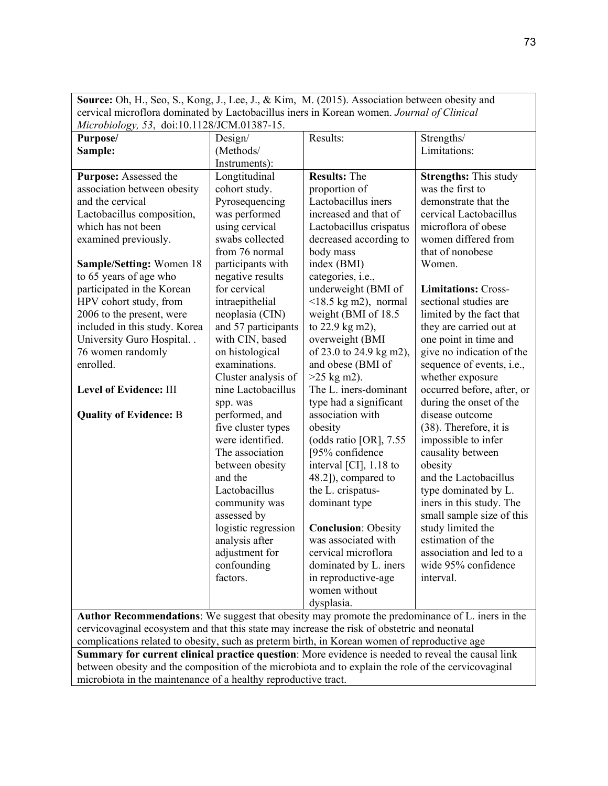| Source: Oh, H., Seo, S., Kong, J., Lee, J., & Kim, M. (2015). Association between obesity and                                                                                                   |                                                                |                            |                              |  |  |  |
|-------------------------------------------------------------------------------------------------------------------------------------------------------------------------------------------------|----------------------------------------------------------------|----------------------------|------------------------------|--|--|--|
| cervical microflora dominated by Lactobacillus iners in Korean women. Journal of Clinical                                                                                                       |                                                                |                            |                              |  |  |  |
| Microbiology, 53, doi:10.1128/JCM.01387-15.                                                                                                                                                     |                                                                |                            |                              |  |  |  |
| Purpose/                                                                                                                                                                                        | Design/                                                        | Results:                   | Strengths/                   |  |  |  |
| Sample:                                                                                                                                                                                         | (Methods/                                                      |                            | Limitations:                 |  |  |  |
|                                                                                                                                                                                                 | Instruments):                                                  |                            |                              |  |  |  |
| Purpose: Assessed the                                                                                                                                                                           | Longtitudinal                                                  | <b>Results: The</b>        | <b>Strengths:</b> This study |  |  |  |
| association between obesity                                                                                                                                                                     | cohort study.                                                  | proportion of              | was the first to             |  |  |  |
| and the cervical                                                                                                                                                                                | Pyrosequencing                                                 | Lactobacillus iners        | demonstrate that the         |  |  |  |
| Lactobacillus composition,                                                                                                                                                                      | was performed                                                  | increased and that of      | cervical Lactobacillus       |  |  |  |
| which has not been                                                                                                                                                                              | using cervical                                                 | Lactobacillus crispatus    | microflora of obese          |  |  |  |
| examined previously.                                                                                                                                                                            | swabs collected                                                | decreased according to     | women differed from          |  |  |  |
|                                                                                                                                                                                                 | from 76 normal                                                 | body mass                  | that of nonobese             |  |  |  |
| Sample/Setting: Women 18                                                                                                                                                                        | participants with                                              | index (BMI)                | Women.                       |  |  |  |
| to 65 years of age who                                                                                                                                                                          | negative results                                               | categories, i.e.,          |                              |  |  |  |
| participated in the Korean                                                                                                                                                                      | for cervical                                                   | underweight (BMI of        | <b>Limitations: Cross-</b>   |  |  |  |
| HPV cohort study, from                                                                                                                                                                          | intraepithelial                                                | $<$ 18.5 kg m2), normal    | sectional studies are        |  |  |  |
| 2006 to the present, were                                                                                                                                                                       | neoplasia (CIN)                                                | weight (BMI of 18.5        | limited by the fact that     |  |  |  |
| included in this study. Korea                                                                                                                                                                   | and 57 participants                                            | to 22.9 kg m2),            | they are carried out at      |  |  |  |
| University Guro Hospital                                                                                                                                                                        | with CIN, based                                                | overweight (BMI            | one point in time and        |  |  |  |
| 76 women randomly                                                                                                                                                                               | on histological                                                | of 23.0 to 24.9 kg m2),    | give no indication of the    |  |  |  |
| enrolled.                                                                                                                                                                                       | examinations.                                                  | and obese (BMI of          | sequence of events, i.e.,    |  |  |  |
|                                                                                                                                                                                                 | Cluster analysis of                                            | $>25$ kg m2).              | whether exposure             |  |  |  |
| Level of Evidence: III                                                                                                                                                                          | nine Lactobacillus                                             | The L. iners-dominant      | occurred before, after, or   |  |  |  |
|                                                                                                                                                                                                 | spp. was                                                       | type had a significant     | during the onset of the      |  |  |  |
| <b>Quality of Evidence: B</b>                                                                                                                                                                   | performed, and                                                 | association with           | disease outcome              |  |  |  |
|                                                                                                                                                                                                 | five cluster types                                             | obesity                    | (38). Therefore, it is       |  |  |  |
|                                                                                                                                                                                                 | were identified.                                               | (odds ratio [OR], 7.55     | impossible to infer          |  |  |  |
| The association<br>[95% confidence<br>causality between                                                                                                                                         |                                                                |                            |                              |  |  |  |
|                                                                                                                                                                                                 | between obesity                                                | interval [CI], 1.18 to     | obesity                      |  |  |  |
|                                                                                                                                                                                                 | and the                                                        | 48.2]), compared to        | and the Lactobacillus        |  |  |  |
|                                                                                                                                                                                                 | Lactobacillus                                                  | the L. crispatus-          | type dominated by L.         |  |  |  |
|                                                                                                                                                                                                 | community was                                                  | dominant type              | iners in this study. The     |  |  |  |
|                                                                                                                                                                                                 | assessed by                                                    |                            | small sample size of this    |  |  |  |
|                                                                                                                                                                                                 | logistic regression                                            | <b>Conclusion: Obesity</b> | study limited the            |  |  |  |
|                                                                                                                                                                                                 | analysis after                                                 | was associated with        | estimation of the            |  |  |  |
|                                                                                                                                                                                                 | adjustment for                                                 | cervical microflora        | association and led to a     |  |  |  |
|                                                                                                                                                                                                 | confounding                                                    | dominated by L. iners      | wide 95% confidence          |  |  |  |
|                                                                                                                                                                                                 | factors.                                                       | in reproductive-age        | interval.                    |  |  |  |
|                                                                                                                                                                                                 |                                                                | women without              |                              |  |  |  |
|                                                                                                                                                                                                 |                                                                | dysplasia.                 |                              |  |  |  |
| Author Recommendations: We suggest that obesity may promote the predominance of L. iners in the<br>cervicovaginal ecosystem and that this state may increase the risk of obstetric and neonatal |                                                                |                            |                              |  |  |  |
| complications related to obesity, such as preterm birth, in Korean women of reproductive age                                                                                                    |                                                                |                            |                              |  |  |  |
| Summary for current clinical practice question: More evidence is needed to reveal the causal link                                                                                               |                                                                |                            |                              |  |  |  |
| between obesity and the composition of the microbiota and to explain the role of the cervicovaginal                                                                                             |                                                                |                            |                              |  |  |  |
|                                                                                                                                                                                                 | microbiota in the maintenance of a healthy reproductive tract. |                            |                              |  |  |  |

73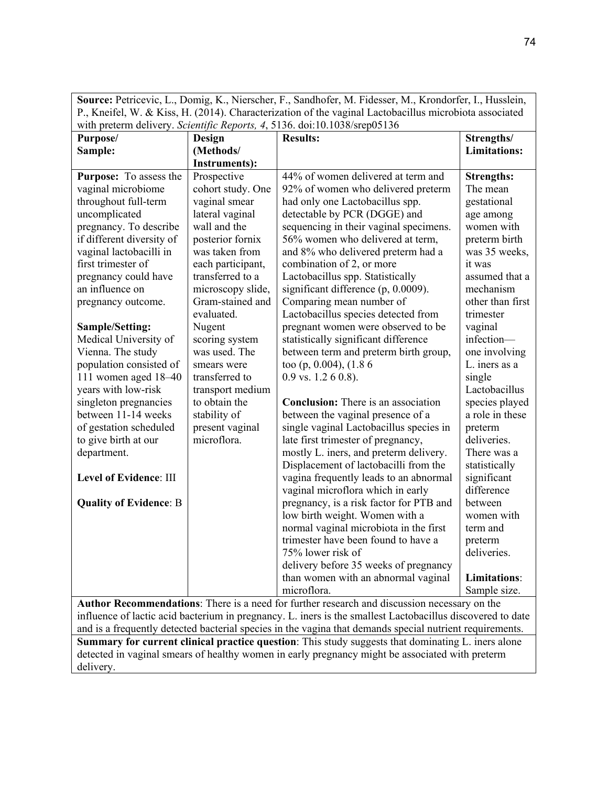**Source:** Petricevic, L., Domig, K., Nierscher, F., Sandhofer, M. Fidesser, M., Krondorfer, I., Husslein, P., Kneifel, W. & Kiss, H. (2014). Characterization of the vaginal Lactobacillus microbiota associated with preterm delivery. *Scientific Reports, 4*, 5136. doi:10.1038/srep05136

| Purpose/                      | Design               | <b>Results:</b>                            | Strengths/          |
|-------------------------------|----------------------|--------------------------------------------|---------------------|
| Sample:                       | (Methods/            |                                            | <b>Limitations:</b> |
|                               | <b>Instruments):</b> |                                            |                     |
| <b>Purpose:</b> To assess the | Prospective          | 44% of women delivered at term and         | <b>Strengths:</b>   |
| vaginal microbiome            | cohort study. One    | 92% of women who delivered preterm         | The mean            |
| throughout full-term          | vaginal smear        | had only one Lactobacillus spp.            | gestational         |
| uncomplicated                 | lateral vaginal      | detectable by PCR (DGGE) and               | age among           |
| pregnancy. To describe        | wall and the         | sequencing in their vaginal specimens.     | women with          |
| if different diversity of     | posterior fornix     | 56% women who delivered at term,           | preterm birth       |
| vaginal lactobacilli in       | was taken from       | and 8% who delivered preterm had a         | was 35 weeks,       |
| first trimester of            | each participant,    | combination of 2, or more                  | it was              |
| pregnancy could have          | transferred to a     | Lactobacillus spp. Statistically           | assumed that a      |
| an influence on               | microscopy slide,    | significant difference (p, 0.0009).        | mechanism           |
| pregnancy outcome.            | Gram-stained and     | Comparing mean number of                   | other than first    |
|                               | evaluated.           | Lactobacillus species detected from        | trimester           |
| Sample/Setting:               | Nugent               | pregnant women were observed to be         | vaginal             |
| Medical University of         | scoring system       | statistically significant difference       | infection-          |
| Vienna. The study             | was used. The        | between term and preterm birth group,      | one involving       |
| population consisted of       | smears were          | too (p, 0.004), (1.8 6                     | L. iners as a       |
| 111 women aged 18-40          | transferred to       | $0.9$ vs. $1.260.8$ ).                     | single              |
| years with low-risk           | transport medium     |                                            | Lactobacillus       |
| singleton pregnancies         | to obtain the        | <b>Conclusion:</b> There is an association | species played      |
| between 11-14 weeks           | stability of         | between the vaginal presence of a          | a role in these     |
| of gestation scheduled        | present vaginal      | single vaginal Lactobacillus species in    | preterm             |
| to give birth at our          | microflora.          | late first trimester of pregnancy,         | deliveries.         |
| department.                   |                      | mostly L. iners, and preterm delivery.     | There was a         |
|                               |                      | Displacement of lactobacilli from the      | statistically       |
| <b>Level of Evidence: III</b> |                      | vagina frequently leads to an abnormal     | significant         |
|                               |                      | vaginal microflora which in early          | difference          |
| <b>Quality of Evidence: B</b> |                      | pregnancy, is a risk factor for PTB and    | between             |
|                               |                      | low birth weight. Women with a             | women with          |
|                               |                      | normal vaginal microbiota in the first     | term and            |
|                               |                      | trimester have been found to have a        | preterm             |
|                               |                      | 75% lower risk of                          | deliveries.         |
|                               |                      | delivery before 35 weeks of pregnancy      |                     |
|                               |                      | than women with an abnormal vaginal        | <b>Limitations:</b> |
|                               |                      | microflora.<br>$\ddot{\phantom{0}}$        | Sample size.        |

**Author Recommendations**: There is a need for further research and discussion necessary on the influence of lactic acid bacterium in pregnancy. L. iners is the smallest Lactobacillus discovered to date and is a frequently detected bacterial species in the vagina that demands special nutrient requirements. **Summary for current clinical practice question**: This study suggests that dominating L. iners alone

detected in vaginal smears of healthy women in early pregnancy might be associated with preterm delivery.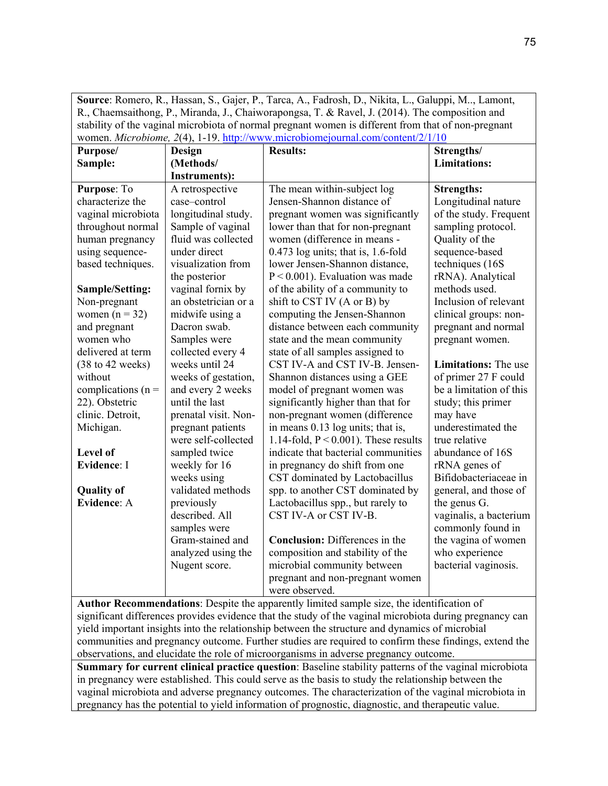**Source**: Romero, R., Hassan, S., Gajer, P., Tarca, A., Fadrosh, D., Nikita, L., Galuppi, M.., Lamont, R., Chaemsaithong, P., Miranda, J., Chaiworapongsa, T. & Ravel, J. (2014). The composition and stability of the vaginal microbiota of normal pregnant women is different from that of non-pregnant women. *Microbiome, 2*(4), 1-19. [http://www.microbiomejournal.com/content/2/1/10](about:blank)

| Purpose/                            | Design               | women. <i>MICI OUTOme, 2</i> (7), 1-12. <u>http://www.inicrobiomejournal.com/content/2/1/10</u><br><b>Results:</b>                                    | Strengths/                  |
|-------------------------------------|----------------------|-------------------------------------------------------------------------------------------------------------------------------------------------------|-----------------------------|
| Sample:                             | (Methods/            |                                                                                                                                                       | <b>Limitations:</b>         |
|                                     | <b>Instruments):</b> |                                                                                                                                                       |                             |
| Purpose: To                         | A retrospective      | The mean within-subject log                                                                                                                           | <b>Strengths:</b>           |
| characterize the                    | case-control         | Jensen-Shannon distance of                                                                                                                            | Longitudinal nature         |
| vaginal microbiota                  | longitudinal study.  | pregnant women was significantly                                                                                                                      | of the study. Frequent      |
| throughout normal                   | Sample of vaginal    | lower than that for non-pregnant                                                                                                                      | sampling protocol.          |
| human pregnancy                     | fluid was collected  | women (difference in means -                                                                                                                          | Quality of the              |
| using sequence-                     | under direct         | $0.473$ log units; that is, 1.6-fold                                                                                                                  | sequence-based              |
| based techniques.                   | visualization from   | lower Jensen-Shannon distance,                                                                                                                        | techniques (16S             |
|                                     | the posterior        | $P < 0.001$ ). Evaluation was made                                                                                                                    | rRNA). Analytical           |
| <b>Sample/Setting:</b>              | vaginal fornix by    | of the ability of a community to                                                                                                                      | methods used.               |
| Non-pregnant                        | an obstetrician or a | shift to CST IV (A or B) by                                                                                                                           | Inclusion of relevant       |
| women $(n = 32)$                    | midwife using a      | computing the Jensen-Shannon                                                                                                                          | clinical groups: non-       |
| and pregnant                        | Dacron swab.         | distance between each community                                                                                                                       | pregnant and normal         |
| women who                           | Samples were         | state and the mean community                                                                                                                          | pregnant women.             |
| delivered at term                   | collected every 4    | state of all samples assigned to                                                                                                                      |                             |
| $(38 \text{ to } 42 \text{ weeks})$ | weeks until 24       | CST IV-A and CST IV-B. Jensen-                                                                                                                        | <b>Limitations:</b> The use |
| without                             | weeks of gestation,  | Shannon distances using a GEE                                                                                                                         | of primer 27 F could        |
| complications ( $n =$               | and every 2 weeks    | model of pregnant women was                                                                                                                           | be a limitation of this     |
| 22). Obstetric                      | until the last       | significantly higher than that for                                                                                                                    | study; this primer          |
| clinic. Detroit,                    | prenatal visit. Non- | non-pregnant women (difference                                                                                                                        | may have                    |
| Michigan.                           | pregnant patients    | in means 0.13 log units; that is,                                                                                                                     | underestimated the          |
|                                     | were self-collected  | 1.14-fold, $P < 0.001$ ). These results                                                                                                               | true relative               |
| Level of                            | sampled twice        | indicate that bacterial communities                                                                                                                   | abundance of 16S            |
| <b>Evidence: I</b>                  | weekly for 16        | in pregnancy do shift from one                                                                                                                        | rRNA genes of               |
|                                     | weeks using          | CST dominated by Lactobacillus                                                                                                                        | Bifidobacteriaceae in       |
| <b>Quality of</b>                   | validated methods    | spp. to another CST dominated by                                                                                                                      | general, and those of       |
| <b>Evidence: A</b>                  | previously           | Lactobacillus spp., but rarely to                                                                                                                     | the genus G.                |
|                                     | described. All       | CST IV-A or CST IV-B.                                                                                                                                 | vaginalis, a bacterium      |
|                                     | samples were         |                                                                                                                                                       | commonly found in           |
|                                     | Gram-stained and     | <b>Conclusion:</b> Differences in the                                                                                                                 | the vagina of women         |
|                                     | analyzed using the   | composition and stability of the                                                                                                                      | who experience              |
|                                     | Nugent score.        | microbial community between                                                                                                                           | bacterial vaginosis.        |
|                                     |                      | pregnant and non-pregnant women                                                                                                                       |                             |
|                                     | $\cdot$ 1            | were observed.<br>$\mathbf{A}$ and $\mathbf{A}$ and $\mathbf{A}$ and $\mathbf{A}$ and $\mathbf{A}$ and $\mathbf{A}$ and $\mathbf{A}$ and $\mathbf{A}$ |                             |

**Author Recommendations**: Despite the apparently limited sample size, the identification of significant differences provides evidence that the study of the vaginal microbiota during pregnancy can yield important insights into the relationship between the structure and dynamics of microbial communities and pregnancy outcome. Further studies are required to confirm these findings, extend the observations, and elucidate the role of microorganisms in adverse pregnancy outcome.

**Summary for current clinical practice question**: Baseline stability patterns of the vaginal microbiota in pregnancy were established. This could serve as the basis to study the relationship between the vaginal microbiota and adverse pregnancy outcomes. The characterization of the vaginal microbiota in pregnancy has the potential to yield information of prognostic, diagnostic, and therapeutic value.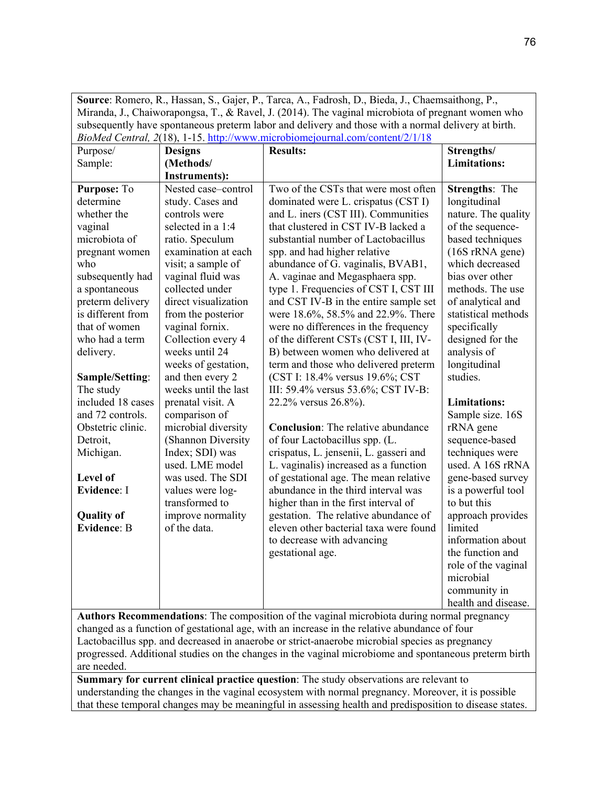**Source**: Romero, R., Hassan, S., Gajer, P., Tarca, A., Fadrosh, D., Bieda, J., Chaemsaithong, P., Miranda, J., Chaiworapongsa, T., & Ravel, J. (2014). The vaginal microbiota of pregnant women who subsequently have spontaneous preterm labor and delivery and those with a normal delivery at birth. *BioMed Central, 2*(18), 1-15. [http://www.microbiomejournal.com/content/2/1/18](about:blank)

|                    |                      | <i>Diomea Centrul, 2</i> (10), 1-13. <u>Intp.//www.inferobiolitefourmal.com/content/2/1/16</u> |                     |
|--------------------|----------------------|------------------------------------------------------------------------------------------------|---------------------|
| Purpose/           | <b>Designs</b>       | <b>Results:</b>                                                                                | Strengths/          |
| Sample:            | (Methods/            |                                                                                                | <b>Limitations:</b> |
|                    | <b>Instruments):</b> |                                                                                                |                     |
| Purpose: To        | Nested case-control  | Two of the CSTs that were most often                                                           | Strengths: The      |
| determine          | study. Cases and     | dominated were L. crispatus (CST I)                                                            | longitudinal        |
| whether the        | controls were        | and L. iners (CST III). Communities                                                            | nature. The quality |
| vaginal            | selected in a 1:4    | that clustered in CST IV-B lacked a                                                            | of the sequence-    |
| microbiota of      | ratio. Speculum      | substantial number of Lactobacillus                                                            | based techniques    |
| pregnant women     | examination at each  | spp. and had higher relative                                                                   | (16S rRNA gene)     |
| who                | visit; a sample of   | abundance of G. vaginalis, BVAB1,                                                              | which decreased     |
| subsequently had   | vaginal fluid was    | A. vaginae and Megasphaera spp.                                                                | bias over other     |
| a spontaneous      | collected under      | type 1. Frequencies of CST I, CST III                                                          | methods. The use    |
| preterm delivery   | direct visualization | and CST IV-B in the entire sample set                                                          | of analytical and   |
| is different from  | from the posterior   | were 18.6%, 58.5% and 22.9%. There                                                             | statistical methods |
| that of women      | vaginal fornix.      | were no differences in the frequency                                                           | specifically        |
| who had a term     | Collection every 4   | of the different CSTs (CST I, III, IV-                                                         | designed for the    |
| delivery.          | weeks until 24       | B) between women who delivered at                                                              | analysis of         |
|                    | weeks of gestation,  | term and those who delivered preterm                                                           | longitudinal        |
| Sample/Setting:    | and then every 2     | (CST I: 18.4% versus 19.6%; CST                                                                | studies.            |
| The study          | weeks until the last | III: 59.4% versus 53.6%; CST IV-B:                                                             |                     |
| included 18 cases  | prenatal visit. A    | 22.2% versus 26.8%).                                                                           | <b>Limitations:</b> |
| and 72 controls.   | comparison of        |                                                                                                | Sample size. 16S    |
| Obstetric clinic.  | microbial diversity  | <b>Conclusion:</b> The relative abundance                                                      | rRNA gene           |
| Detroit,           | (Shannon Diversity   | of four Lactobacillus spp. (L.                                                                 | sequence-based      |
| Michigan.          | Index; SDI) was      | crispatus, L. jensenii, L. gasseri and                                                         | techniques were     |
|                    | used. LME model      | L. vaginalis) increased as a function                                                          | used. A 16S rRNA    |
| Level of           | was used. The SDI    | of gestational age. The mean relative                                                          | gene-based survey   |
| <b>Evidence: I</b> | values were log-     | abundance in the third interval was                                                            | is a powerful tool  |
|                    | transformed to       | higher than in the first interval of                                                           | to but this         |
| <b>Quality of</b>  | improve normality    | gestation. The relative abundance of                                                           | approach provides   |
| <b>Evidence: B</b> | of the data.         | eleven other bacterial taxa were found                                                         | limited             |
|                    |                      | to decrease with advancing                                                                     | information about   |
|                    |                      | gestational age.                                                                               | the function and    |
|                    |                      |                                                                                                | role of the vaginal |
|                    |                      |                                                                                                | microbial           |
|                    |                      |                                                                                                | community in        |
|                    |                      |                                                                                                | health and disease. |

**Authors Recommendations**: The composition of the vaginal microbiota during normal pregnancy changed as a function of gestational age, with an increase in the relative abundance of four Lactobacillus spp. and decreased in anaerobe or strict-anaerobe microbial species as pregnancy progressed. Additional studies on the changes in the vaginal microbiome and spontaneous preterm birth are needed.

**Summary for current clinical practice question**: The study observations are relevant to understanding the changes in the vaginal ecosystem with normal pregnancy. Moreover, it is possible that these temporal changes may be meaningful in assessing health and predisposition to disease states.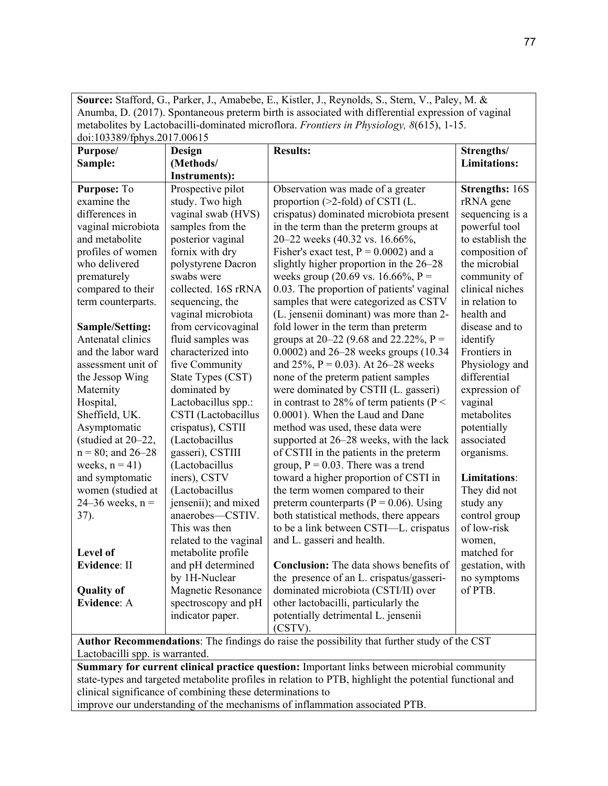**Source:** Stafford, G., Parker, J., Amabebe, E., Kistler, J., Reynolds, S., Stern, V., Paley, M. & Anumba, D. (2017). Spontaneous preterm birth is associated with differential expression of vaginal metabolites by Lactobacilli-dominated microflora. *Frontiers in Physiology, 8*(615), 1-15. doi:103389/fphys.2017.00615

| Purpose/             | Design                 | <b>Results:</b>                                                                             | Strengths/            |
|----------------------|------------------------|---------------------------------------------------------------------------------------------|-----------------------|
| Sample:              | (Methods/              |                                                                                             | <b>Limitations:</b>   |
|                      | Instruments):          |                                                                                             |                       |
| Purpose: To          | Prospective pilot      | Observation was made of a greater                                                           | <b>Strengths: 16S</b> |
| examine the          | study. Two high        | proportion (>2-fold) of CSTI (L.                                                            | rRNA gene             |
| differences in       | vaginal swab (HVS)     | crispatus) dominated microbiota present                                                     | sequencing is a       |
| vaginal microbiota   | samples from the       | in the term than the preterm groups at                                                      | powerful tool         |
| and metabolite       | posterior vaginal      | 20–22 weeks (40.32 vs. 16.66%,                                                              | to establish the      |
| profiles of women    | fornix with dry        | Fisher's exact test, $P = 0.0002$ ) and a                                                   | composition of        |
| who delivered        | polystyrene Dacron     | slightly higher proportion in the 26–28                                                     | the microbial         |
| prematurely          | swabs were             | weeks group (20.69 vs. 16.66%, $P =$                                                        | community of          |
| compared to their    | collected. 16S rRNA    | 0.03. The proportion of patients' vaginal                                                   | clinical niches       |
| term counterparts.   | sequencing, the        | samples that were categorized as CSTV                                                       | in relation to        |
|                      | vaginal microbiota     | (L. jensenii dominant) was more than 2-                                                     | health and            |
| Sample/Setting:      | from cervicovaginal    | fold lower in the term than preterm                                                         | disease and to        |
| Antenatal clinics    | fluid samples was      | groups at 20–22 (9.68 and 22.22%, P =                                                       | identify              |
| and the labor ward   | characterized into     | 0.0002) and $26-28$ weeks groups (10.34                                                     | Frontiers in          |
| assessment unit of   | five Community         | and 25%, $P = 0.03$ ). At 26–28 weeks                                                       | Physiology and        |
| the Jessop Wing      | State Types (CST)      | none of the preterm patient samples                                                         | differential          |
| Maternity            | dominated by           | were dominated by CSTII (L. gasseri)                                                        | expression of         |
| Hospital,            | Lactobacillus spp.:    | in contrast to 28% of term patients ( $P <$                                                 | vaginal               |
| Sheffield, UK.       | CSTI (Lactobacillus    | 0.0001). When the Laud and Dane                                                             | metabolites           |
| Asymptomatic         | crispatus), CSTII      | method was used, these data were                                                            | potentially           |
| (studied at 20-22,   | (Lactobacillus         | supported at 26–28 weeks, with the lack                                                     | associated            |
| $n = 80$ ; and 26-28 | gasseri), CSTIII       | of CSTII in the patients in the preterm                                                     | organisms.            |
| weeks, $n = 41$ )    | (Lactobacillus         | group, $P = 0.03$ . There was a trend                                                       |                       |
| and symptomatic      | iners), CSTV           | toward a higher proportion of CSTI in                                                       | <b>Limitations:</b>   |
| women (studied at    | (Lactobacillus         | the term women compared to their                                                            | They did not          |
| 24–36 weeks, $n =$   | jensenii); and mixed   | preterm counterparts ( $P = 0.06$ ). Using                                                  | study any             |
| 37).                 | anaerobes-CSTIV.       | both statistical methods, there appears                                                     | control group         |
|                      | This was then          | to be a link between CSTI-L. crispatus                                                      | of low-risk           |
|                      | related to the vaginal | and L. gasseri and health.                                                                  | women.                |
| Level of             | metabolite profile     |                                                                                             | matched for           |
| <b>Evidence: II</b>  | and pH determined      | Conclusion: The data shows benefits of                                                      | gestation, with       |
|                      | by 1H-Nuclear          | the presence of an L. crispatus/gasseri-                                                    | no symptoms           |
| <b>Quality of</b>    | Magnetic Resonance     | dominated microbiota (CSTI/II) over                                                         | of PTB.               |
| <b>Evidence: A</b>   | spectroscopy and pH    | other lactobacilli, particularly the                                                        |                       |
|                      | indicator paper.       | potentially detrimental L. jensenii                                                         |                       |
|                      |                        | (CSTV).                                                                                     |                       |
|                      |                        | Author Recommendations: The findings do raise the possibility that further study of the CST |                       |

Lactobacilli spp. is warranted. **Summary for current clinical practice question:** Important links between microbial community state-types and targeted metabolite profiles in relation to PTB, highlight the potential functional and clinical significance of combining these determinations to

improve our understanding of the mechanisms of inflammation associated PTB.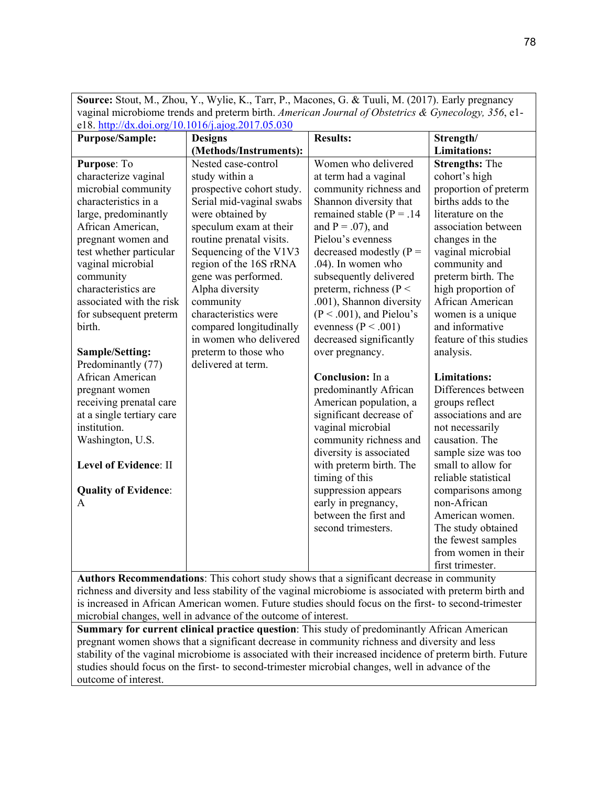| Suifice. Stout, Ivi., Zhou, T., Wyne, K., Tan, F., Iviacones, G. & Tuun, Ivi. (2017). Early pregnancy                                                                                                 |                           |                               |                         |  |  |
|-------------------------------------------------------------------------------------------------------------------------------------------------------------------------------------------------------|---------------------------|-------------------------------|-------------------------|--|--|
| vaginal microbiome trends and preterm birth. American Journal of Obstetrics & Gynecology, 356, e1-<br>e18. http://dx.doi.org/10.1016/j.ajog.2017.05.030                                               |                           |                               |                         |  |  |
| <b>Purpose/Sample:</b>                                                                                                                                                                                | <b>Designs</b>            | <b>Results:</b>               | Strength/               |  |  |
|                                                                                                                                                                                                       | (Methods/Instruments):    |                               | <b>Limitations:</b>     |  |  |
| Purpose: To                                                                                                                                                                                           | Nested case-control       | Women who delivered           | <b>Strengths: The</b>   |  |  |
| characterize vaginal                                                                                                                                                                                  | study within a            | at term had a vaginal         | cohort's high           |  |  |
| microbial community                                                                                                                                                                                   | prospective cohort study. | community richness and        | proportion of preterm   |  |  |
| characteristics in a                                                                                                                                                                                  | Serial mid-vaginal swabs  | Shannon diversity that        | births adds to the      |  |  |
| large, predominantly                                                                                                                                                                                  | were obtained by          | remained stable ( $P = .14$ ) | literature on the       |  |  |
| African American,                                                                                                                                                                                     | speculum exam at their    | and $P = .07$ ), and          | association between     |  |  |
| pregnant women and                                                                                                                                                                                    | routine prenatal visits.  | Pielou's evenness             | changes in the          |  |  |
| test whether particular                                                                                                                                                                               | Sequencing of the V1V3    | decreased modestly $(P =$     | vaginal microbial       |  |  |
| vaginal microbial                                                                                                                                                                                     | region of the 16S rRNA    | .04). In women who            | community and           |  |  |
| community                                                                                                                                                                                             | gene was performed.       | subsequently delivered        | preterm birth. The      |  |  |
| characteristics are                                                                                                                                                                                   | Alpha diversity           | preterm, richness ( $P <$     | high proportion of      |  |  |
| associated with the risk                                                                                                                                                                              | community                 | .001), Shannon diversity      | African American        |  |  |
| for subsequent preterm                                                                                                                                                                                | characteristics were      | $(P < .001)$ , and Pielou's   | women is a unique       |  |  |
| birth.                                                                                                                                                                                                | compared longitudinally   | evenness ( $P < .001$ )       | and informative         |  |  |
|                                                                                                                                                                                                       | in women who delivered    | decreased significantly       | feature of this studies |  |  |
| Sample/Setting:                                                                                                                                                                                       | preterm to those who      | over pregnancy.               | analysis.               |  |  |
| Predominantly (77)                                                                                                                                                                                    | delivered at term.        |                               |                         |  |  |
| African American                                                                                                                                                                                      |                           | Conclusion: In a              | <b>Limitations:</b>     |  |  |
| pregnant women                                                                                                                                                                                        |                           | predominantly African         | Differences between     |  |  |
| receiving prenatal care                                                                                                                                                                               |                           | American population, a        | groups reflect          |  |  |
| at a single tertiary care                                                                                                                                                                             |                           | significant decrease of       | associations and are    |  |  |
| institution.                                                                                                                                                                                          |                           | vaginal microbial             | not necessarily         |  |  |
| Washington, U.S.                                                                                                                                                                                      |                           | community richness and        | causation. The          |  |  |
|                                                                                                                                                                                                       |                           | diversity is associated       | sample size was too     |  |  |
| Level of Evidence: II                                                                                                                                                                                 |                           | with preterm birth. The       | small to allow for      |  |  |
|                                                                                                                                                                                                       |                           | timing of this                | reliable statistical    |  |  |
| <b>Quality of Evidence:</b>                                                                                                                                                                           |                           | suppression appears           | comparisons among       |  |  |
| A                                                                                                                                                                                                     |                           | early in pregnancy,           | non-African             |  |  |
|                                                                                                                                                                                                       |                           | between the first and         | American women.         |  |  |
|                                                                                                                                                                                                       |                           | second trimesters.            | The study obtained      |  |  |
|                                                                                                                                                                                                       |                           |                               | the fewest samples      |  |  |
|                                                                                                                                                                                                       |                           |                               | from women in their     |  |  |
|                                                                                                                                                                                                       |                           |                               | first trimester.        |  |  |
| Authors Recommendations: This cohort study shows that a significant decrease in community<br>richness and diversity and less stability of the vaginal microbiome is associated with preterm birth and |                           |                               |                         |  |  |

**Source:** Stout, M., Zhou, Y., Wylie, K., Tarr, P., Macones, G. & Tuuli, M. (2017). Early pregnancy

richness and diversity and less stability of the vaginal microbiome is associated with preterm birth and is increased in African American women. Future studies should focus on the first- to second-trimester microbial changes, well in advance of the outcome of interest.

**Summary for current clinical practice question**: This study of predominantly African American pregnant women shows that a significant decrease in community richness and diversity and less stability of the vaginal microbiome is associated with their increased incidence of preterm birth. Future studies should focus on the first- to second-trimester microbial changes, well in advance of the outcome of interest.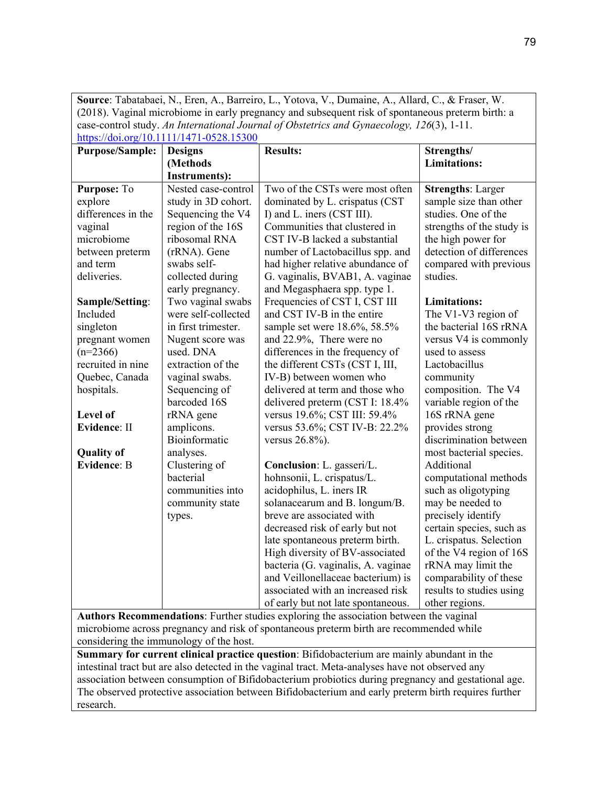**Source**: Tabatabaei, N., Eren, A., Barreiro, L., Yotova, V., Dumaine, A., Allard, C., & Fraser, W. (2018). Vaginal microbiome in early pregnancy and subsequent risk of spontaneous preterm birth: a case-control study. *An International Journal of Obstetrics and Gynaecology, 126*(3), 1-11. [https://doi.org/10.1111/1471-0528.15300](about:blank)

| <b>Purpose/Sample:</b>                                                                           | <b>Designs</b>                          | <b>Results:</b>                                                                            | Strengths/                |
|--------------------------------------------------------------------------------------------------|-----------------------------------------|--------------------------------------------------------------------------------------------|---------------------------|
|                                                                                                  | (Methods                                |                                                                                            | <b>Limitations:</b>       |
|                                                                                                  | <b>Instruments):</b>                    |                                                                                            |                           |
| Purpose: To                                                                                      | Nested case-control                     | Two of the CSTs were most often                                                            | <b>Strengths: Larger</b>  |
| explore                                                                                          | study in 3D cohort.                     | dominated by L. crispatus (CST                                                             | sample size than other    |
| differences in the                                                                               | Sequencing the V4                       | I) and L. iners (CST III).                                                                 | studies. One of the       |
| vaginal                                                                                          | region of the 16S                       | Communities that clustered in                                                              | strengths of the study is |
| microbiome                                                                                       | ribosomal RNA                           | CST IV-B lacked a substantial                                                              | the high power for        |
| between preterm                                                                                  | (rRNA). Gene                            | number of Lactobacillus spp. and                                                           | detection of differences  |
| and term                                                                                         | swabs self-                             | had higher relative abundance of                                                           | compared with previous    |
| deliveries.                                                                                      | collected during                        | G. vaginalis, BVAB1, A. vaginae                                                            | studies.                  |
|                                                                                                  | early pregnancy.                        | and Megasphaera spp. type 1.                                                               |                           |
| Sample/Setting:                                                                                  | Two vaginal swabs                       | Frequencies of CST I, CST III                                                              | <b>Limitations:</b>       |
| Included                                                                                         | were self-collected                     | and CST IV-B in the entire                                                                 | The V1-V3 region of       |
| singleton                                                                                        | in first trimester.                     | sample set were 18.6%, 58.5%                                                               | the bacterial 16S rRNA    |
| pregnant women                                                                                   | Nugent score was                        | and 22.9%, There were no                                                                   | versus V4 is commonly     |
| $(n=2366)$                                                                                       | used. DNA                               | differences in the frequency of                                                            | used to assess            |
| recruited in nine                                                                                | extraction of the                       | the different CSTs (CST I, III,                                                            | Lactobacillus             |
| Quebec, Canada                                                                                   | vaginal swabs.                          | IV-B) between women who                                                                    | community                 |
| hospitals.                                                                                       | Sequencing of                           | delivered at term and those who                                                            | composition. The V4       |
|                                                                                                  | barcoded 16S                            | delivered preterm (CST I: 18.4%                                                            | variable region of the    |
| Level of                                                                                         | rRNA gene                               | versus 19.6%; CST III: 59.4%                                                               | 16S rRNA gene             |
| <b>Evidence: II</b>                                                                              | amplicons.                              | versus 53.6%; CST IV-B: 22.2%                                                              | provides strong           |
|                                                                                                  | Bioinformatic                           | versus $26.8%$ ).                                                                          | discrimination between    |
| <b>Quality of</b>                                                                                | analyses.                               |                                                                                            | most bacterial species.   |
| <b>Evidence: B</b>                                                                               | Clustering of                           | Conclusion: L. gasseri/L.                                                                  | Additional                |
|                                                                                                  | bacterial                               | hohnsonii, L. crispatus/L.                                                                 | computational methods     |
|                                                                                                  | communities into                        | acidophilus, L. iners IR                                                                   | such as oligotyping       |
|                                                                                                  | community state                         | solanacearum and B. longum/B.                                                              | may be needed to          |
|                                                                                                  | types.                                  | breve are associated with                                                                  | precisely identify        |
|                                                                                                  |                                         | decreased risk of early but not                                                            | certain species, such as  |
|                                                                                                  |                                         | late spontaneous preterm birth.                                                            | L. crispatus. Selection   |
|                                                                                                  |                                         | High diversity of BV-associated                                                            | of the V4 region of 16S   |
|                                                                                                  |                                         | bacteria (G. vaginalis, A. vaginae                                                         | rRNA may limit the        |
|                                                                                                  |                                         | and Veillonellaceae bacterium) is                                                          | comparability of these    |
|                                                                                                  |                                         | associated with an increased risk                                                          | results to studies using  |
|                                                                                                  |                                         | of early but not late spontaneous.                                                         | other regions.            |
|                                                                                                  |                                         | Authors Recommendations: Further studies exploring the association between the vaginal     |                           |
| microbiome across pregnancy and risk of spontaneous preterm birth are recommended while          |                                         |                                                                                            |                           |
|                                                                                                  | considering the immunology of the host. |                                                                                            |                           |
|                                                                                                  |                                         | Summary for current clinical practice question: Bifidobacterium are mainly abundant in the |                           |
| intestinal tract but are also detected in the vaginal tract. Meta-analyses have not observed any |                                         |                                                                                            |                           |

association between consumption of Bifidobacterium probiotics during pregnancy and gestational age. The observed protective association between Bifidobacterium and early preterm birth requires further research.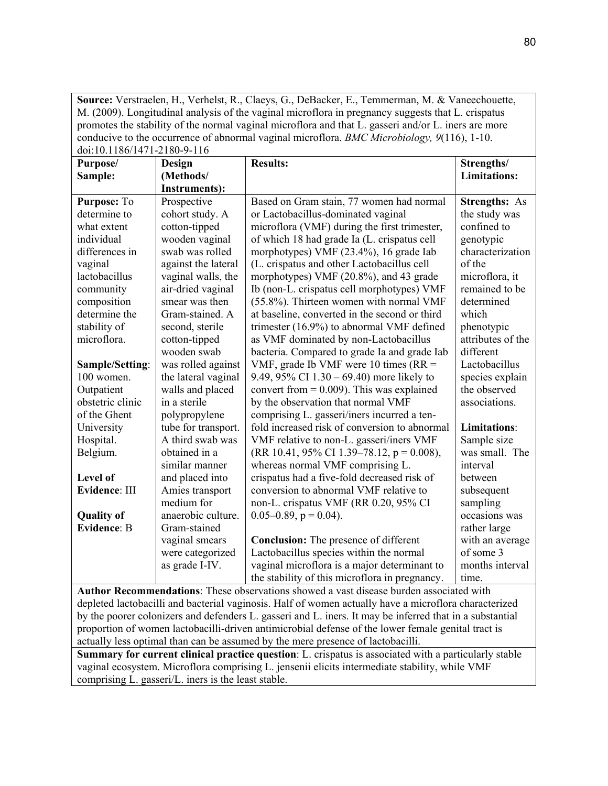**Source:** Verstraelen, H., Verhelst, R., Claeys, G., DeBacker, E., Temmerman, M. & Vaneechouette, M. (2009). Longitudinal analysis of the vaginal microflora in pregnancy suggests that L. crispatus promotes the stability of the normal vaginal microflora and that L. gasseri and/or L. iners are more conducive to the occurrence of abnormal vaginal microflora. *BMC Microbiology, 9*(116), 1-10. doi:10.1186/1471-2180-9-116

| 001.10.1100/17/1-2100-7-110<br>Purpose/ | Design               | <b>Results:</b>                                | Strengths/           |
|-----------------------------------------|----------------------|------------------------------------------------|----------------------|
| Sample:                                 | (Methods/            |                                                | <b>Limitations:</b>  |
|                                         | <b>Instruments):</b> |                                                |                      |
| Purpose: To                             | Prospective          | Based on Gram stain, 77 women had normal       | <b>Strengths: As</b> |
| determine to                            | cohort study. A      | or Lactobacillus-dominated vaginal             | the study was        |
| what extent                             | cotton-tipped        | microflora (VMF) during the first trimester,   | confined to          |
| individual                              | wooden vaginal       | of which 18 had grade Ia (L. crispatus cell    | genotypic            |
| differences in                          | swab was rolled      | morphotypes) VMF (23.4%), 16 grade Iab         | characterization     |
| vaginal                                 | against the lateral  | (L. crispatus and other Lactobacillus cell     | of the               |
| lactobacillus                           | vaginal walls, the   | morphotypes) VMF (20.8%), and 43 grade         | microflora, it       |
| community                               | air-dried vaginal    | Ib (non-L. crispatus cell morphotypes) VMF     | remained to be       |
| composition                             | smear was then       | (55.8%). Thirteen women with normal VMF        | determined           |
| determine the                           | Gram-stained. A      | at baseline, converted in the second or third  | which                |
| stability of                            | second, sterile      | trimester (16.9%) to abnormal VMF defined      | phenotypic           |
| microflora.                             | cotton-tipped        | as VMF dominated by non-Lactobacillus          | attributes of the    |
|                                         | wooden swab          | bacteria. Compared to grade Ia and grade Iab   | different            |
| Sample/Setting:                         | was rolled against   | VMF, grade Ib VMF were 10 times ( $RR =$       | Lactobacillus        |
| 100 women.                              | the lateral vaginal  | 9.49, 95% CI $1.30 - 69.40$ more likely to     | species explain      |
| Outpatient                              | walls and placed     | convert from $= 0.009$ ). This was explained   | the observed         |
| obstetric clinic                        | in a sterile         | by the observation that normal VMF             | associations.        |
| of the Ghent                            | polypropylene        | comprising L. gasseri/iners incurred a ten-    |                      |
| University                              | tube for transport.  | fold increased risk of conversion to abnormal  | <b>Limitations:</b>  |
| Hospital.                               | A third swab was     | VMF relative to non-L. gasseri/iners VMF       | Sample size          |
| Belgium.                                | obtained in a        | (RR 10.41, 95% CI 1.39–78.12, $p = 0.008$ ),   | was small. The       |
|                                         | similar manner       | whereas normal VMF comprising L.               | interval             |
| Level of                                | and placed into      | crispatus had a five-fold decreased risk of    | between              |
| Evidence: III                           | Amies transport      | conversion to abnormal VMF relative to         | subsequent           |
|                                         | medium for           | non-L. crispatus VMF (RR 0.20, 95% CI          | sampling             |
| <b>Quality of</b>                       | anaerobic culture.   | $0.05-0.89$ , $p = 0.04$ ).                    | occasions was        |
| <b>Evidence: B</b>                      | Gram-stained         |                                                | rather large         |
|                                         | vaginal smears       | <b>Conclusion:</b> The presence of different   | with an average      |
|                                         | were categorized     | Lactobacillus species within the normal        | of some 3            |
|                                         | as grade I-IV.       | vaginal microflora is a major determinant to   | months interval      |
|                                         |                      | the stability of this microflora in pregnancy. | time.                |

**Author Recommendations**: These observations showed a vast disease burden associated with depleted lactobacilli and bacterial vaginosis. Half of women actually have a microflora characterized by the poorer colonizers and defenders L. gasseri and L. iners. It may be inferred that in a substantial proportion of women lactobacilli-driven antimicrobial defense of the lower female genital tract is actually less optimal than can be assumed by the mere presence of lactobacilli.

**Summary for current clinical practice question**: L. crispatus is associated with a particularly stable vaginal ecosystem. Microflora comprising L. jensenii elicits intermediate stability, while VMF comprising L. gasseri/L. iners is the least stable.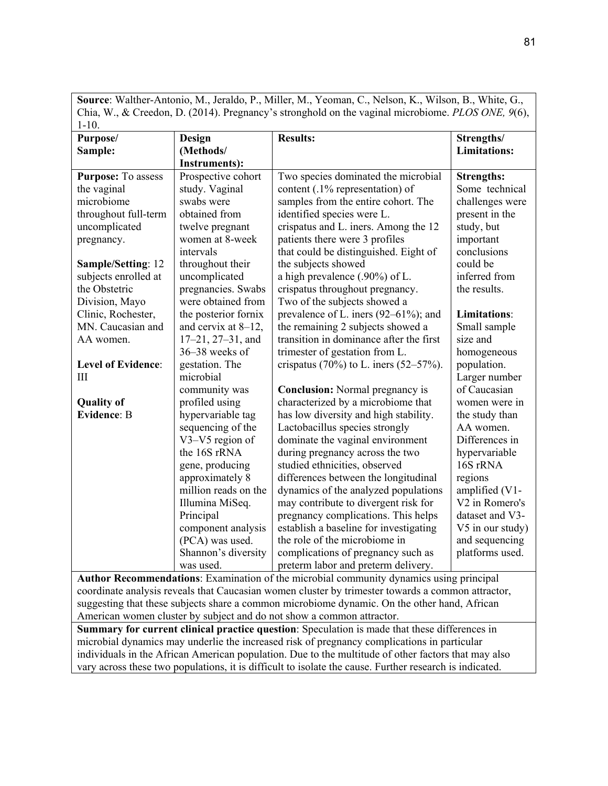**Source**: Walther-Antonio, M., Jeraldo, P., Miller, M., Yeoman, C., Nelson, K., Wilson, B., White, G., Chia, W., & Creedon, D. (2014). Pregnancy's stronghold on the vaginal microbiome. *PLOS ONE, 9*(6), 1-10.

| Purpose/                  | Design                  | <b>Results:</b>                                                                                | Strengths/          |
|---------------------------|-------------------------|------------------------------------------------------------------------------------------------|---------------------|
| Sample:                   | (Methods/               |                                                                                                | <b>Limitations:</b> |
|                           | <b>Instruments):</b>    |                                                                                                |                     |
| Purpose: To assess        | Prospective cohort      | Two species dominated the microbial                                                            | <b>Strengths:</b>   |
| the vaginal               | study. Vaginal          | content (.1% representation) of                                                                | Some technical      |
| microbiome                | swabs were              | samples from the entire cohort. The                                                            | challenges were     |
| throughout full-term      | obtained from           | identified species were L.                                                                     | present in the      |
| uncomplicated             | twelve pregnant         | crispatus and L. iners. Among the 12                                                           | study, but          |
| pregnancy.                | women at 8-week         | patients there were 3 profiles                                                                 | important           |
|                           | intervals               | that could be distinguished. Eight of                                                          | conclusions         |
| Sample/Setting: 12        | throughout their        | the subjects showed                                                                            | could be            |
| subjects enrolled at      | uncomplicated           | a high prevalence (.90%) of L.                                                                 | inferred from       |
| the Obstetric             | pregnancies. Swabs      | crispatus throughout pregnancy.                                                                | the results.        |
| Division, Mayo            | were obtained from      | Two of the subjects showed a                                                                   |                     |
| Clinic, Rochester,        | the posterior fornix    | prevalence of L. iners $(92-61\%)$ ; and                                                       | <b>Limitations:</b> |
| MN. Caucasian and         | and cervix at 8-12,     | the remaining 2 subjects showed a                                                              | Small sample        |
| AA women.                 | $17-21$ , $27-31$ , and | transition in dominance after the first                                                        | size and            |
|                           | 36-38 weeks of          | trimester of gestation from L.                                                                 | homogeneous         |
| <b>Level of Evidence:</b> | gestation. The          | crispatus (70%) to L. iners $(52-57%)$ .                                                       | population.         |
| Ш                         | microbial               |                                                                                                | Larger number       |
|                           | community was           | <b>Conclusion:</b> Normal pregnancy is                                                         | of Caucasian        |
| <b>Quality of</b>         | profiled using          | characterized by a microbiome that                                                             | women were in       |
| <b>Evidence: B</b>        | hypervariable tag       | has low diversity and high stability.                                                          | the study than      |
|                           | sequencing of the       | Lactobacillus species strongly                                                                 | AA women.           |
|                           | V3-V5 region of         | dominate the vaginal environment                                                               | Differences in      |
|                           | the 16S rRNA            | during pregnancy across the two                                                                | hypervariable       |
|                           | gene, producing         | studied ethnicities, observed                                                                  | 16S rRNA            |
|                           | approximately 8         | differences between the longitudinal                                                           | regions             |
|                           | million reads on the    | dynamics of the analyzed populations                                                           | amplified (V1-      |
|                           | Illumina MiSeq.         | may contribute to divergent risk for                                                           | V2 in Romero's      |
|                           | Principal               | pregnancy complications. This helps                                                            | dataset and V3-     |
|                           | component analysis      | establish a baseline for investigating                                                         | V5 in our study)    |
|                           | (PCA) was used.         | the role of the microbiome in                                                                  | and sequencing      |
|                           | Shannon's diversity     | complications of pregnancy such as                                                             | platforms used.     |
|                           | was used.               | preterm labor and preterm delivery.                                                            |                     |
|                           |                         | <b>Author Recommendations:</b> Examination of the microbial community dynamics using principal |                     |

**Author Recommendations**: Examination of the microbial community dynamics using principal coordinate analysis reveals that Caucasian women cluster by trimester towards a common attractor, suggesting that these subjects share a common microbiome dynamic. On the other hand, African American women cluster by subject and do not show a common attractor.

**Summary for current clinical practice question**: Speculation is made that these differences in microbial dynamics may underlie the increased risk of pregnancy complications in particular individuals in the African American population. Due to the multitude of other factors that may also vary across these two populations, it is difficult to isolate the cause. Further research is indicated.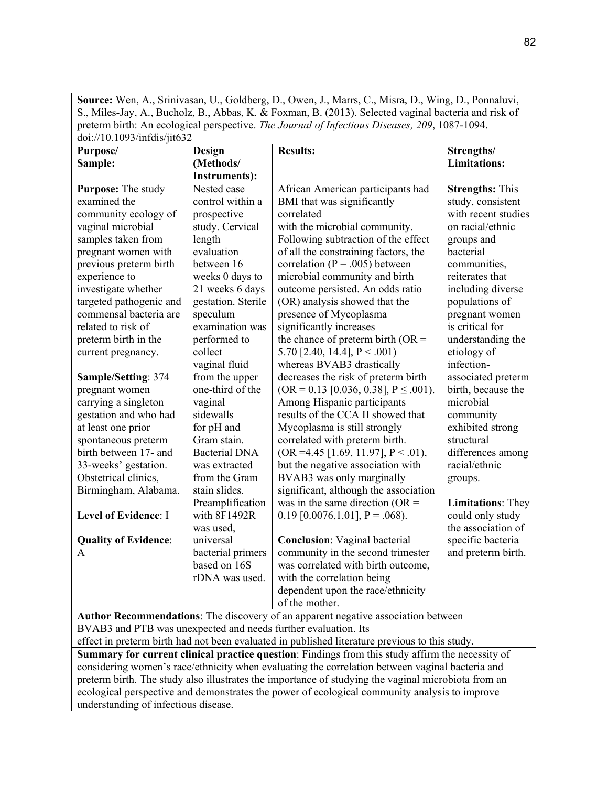**Source:** Wen, A., Srinivasan, U., Goldberg, D., Owen, J., Marrs, C., Misra, D., Wing, D., Ponnaluvi, S., Miles-Jay, A., Bucholz, B., Abbas, K. & Foxman, B. (2013). Selected vaginal bacteria and risk of preterm birth: An ecological perspective. *The Journal of Infectious Diseases, 209*, 1087-1094. doi://10.1093/infdis/jit632

| $\frac{1}{2}$<br>Purpose/                                                                      | Design               | <b>Results:</b>                                                                   | Strengths/               |
|------------------------------------------------------------------------------------------------|----------------------|-----------------------------------------------------------------------------------|--------------------------|
| Sample:                                                                                        | (Methods/            |                                                                                   | <b>Limitations:</b>      |
|                                                                                                | <b>Instruments):</b> |                                                                                   |                          |
| <b>Purpose:</b> The study                                                                      | Nested case          | African American participants had                                                 | <b>Strengths: This</b>   |
| examined the                                                                                   | control within a     | BMI that was significantly                                                        | study, consistent        |
| community ecology of                                                                           | prospective          | correlated                                                                        | with recent studies      |
| vaginal microbial                                                                              | study. Cervical      | with the microbial community.                                                     | on racial/ethnic         |
| samples taken from                                                                             | length               | Following subtraction of the effect                                               | groups and               |
| pregnant women with                                                                            | evaluation           | of all the constraining factors, the                                              | bacterial                |
| previous preterm birth                                                                         | between 16           | correlation ( $P = .005$ ) between                                                | communities,             |
| experience to                                                                                  | weeks 0 days to      | microbial community and birth                                                     | reiterates that          |
| investigate whether                                                                            | 21 weeks 6 days      | outcome persisted. An odds ratio                                                  | including diverse        |
| targeted pathogenic and                                                                        | gestation. Sterile   | (OR) analysis showed that the                                                     | populations of           |
| commensal bacteria are                                                                         | speculum             | presence of Mycoplasma                                                            | pregnant women           |
| related to risk of                                                                             | examination was      | significantly increases                                                           | is critical for          |
| preterm birth in the                                                                           | performed to         | the chance of preterm birth ( $OR =$                                              | understanding the        |
| current pregnancy.                                                                             | collect              | 5.70 [2.40, 14.4], $P < .001$ )                                                   | etiology of              |
|                                                                                                | vaginal fluid        | whereas BVAB3 drastically                                                         | infection-               |
| Sample/Setting: 374                                                                            | from the upper       | decreases the risk of preterm birth                                               | associated preterm       |
| pregnant women                                                                                 | one-third of the     | $(OR = 0.13$ [0.036, 0.38], $P \le 0.001$ ).                                      | birth, because the       |
| carrying a singleton                                                                           | vaginal              | Among Hispanic participants                                                       | microbial                |
| gestation and who had                                                                          | sidewalls            | results of the CCA II showed that                                                 | community                |
| at least one prior                                                                             | for pH and           | Mycoplasma is still strongly                                                      | exhibited strong         |
| spontaneous preterm                                                                            | Gram stain.          | correlated with preterm birth.                                                    | structural               |
| birth between 17- and                                                                          | <b>Bacterial DNA</b> | $(OR = 4.45 [1.69, 11.97], P < .01),$                                             | differences among        |
| 33-weeks' gestation.                                                                           | was extracted        | but the negative association with                                                 | racial/ethnic            |
| Obstetrical clinics,                                                                           | from the Gram        | BVAB3 was only marginally                                                         | groups.                  |
| Birmingham, Alabama.                                                                           | stain slides.        | significant, although the association                                             |                          |
|                                                                                                | Preamplification     | was in the same direction ( $OR =$                                                | <b>Limitations: They</b> |
| Level of Evidence: I                                                                           | with 8F1492R         | $0.19$ [0.0076,1.01], P = .068).                                                  | could only study         |
|                                                                                                | was used,            |                                                                                   | the association of       |
| <b>Quality of Evidence:</b>                                                                    | universal            | <b>Conclusion:</b> Vaginal bacterial                                              | specific bacteria        |
| A                                                                                              | bacterial primers    | community in the second trimester                                                 | and preterm birth.       |
|                                                                                                | based on 16S         | was correlated with birth outcome,                                                |                          |
|                                                                                                | rDNA was used.       | with the correlation being                                                        |                          |
|                                                                                                |                      | dependent upon the race/ethnicity                                                 |                          |
|                                                                                                |                      | of the mother.                                                                    |                          |
|                                                                                                |                      | Author Recommendations: The discovery of an apparent negative association between |                          |
| BVAB3 and PTB was unexpected and needs further evaluation. Its                                 |                      |                                                                                   |                          |
| effect in preterm birth had not been evaluated in published literature previous to this study. |                      |                                                                                   |                          |

**Summary for current clinical practice question**: Findings from this study affirm the necessity of considering women's race/ethnicity when evaluating the correlation between vaginal bacteria and preterm birth. The study also illustrates the importance of studying the vaginal microbiota from an ecological perspective and demonstrates the power of ecological community analysis to improve understanding of infectious disease.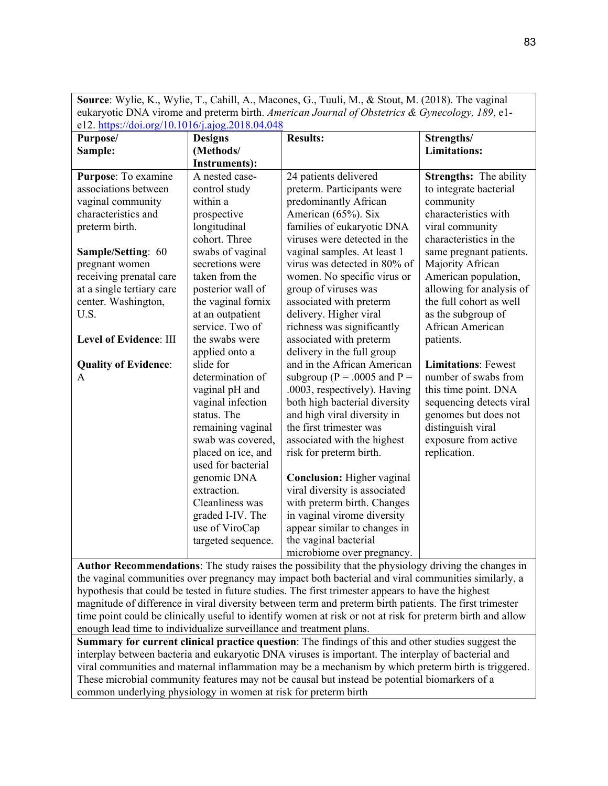| eukaryotic DNA virome and preterm birth. American Journal of Obstetrics & Gynecology, 189, e1- |                                  |                                                                                                                                                                                                                               |                               |  |  |  |
|------------------------------------------------------------------------------------------------|----------------------------------|-------------------------------------------------------------------------------------------------------------------------------------------------------------------------------------------------------------------------------|-------------------------------|--|--|--|
| e12. https://doi.org/10.1016/j.ajog.2018.04.048                                                |                                  |                                                                                                                                                                                                                               |                               |  |  |  |
| Purpose/                                                                                       | <b>Designs</b>                   | <b>Results:</b>                                                                                                                                                                                                               | Strengths/                    |  |  |  |
| Sample:                                                                                        | (Methods/                        |                                                                                                                                                                                                                               | <b>Limitations:</b>           |  |  |  |
|                                                                                                | <b>Instruments):</b>             |                                                                                                                                                                                                                               |                               |  |  |  |
| Purpose: To examine                                                                            | A nested case-                   | 24 patients delivered                                                                                                                                                                                                         | <b>Strengths:</b> The ability |  |  |  |
| associations between                                                                           | control study                    | preterm. Participants were                                                                                                                                                                                                    | to integrate bacterial        |  |  |  |
| vaginal community                                                                              | within a                         | predominantly African                                                                                                                                                                                                         | community                     |  |  |  |
| characteristics and                                                                            | prospective                      | American (65%). Six                                                                                                                                                                                                           | characteristics with          |  |  |  |
| preterm birth.                                                                                 | longitudinal                     | families of eukaryotic DNA                                                                                                                                                                                                    | viral community               |  |  |  |
|                                                                                                | cohort. Three                    | viruses were detected in the                                                                                                                                                                                                  | characteristics in the        |  |  |  |
| Sample/Setting: 60                                                                             | swabs of vaginal                 | vaginal samples. At least 1                                                                                                                                                                                                   | same pregnant patients.       |  |  |  |
| pregnant women                                                                                 | secretions were                  | virus was detected in 80% of                                                                                                                                                                                                  | Majority African              |  |  |  |
| receiving prenatal care                                                                        | taken from the                   | women. No specific virus or                                                                                                                                                                                                   | American population,          |  |  |  |
| at a single tertiary care                                                                      | posterior wall of                | group of viruses was                                                                                                                                                                                                          | allowing for analysis of      |  |  |  |
| center. Washington,                                                                            | the vaginal fornix               | associated with preterm                                                                                                                                                                                                       | the full cohort as well       |  |  |  |
| U.S.                                                                                           | at an outpatient                 | delivery. Higher viral                                                                                                                                                                                                        | as the subgroup of            |  |  |  |
|                                                                                                | service. Two of                  | richness was significantly                                                                                                                                                                                                    | African American              |  |  |  |
| <b>Level of Evidence: III</b>                                                                  | the swabs were                   | associated with preterm                                                                                                                                                                                                       | patients.                     |  |  |  |
|                                                                                                | applied onto a                   | delivery in the full group                                                                                                                                                                                                    |                               |  |  |  |
| <b>Quality of Evidence:</b>                                                                    | slide for                        | and in the African American                                                                                                                                                                                                   | <b>Limitations: Fewest</b>    |  |  |  |
| A                                                                                              | determination of                 | subgroup ( $P = .0005$ and $P =$                                                                                                                                                                                              | number of swabs from          |  |  |  |
|                                                                                                | vaginal pH and                   | .0003, respectively). Having                                                                                                                                                                                                  | this time point. DNA          |  |  |  |
|                                                                                                | vaginal infection                | both high bacterial diversity                                                                                                                                                                                                 | sequencing detects viral      |  |  |  |
|                                                                                                | status. The                      | and high viral diversity in                                                                                                                                                                                                   | genomes but does not          |  |  |  |
|                                                                                                | remaining vaginal                | the first trimester was                                                                                                                                                                                                       | distinguish viral             |  |  |  |
|                                                                                                | swab was covered,                | associated with the highest                                                                                                                                                                                                   | exposure from active          |  |  |  |
|                                                                                                | placed on ice, and               | risk for preterm birth.                                                                                                                                                                                                       | replication.                  |  |  |  |
|                                                                                                | used for bacterial               |                                                                                                                                                                                                                               |                               |  |  |  |
|                                                                                                | genomic DNA                      | <b>Conclusion:</b> Higher vaginal                                                                                                                                                                                             |                               |  |  |  |
|                                                                                                | extraction.                      | viral diversity is associated                                                                                                                                                                                                 |                               |  |  |  |
|                                                                                                | Cleanliness was                  | with preterm birth. Changes                                                                                                                                                                                                   |                               |  |  |  |
|                                                                                                | graded I-IV. The                 | in vaginal virome diversity                                                                                                                                                                                                   |                               |  |  |  |
|                                                                                                | use of ViroCap                   | appear similar to changes in                                                                                                                                                                                                  |                               |  |  |  |
|                                                                                                | targeted sequence.               | the vaginal bacterial                                                                                                                                                                                                         |                               |  |  |  |
|                                                                                                |                                  | microbiome over pregnancy.                                                                                                                                                                                                    |                               |  |  |  |
| $\mathbf{1}$<br><b>D</b>                                                                       | T <sub>1</sub><br>$\blacksquare$ | $21.212$ and $4.21$ and $2.21$ and $2.21$ and $2.21$ and $2.21$ and $2.21$ and $2.21$ and $2.21$ and $2.21$ and $2.21$ and $2.21$ and $2.21$ and $2.21$ and $2.21$ and $2.21$ and $2.21$ and $2.21$ and $2.21$ and $2.21$ and | $\sqrt{1}$<br>$\blacksquare$  |  |  |  |

**Source**: Wylie, K., Wylie, T., Cahill, A., Macones, G., Tuuli, M., & Stout, M. (2018). The vaginal

**Author Recommendations**: The study raises the possibility that the physiology driving the changes in the vaginal communities over pregnancy may impact both bacterial and viral communities similarly, a hypothesis that could be tested in future studies. The first trimester appears to have the highest magnitude of difference in viral diversity between term and preterm birth patients. The first trimester time point could be clinically useful to identify women at risk or not at risk for preterm birth and allow enough lead time to individualize surveillance and treatment plans.

**Summary for current clinical practice question**: The findings of this and other studies suggest the interplay between bacteria and eukaryotic DNA viruses is important. The interplay of bacterial and viral communities and maternal inflammation may be a mechanism by which preterm birth is triggered. These microbial community features may not be causal but instead be potential biomarkers of a common underlying physiology in women at risk for preterm birth